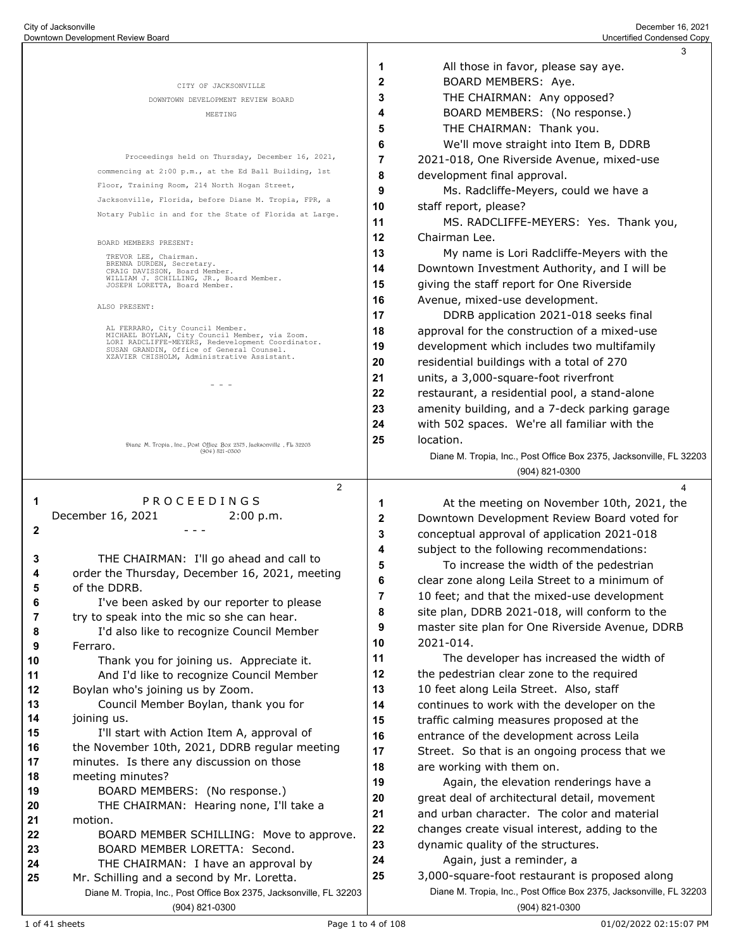|          |                                                                                                |              | 3                                                                                    |
|----------|------------------------------------------------------------------------------------------------|--------------|--------------------------------------------------------------------------------------|
|          |                                                                                                | 1            | All those in favor, please say aye.                                                  |
|          | CITY OF JACKSONVILLE                                                                           | $\mathbf{2}$ | BOARD MEMBERS: Aye.                                                                  |
|          | DOWNTOWN DEVELOPMENT REVIEW BOARD                                                              | 3            | THE CHAIRMAN: Any opposed?                                                           |
|          | MEETING                                                                                        | 4            | BOARD MEMBERS: (No response.)                                                        |
|          |                                                                                                | 5            | THE CHAIRMAN: Thank you.                                                             |
|          |                                                                                                | 6            | We'll move straight into Item B, DDRB                                                |
|          | Proceedings held on Thursday, December 16, 2021,                                               | 7            | 2021-018, One Riverside Avenue, mixed-use                                            |
|          | commencing at 2:00 p.m., at the Ed Ball Building, 1st                                          | 8            | development final approval.                                                          |
|          | Floor, Training Room, 214 North Hogan Street,                                                  | 9            | Ms. Radcliffe-Meyers, could we have a                                                |
|          | Jacksonville, Florida, before Diane M. Tropia, FPR, a                                          | 10           | staff report, please?                                                                |
|          | Notary Public in and for the State of Florida at Large.                                        | 11           | MS. RADCLIFFE-MEYERS: Yes. Thank you,                                                |
|          |                                                                                                | 12           | Chairman Lee.                                                                        |
|          | BOARD MEMBERS PRESENT:<br>TREVOR LEE, Chairman.                                                | 13           | My name is Lori Radcliffe-Meyers with the                                            |
|          | BRENNA DURDEN, Secretary.<br>CRAIG DAVISSON, Board Member.                                     | 14           | Downtown Investment Authority, and I will be                                         |
|          | WILLIAM J. SCHILLING, JR., Board Member.<br>JOSEPH LORETTA, Board Member.                      | 15           | giving the staff report for One Riverside                                            |
|          |                                                                                                | 16           | Avenue, mixed-use development.                                                       |
|          | ALSO PRESENT:                                                                                  | 17           | DDRB application 2021-018 seeks final                                                |
|          | AL FERRARO, City Council Member.<br>MICHAEL BOYLAN, City Council Member, via Zoom.             | 18           | approval for the construction of a mixed-use                                         |
|          | LORI RADCLIFFE-MEYERS, Redevelopment Coordinator.<br>SUSAN GRANDIN, Office of General Counsel. | 19           | development which includes two multifamily                                           |
|          | XZAVIER CHISHOLM, Administrative Assistant.                                                    | 20           | residential buildings with a total of 270                                            |
|          |                                                                                                | 21           | units, a 3,000-square-foot riverfront                                                |
|          |                                                                                                | 22           | restaurant, a residential pool, a stand-alone                                        |
|          |                                                                                                | 23           | amenity building, and a 7-deck parking garage                                        |
|          |                                                                                                | 24           | with 502 spaces. We're all familiar with the                                         |
|          | Diang M. Tropia, Ine., Post Offieg Box 2575, Jacksonvillg, FL 52205                            | 25           | location.                                                                            |
|          | $(904) 821 - 0500$                                                                             |              | Diane M. Tropia, Inc., Post Office Box 2375, Jacksonville, FL 32203                  |
|          |                                                                                                |              | (904) 821-0300                                                                       |
|          | 2                                                                                              |              | 4                                                                                    |
| 1        | PROCEEDINGS                                                                                    | 1            | At the meeting on November 10th, 2021, the                                           |
|          | December 16, 2021<br>2:00 p.m.                                                                 | 2            | Downtown Development Review Board voted for                                          |
| 2        |                                                                                                | 3            | conceptual approval of application 2021-018                                          |
| 3        | THE CHAIRMAN: I'll go ahead and call to                                                        | 4            | subject to the following recommendations:                                            |
| 4        | order the Thursday, December 16, 2021, meeting                                                 | 5            | To increase the width of the pedestrian                                              |
| 5        | of the DDRB.                                                                                   | 6            | clear zone along Leila Street to a minimum of                                        |
| 6        | I've been asked by our reporter to please                                                      | 7            | 10 feet; and that the mixed-use development                                          |
| 7        | try to speak into the mic so she can hear.                                                     | 8            | site plan, DDRB 2021-018, will conform to the                                        |
| 8        | I'd also like to recognize Council Member                                                      | 9            | master site plan for One Riverside Avenue, DDRB                                      |
| 9        | Ferraro.                                                                                       | 10           | 2021-014.                                                                            |
| 10       | Thank you for joining us. Appreciate it.                                                       | 11           | The developer has increased the width of                                             |
| 11       | And I'd like to recognize Council Member                                                       | 12           | the pedestrian clear zone to the required                                            |
| 12<br>13 | Boylan who's joining us by Zoom.<br>Council Member Boylan, thank you for                       | 13<br>14     | 10 feet along Leila Street. Also, staff                                              |
| 14       | joining us.                                                                                    | 15           | continues to work with the developer on the                                          |
| 15       | I'll start with Action Item A, approval of                                                     | 16           | traffic calming measures proposed at the<br>entrance of the development across Leila |
| 16       | the November 10th, 2021, DDRB regular meeting                                                  | 17           | Street. So that is an ongoing process that we                                        |
| 17       | minutes. Is there any discussion on those                                                      | 18           | are working with them on.                                                            |
| 18       | meeting minutes?                                                                               | 19           | Again, the elevation renderings have a                                               |
| 19       | BOARD MEMBERS: (No response.)                                                                  | 20           | great deal of architectural detail, movement                                         |
| 20       | THE CHAIRMAN: Hearing none, I'll take a                                                        | 21           | and urban character. The color and material                                          |
| 21       | motion.                                                                                        | 22           | changes create visual interest, adding to the                                        |
| 22       | BOARD MEMBER SCHILLING: Move to approve.                                                       | 23           | dynamic quality of the structures.                                                   |
| 23<br>24 | BOARD MEMBER LORETTA: Second.<br>THE CHAIRMAN: I have an approval by                           | 24           | Again, just a reminder, a                                                            |
| 25       | Mr. Schilling and a second by Mr. Loretta.                                                     | 25           | 3,000-square-foot restaurant is proposed along                                       |
|          | Diane M. Tropia, Inc., Post Office Box 2375, Jacksonville, FL 32203                            |              | Diane M. Tropia, Inc., Post Office Box 2375, Jacksonville, FL 32203                  |
|          | (904) 821-0300                                                                                 |              | (904) 821-0300                                                                       |
|          |                                                                                                |              |                                                                                      |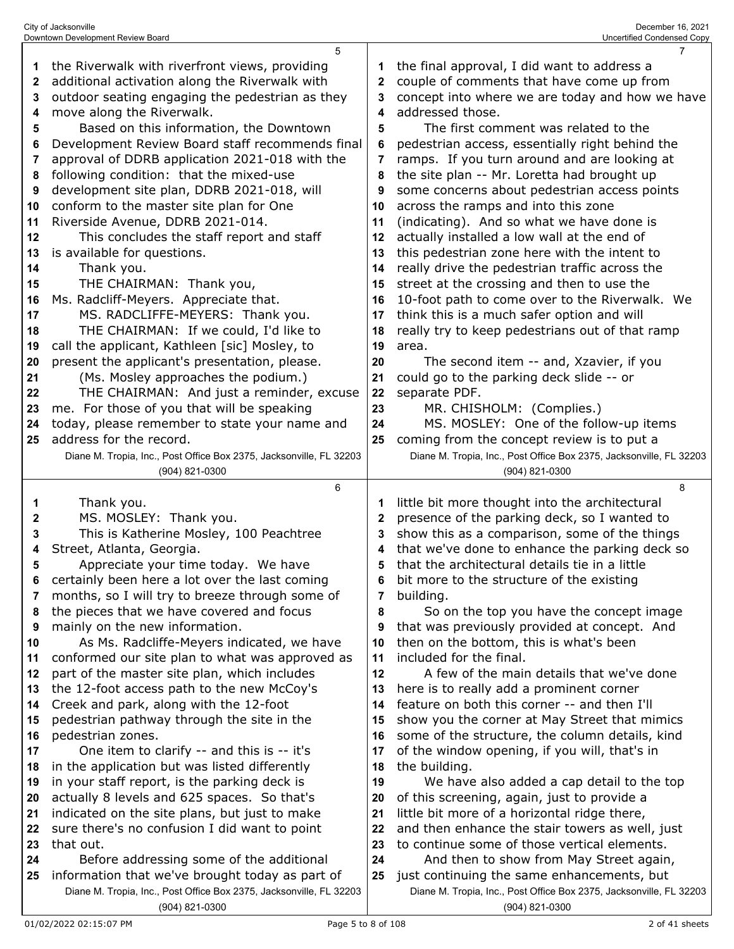| 1  | the Riverwalk with riverfront views, providing                      | 1  | the final approval, I did want to address a                         |
|----|---------------------------------------------------------------------|----|---------------------------------------------------------------------|
| 2  | additional activation along the Riverwalk with                      | 2  | couple of comments that have come up from                           |
| 3  | outdoor seating engaging the pedestrian as they                     | 3  | concept into where we are today and how we have                     |
| 4  | move along the Riverwalk.                                           | 4  | addressed those.                                                    |
| 5  | Based on this information, the Downtown                             | 5  | The first comment was related to the                                |
| 6  | Development Review Board staff recommends final                     | 6  | pedestrian access, essentially right behind the                     |
| 7  | approval of DDRB application 2021-018 with the                      | 7  | ramps. If you turn around and are looking at                        |
| 8  | following condition: that the mixed-use                             | 8  | the site plan -- Mr. Loretta had brought up                         |
| 9  | development site plan, DDRB 2021-018, will                          | 9  | some concerns about pedestrian access points                        |
| 10 | conform to the master site plan for One                             | 10 | across the ramps and into this zone                                 |
| 11 | Riverside Avenue, DDRB 2021-014.                                    | 11 | (indicating). And so what we have done is                           |
| 12 | This concludes the staff report and staff                           | 12 | actually installed a low wall at the end of                         |
| 13 | is available for questions.                                         | 13 | this pedestrian zone here with the intent to                        |
| 14 | Thank you.                                                          | 14 | really drive the pedestrian traffic across the                      |
| 15 | THE CHAIRMAN: Thank you,                                            | 15 | street at the crossing and then to use the                          |
|    |                                                                     |    |                                                                     |
| 16 | Ms. Radcliff-Meyers. Appreciate that.                               | 16 | 10-foot path to come over to the Riverwalk. We                      |
| 17 | MS. RADCLIFFE-MEYERS: Thank you.                                    | 17 | think this is a much safer option and will                          |
| 18 | THE CHAIRMAN: If we could, I'd like to                              | 18 | really try to keep pedestrians out of that ramp                     |
| 19 | call the applicant, Kathleen [sic] Mosley, to                       | 19 | area.                                                               |
| 20 | present the applicant's presentation, please.                       | 20 | The second item -- and, Xzavier, if you                             |
| 21 | (Ms. Mosley approaches the podium.)                                 | 21 | could go to the parking deck slide -- or                            |
| 22 | THE CHAIRMAN: And just a reminder, excuse                           | 22 | separate PDF.                                                       |
| 23 | me. For those of you that will be speaking                          | 23 | MR. CHISHOLM: (Complies.)                                           |
| 24 | today, please remember to state your name and                       | 24 | MS. MOSLEY: One of the follow-up items                              |
| 25 | address for the record.                                             | 25 | coming from the concept review is to put a                          |
|    | Diane M. Tropia, Inc., Post Office Box 2375, Jacksonville, FL 32203 |    | Diane M. Tropia, Inc., Post Office Box 2375, Jacksonville, FL 32203 |
|    | (904) 821-0300                                                      |    | (904) 821-0300                                                      |
|    |                                                                     |    |                                                                     |
|    | 6                                                                   |    | 8                                                                   |
| 1  | Thank you.                                                          | 1  | little bit more thought into the architectural                      |
| 2  | MS. MOSLEY: Thank you.                                              | 2  | presence of the parking deck, so I wanted to                        |
| 3  | This is Katherine Mosley, 100 Peachtree                             | 3  | show this as a comparison, some of the things                       |
| 4  | Street, Atlanta, Georgia.                                           | 4  | that we've done to enhance the parking deck so                      |
| 5  | Appreciate your time today. We have                                 | 5  | that the architectural details tie in a little                      |
| 6  |                                                                     | 6  |                                                                     |
|    | certainly been here a lot over the last coming                      | 7  | bit more to the structure of the existing                           |
|    | months, so I will try to breeze through some of                     |    | building.                                                           |
| 8  | the pieces that we have covered and focus                           | 8  | So on the top you have the concept image                            |
| 9  | mainly on the new information.                                      | 9  | that was previously provided at concept. And                        |
| 10 | As Ms. Radcliffe-Meyers indicated, we have                          | 10 | then on the bottom, this is what's been                             |
| 11 | conformed our site plan to what was approved as                     | 11 | included for the final.                                             |
| 12 | part of the master site plan, which includes                        | 12 | A few of the main details that we've done                           |
| 13 | the 12-foot access path to the new McCoy's                          | 13 | here is to really add a prominent corner                            |
| 14 | Creek and park, along with the 12-foot                              | 14 | feature on both this corner -- and then I'll                        |
| 15 | pedestrian pathway through the site in the                          | 15 | show you the corner at May Street that mimics                       |
| 16 | pedestrian zones.                                                   | 16 | some of the structure, the column details, kind                     |
| 17 | One item to clarify -- and this is -- it's                          | 17 | of the window opening, if you will, that's in                       |
| 18 | in the application but was listed differently                       | 18 | the building.                                                       |
| 19 | in your staff report, is the parking deck is                        | 19 | We have also added a cap detail to the top                          |
| 20 | actually 8 levels and 625 spaces. So that's                         | 20 | of this screening, again, just to provide a                         |
| 21 | indicated on the site plans, but just to make                       | 21 | little bit more of a horizontal ridge there,                        |
| 22 | sure there's no confusion I did want to point                       | 22 | and then enhance the stair towers as well, just                     |
| 23 | that out.                                                           | 23 | to continue some of those vertical elements.                        |
| 24 | Before addressing some of the additional                            | 24 | And then to show from May Street again,                             |
| 25 | information that we've brought today as part of                     | 25 | just continuing the same enhancements, but                          |
|    | Diane M. Tropia, Inc., Post Office Box 2375, Jacksonville, FL 32203 |    | Diane M. Tropia, Inc., Post Office Box 2375, Jacksonville, FL 32203 |

(904) 821-0300

(904) 821-0300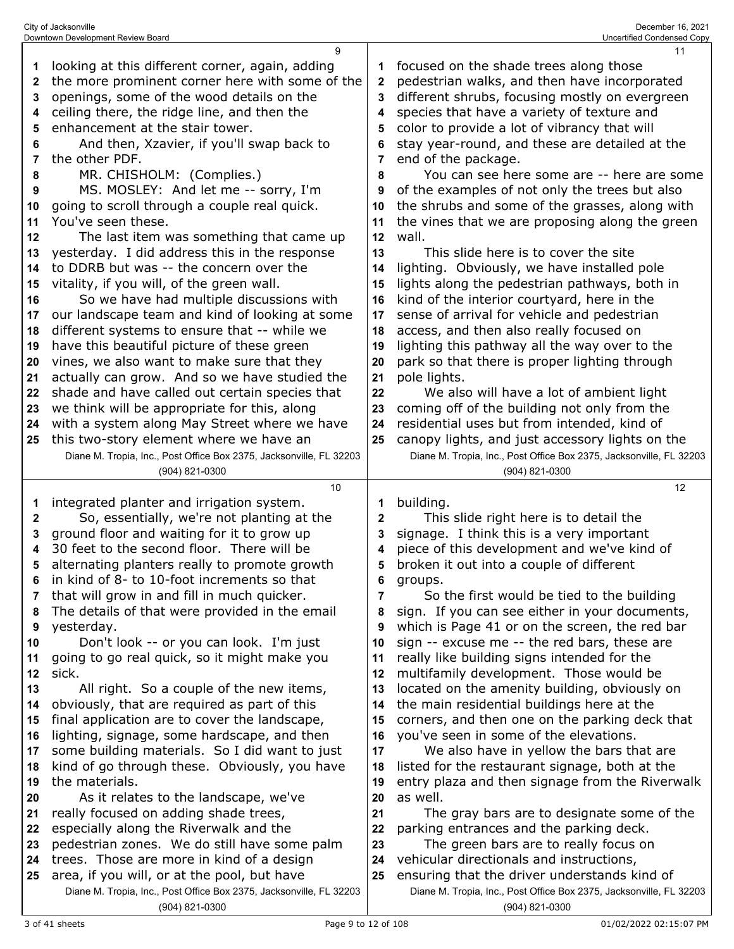|              | City of Jacksonville<br>Downtown Development Review Board                                    |          | December 16, 2021<br><b>Uncertified Condensed Copy</b>                                       |
|--------------|----------------------------------------------------------------------------------------------|----------|----------------------------------------------------------------------------------------------|
| 1            | 9<br>looking at this different corner, again, adding                                         | 1        | 11<br>focused on the shade trees along those                                                 |
| $\mathbf{2}$ | the more prominent corner here with some of the                                              | 2        | pedestrian walks, and then have incorporated                                                 |
| 3            | openings, some of the wood details on the                                                    | 3        | different shrubs, focusing mostly on evergreen                                               |
| 4            | ceiling there, the ridge line, and then the                                                  | 4        | species that have a variety of texture and                                                   |
| 5            | enhancement at the stair tower.                                                              | 5        | color to provide a lot of vibrancy that will                                                 |
| 6            | And then, Xzavier, if you'll swap back to                                                    | 6        | stay year-round, and these are detailed at the                                               |
| 7            | the other PDF.                                                                               | 7        | end of the package.                                                                          |
| 8            | MR. CHISHOLM: (Complies.)                                                                    | 8        | You can see here some are -- here are some                                                   |
| 9            | MS. MOSLEY: And let me -- sorry, I'm                                                         | 9        | of the examples of not only the trees but also                                               |
| 10           | going to scroll through a couple real quick.                                                 | 10       | the shrubs and some of the grasses, along with                                               |
| 11           | You've seen these.                                                                           | 11       | the vines that we are proposing along the green                                              |
| 12           | The last item was something that came up                                                     | 12       | wall.                                                                                        |
| 13           | yesterday. I did address this in the response                                                | 13       | This slide here is to cover the site                                                         |
| 14<br>15     | to DDRB but was -- the concern over the<br>vitality, if you will, of the green wall.         | 14<br>15 | lighting. Obviously, we have installed pole<br>lights along the pedestrian pathways, both in |
| 16           | So we have had multiple discussions with                                                     | 16       | kind of the interior courtyard, here in the                                                  |
| 17           | our landscape team and kind of looking at some                                               | 17       | sense of arrival for vehicle and pedestrian                                                  |
| 18           | different systems to ensure that -- while we                                                 | 18       | access, and then also really focused on                                                      |
| 19           | have this beautiful picture of these green                                                   | 19       | lighting this pathway all the way over to the                                                |
| 20           | vines, we also want to make sure that they                                                   | 20       | park so that there is proper lighting through                                                |
| 21           | actually can grow. And so we have studied the                                                | 21       | pole lights.                                                                                 |
| 22           | shade and have called out certain species that                                               | 22       | We also will have a lot of ambient light                                                     |
| 23           | we think will be appropriate for this, along                                                 | 23       | coming off of the building not only from the                                                 |
| 24           | with a system along May Street where we have                                                 | 24       | residential uses but from intended, kind of                                                  |
| 25           | this two-story element where we have an                                                      | 25       | canopy lights, and just accessory lights on the                                              |
|              | Diane M. Tropia, Inc., Post Office Box 2375, Jacksonville, FL 32203<br>(904) 821-0300        |          | Diane M. Tropia, Inc., Post Office Box 2375, Jacksonville, FL 32203<br>(904) 821-0300        |
|              | 10                                                                                           |          | 12                                                                                           |
| 1            | integrated planter and irrigation system.                                                    | 1        | building.                                                                                    |
| 2            | So, essentially, we're not planting at the                                                   | 2        | This slide right here is to detail the                                                       |
| 3            | ground floor and waiting for it to grow up                                                   | 3        | signage. I think this is a very important                                                    |
| 4            | 30 feet to the second floor. There will be                                                   | 4        | piece of this development and we've kind of                                                  |
| 5            | alternating planters really to promote growth<br>in kind of 8- to 10-foot increments so that | 5        | broken it out into a couple of different                                                     |
| 6<br>7       | that will grow in and fill in much quicker.                                                  | 6<br>7   | groups.<br>So the first would be tied to the building                                        |
| 8            | The details of that were provided in the email                                               | 8        | sign. If you can see either in your documents,                                               |
| 9            | yesterday.                                                                                   | 9        | which is Page 41 or on the screen, the red bar                                               |
| 10           | Don't look -- or you can look. I'm just                                                      | 10       | sign -- excuse me -- the red bars, these are                                                 |
| 11           | going to go real quick, so it might make you                                                 | 11       | really like building signs intended for the                                                  |
| 12           | sick.                                                                                        | 12       | multifamily development. Those would be                                                      |
| 13           | All right. So a couple of the new items,                                                     | 13       | located on the amenity building, obviously on                                                |
| 14           | obviously, that are required as part of this                                                 | 14       | the main residential buildings here at the                                                   |
| 15<br>16     | final application are to cover the landscape,<br>lighting, signage, some hardscape, and then | 15<br>16 | corners, and then one on the parking deck that<br>you've seen in some of the elevations.     |
| 17           | some building materials. So I did want to just                                               | 17       | We also have in yellow the bars that are                                                     |
| 18           | kind of go through these. Obviously, you have                                                | 18       | listed for the restaurant signage, both at the                                               |
| 19           | the materials.                                                                               | 19       | entry plaza and then signage from the Riverwalk                                              |
| 20           | As it relates to the landscape, we've                                                        | 20       | as well.                                                                                     |
| 21           | really focused on adding shade trees,                                                        | 21       | The gray bars are to designate some of the                                                   |
| 22           | especially along the Riverwalk and the                                                       | 22       | parking entrances and the parking deck.                                                      |
| 23           | pedestrian zones. We do still have some palm                                                 | 23       | The green bars are to really focus on                                                        |
| 24           | trees. Those are more in kind of a design                                                    | 24       | vehicular directionals and instructions,                                                     |
| 25           | area, if you will, or at the pool, but have                                                  | 25       | ensuring that the driver understands kind of                                                 |
|              | Diane M. Tropia, Inc., Post Office Box 2375, Jacksonville, FL 32203                          |          | Diane M. Tropia, Inc., Post Office Box 2375, Jacksonville, FL 32203                          |
|              | (904) 821-0300                                                                               |          | (904) 821-0300                                                                               |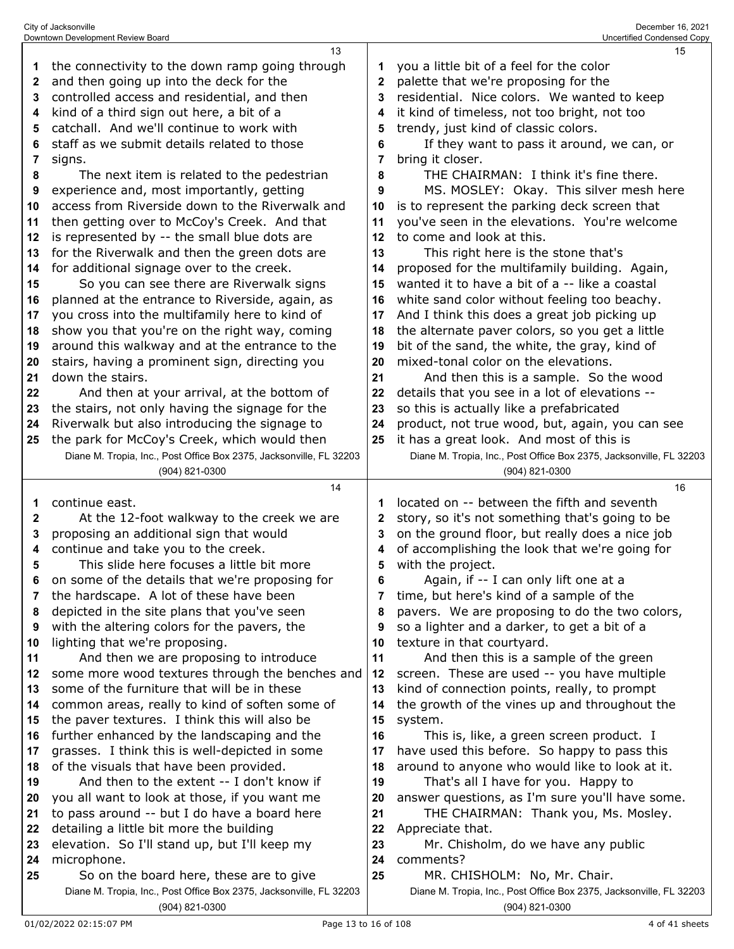|    | Downtown Development Review Board                                                     |    | Uncertified Condensed Copy                                                            |
|----|---------------------------------------------------------------------------------------|----|---------------------------------------------------------------------------------------|
|    | 13                                                                                    |    | 15                                                                                    |
| 1  | the connectivity to the down ramp going through                                       | 1  | you a little bit of a feel for the color                                              |
| 2  | and then going up into the deck for the                                               | 2  | palette that we're proposing for the                                                  |
| 3  | controlled access and residential, and then                                           | 3  | residential. Nice colors. We wanted to keep                                           |
| 4  | kind of a third sign out here, a bit of a                                             | 4  | it kind of timeless, not too bright, not too                                          |
| 5  | catchall. And we'll continue to work with                                             | 5  | trendy, just kind of classic colors.                                                  |
| 6  | staff as we submit details related to those                                           | 6  | If they want to pass it around, we can, or                                            |
| 7  | signs.                                                                                | 7  | bring it closer.                                                                      |
| 8  | The next item is related to the pedestrian                                            | 8  | THE CHAIRMAN: I think it's fine there.                                                |
| 9  | experience and, most importantly, getting                                             | 9  | MS. MOSLEY: Okay. This silver mesh here                                               |
|    | access from Riverside down to the Riverwalk and                                       |    |                                                                                       |
| 10 |                                                                                       | 10 | is to represent the parking deck screen that                                          |
| 11 | then getting over to McCoy's Creek. And that                                          | 11 | you've seen in the elevations. You're welcome                                         |
| 12 | is represented by -- the small blue dots are                                          | 12 | to come and look at this.                                                             |
| 13 | for the Riverwalk and then the green dots are                                         | 13 | This right here is the stone that's                                                   |
| 14 | for additional signage over to the creek.                                             | 14 | proposed for the multifamily building. Again,                                         |
| 15 | So you can see there are Riverwalk signs                                              | 15 | wanted it to have a bit of a -- like a coastal                                        |
| 16 | planned at the entrance to Riverside, again, as                                       | 16 | white sand color without feeling too beachy.                                          |
| 17 | you cross into the multifamily here to kind of                                        | 17 | And I think this does a great job picking up                                          |
| 18 | show you that you're on the right way, coming                                         | 18 | the alternate paver colors, so you get a little                                       |
| 19 | around this walkway and at the entrance to the                                        | 19 | bit of the sand, the white, the gray, kind of                                         |
| 20 | stairs, having a prominent sign, directing you                                        | 20 | mixed-tonal color on the elevations.                                                  |
| 21 | down the stairs.                                                                      | 21 | And then this is a sample. So the wood                                                |
| 22 | And then at your arrival, at the bottom of                                            | 22 | details that you see in a lot of elevations --                                        |
| 23 | the stairs, not only having the signage for the                                       | 23 | so this is actually like a prefabricated                                              |
| 24 | Riverwalk but also introducing the signage to                                         | 24 | product, not true wood, but, again, you can see                                       |
| 25 | the park for McCoy's Creek, which would then                                          | 25 | it has a great look. And most of this is                                              |
|    | Diane M. Tropia, Inc., Post Office Box 2375, Jacksonville, FL 32203                   |    | Diane M. Tropia, Inc., Post Office Box 2375, Jacksonville, FL 32203                   |
|    | (904) 821-0300                                                                        |    | (904) 821-0300                                                                        |
|    |                                                                                       |    |                                                                                       |
|    | 14                                                                                    |    | 16                                                                                    |
|    |                                                                                       | 1  |                                                                                       |
| 1  | continue east.                                                                        |    | located on -- between the fifth and seventh                                           |
| 2  | At the 12-foot walkway to the creek we are                                            | 2  | story, so it's not something that's going to be                                       |
| 3  | proposing an additional sign that would                                               | 3  | on the ground floor, but really does a nice job                                       |
| 4  | continue and take you to the creek.                                                   | 4  | of accomplishing the look that we're going for                                        |
| 5  | This slide here focuses a little bit more                                             | 5  | with the project.                                                                     |
| 6  | on some of the details that we're proposing for                                       | 6  | Again, if -- I can only lift one at a                                                 |
| 7  | the hardscape. A lot of these have been                                               | 7  | time, but here's kind of a sample of the                                              |
| 8  | depicted in the site plans that you've seen                                           | 8  | pavers. We are proposing to do the two colors,                                        |
| 9  | with the altering colors for the pavers, the                                          | 9  | so a lighter and a darker, to get a bit of a                                          |
| 10 | lighting that we're proposing.                                                        | 10 | texture in that courtyard.                                                            |
| 11 | And then we are proposing to introduce                                                | 11 | And then this is a sample of the green                                                |
| 12 | some more wood textures through the benches and                                       | 12 | screen. These are used -- you have multiple                                           |
| 13 | some of the furniture that will be in these                                           | 13 | kind of connection points, really, to prompt                                          |
| 14 | common areas, really to kind of soften some of                                        | 14 | the growth of the vines up and throughout the                                         |
| 15 | the paver textures. I think this will also be                                         | 15 | system.                                                                               |
| 16 | further enhanced by the landscaping and the                                           | 16 | This is, like, a green screen product. I                                              |
| 17 | grasses. I think this is well-depicted in some                                        | 17 | have used this before. So happy to pass this                                          |
| 18 | of the visuals that have been provided.                                               | 18 | around to anyone who would like to look at it.                                        |
| 19 | And then to the extent -- I don't know if                                             | 19 | That's all I have for you. Happy to                                                   |
| 20 | you all want to look at those, if you want me                                         | 20 | answer questions, as I'm sure you'll have some.                                       |
| 21 | to pass around -- but I do have a board here                                          | 21 | THE CHAIRMAN: Thank you, Ms. Mosley.                                                  |
| 22 | detailing a little bit more the building                                              | 22 | Appreciate that.                                                                      |
| 23 | elevation. So I'll stand up, but I'll keep my                                         | 23 | Mr. Chisholm, do we have any public                                                   |
| 24 | microphone.                                                                           | 24 | comments?                                                                             |
| 25 | So on the board here, these are to give                                               | 25 | MR. CHISHOLM: No, Mr. Chair.                                                          |
|    | Diane M. Tropia, Inc., Post Office Box 2375, Jacksonville, FL 32203<br>(904) 821-0300 |    | Diane M. Tropia, Inc., Post Office Box 2375, Jacksonville, FL 32203<br>(904) 821-0300 |

City of Jacksonville December 16, 2021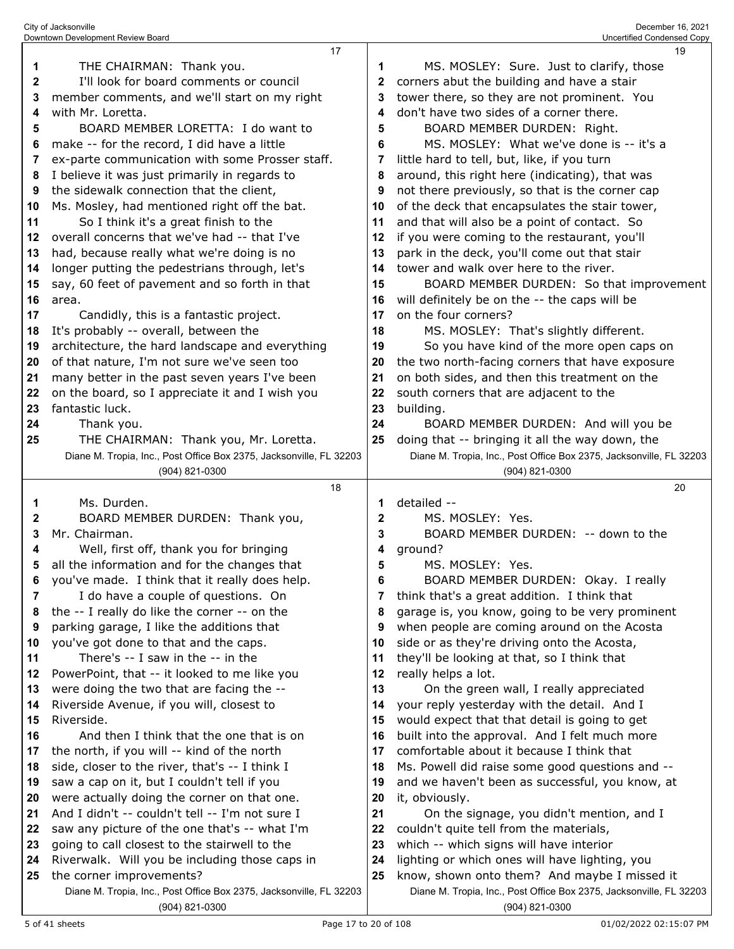|          | Downtown Development Review Board                                                     |          | Uncertified Condensed Copy                                                                 |
|----------|---------------------------------------------------------------------------------------|----------|--------------------------------------------------------------------------------------------|
|          | 17                                                                                    |          | 19                                                                                         |
| 1        | THE CHAIRMAN: Thank you.                                                              | 1        | MS. MOSLEY: Sure. Just to clarify, those                                                   |
| 2        | I'll look for board comments or council                                               | 2        | corners abut the building and have a stair                                                 |
| 3        | member comments, and we'll start on my right                                          | 3        | tower there, so they are not prominent. You                                                |
| 4        | with Mr. Loretta.                                                                     | 4        | don't have two sides of a corner there.                                                    |
| 5        | BOARD MEMBER LORETTA: I do want to                                                    | 5        | BOARD MEMBER DURDEN: Right.                                                                |
| 6        | make -- for the record, I did have a little                                           | 6        | MS. MOSLEY: What we've done is -- it's a                                                   |
| 7        | ex-parte communication with some Prosser staff.                                       | 7        | little hard to tell, but, like, if you turn                                                |
| 8        | I believe it was just primarily in regards to                                         | 8        | around, this right here (indicating), that was                                             |
| 9        | the sidewalk connection that the client,                                              | 9        | not there previously, so that is the corner cap                                            |
| 10       | Ms. Mosley, had mentioned right off the bat.                                          | 10       | of the deck that encapsulates the stair tower,                                             |
| 11       | So I think it's a great finish to the                                                 | 11       | and that will also be a point of contact. So                                               |
| 12       | overall concerns that we've had -- that I've                                          | 12       | if you were coming to the restaurant, you'll                                               |
| 13       | had, because really what we're doing is no                                            | 13       | park in the deck, you'll come out that stair                                               |
| 14       | longer putting the pedestrians through, let's                                         | 14<br>15 | tower and walk over here to the river.<br>BOARD MEMBER DURDEN: So that improvement         |
| 15<br>16 | say, 60 feet of pavement and so forth in that<br>area.                                | 16       | will definitely be on the -- the caps will be                                              |
| 17       | Candidly, this is a fantastic project.                                                | 17       | on the four corners?                                                                       |
| 18       | It's probably -- overall, between the                                                 | 18       | MS. MOSLEY: That's slightly different.                                                     |
| 19       | architecture, the hard landscape and everything                                       | 19       | So you have kind of the more open caps on                                                  |
| 20       | of that nature, I'm not sure we've seen too                                           | 20       | the two north-facing corners that have exposure                                            |
| 21       | many better in the past seven years I've been                                         | 21       | on both sides, and then this treatment on the                                              |
| 22       | on the board, so I appreciate it and I wish you                                       | 22       | south corners that are adjacent to the                                                     |
| 23       | fantastic luck.                                                                       | 23       | building.                                                                                  |
| 24       | Thank you.                                                                            | 24       | BOARD MEMBER DURDEN: And will you be                                                       |
| 25       | THE CHAIRMAN: Thank you, Mr. Loretta.                                                 | 25       | doing that -- bringing it all the way down, the                                            |
|          | Diane M. Tropia, Inc., Post Office Box 2375, Jacksonville, FL 32203                   |          | Diane M. Tropia, Inc., Post Office Box 2375, Jacksonville, FL 32203                        |
|          |                                                                                       |          |                                                                                            |
|          | (904) 821-0300                                                                        |          | (904) 821-0300                                                                             |
|          | 18                                                                                    |          | 20                                                                                         |
| 1        | Ms. Durden.                                                                           | 1        | detailed --                                                                                |
| 2        | BOARD MEMBER DURDEN: Thank you,                                                       | 2        | MS. MOSLEY: Yes.                                                                           |
| 3        | Mr. Chairman.                                                                         | 3        | BOARD MEMBER DURDEN: -- down to the                                                        |
| 4        | Well, first off, thank you for bringing                                               | 4        | ground?                                                                                    |
| 5        | all the information and for the changes that                                          | 5        | MS. MOSLEY: Yes.                                                                           |
| 6        | you've made. I think that it really does help.                                        | 6        | BOARD MEMBER DURDEN: Okay. I really                                                        |
| 7        | I do have a couple of questions. On                                                   | 7        | think that's a great addition. I think that                                                |
| 8        | the -- I really do like the corner -- on the                                          | 8        | garage is, you know, going to be very prominent                                            |
| 9        | parking garage, I like the additions that                                             | 9        | when people are coming around on the Acosta                                                |
| 10       | you've got done to that and the caps.                                                 | 10       | side or as they're driving onto the Acosta,                                                |
| 11       | There's -- I saw in the -- in the                                                     | 11       | they'll be looking at that, so I think that                                                |
| 12       | PowerPoint, that -- it looked to me like you                                          | 12       | really helps a lot.                                                                        |
| 13       | were doing the two that are facing the --                                             | 13       | On the green wall, I really appreciated                                                    |
| 14<br>15 | Riverside Avenue, if you will, closest to                                             | 14<br>15 | your reply yesterday with the detail. And I                                                |
| 16       | Riverside.<br>And then I think that the one that is on                                | 16       | would expect that that detail is going to get                                              |
| 17       | the north, if you will -- kind of the north                                           | 17       | built into the approval. And I felt much more<br>comfortable about it because I think that |
| 18       | side, closer to the river, that's -- I think I                                        | 18       | Ms. Powell did raise some good questions and --                                            |
| 19       | saw a cap on it, but I couldn't tell if you                                           | 19       | and we haven't been as successful, you know, at                                            |
| 20       | were actually doing the corner on that one.                                           | 20       | it, obviously.                                                                             |
| 21       | And I didn't -- couldn't tell -- I'm not sure I                                       | 21       | On the signage, you didn't mention, and I                                                  |
| 22       | saw any picture of the one that's -- what I'm                                         | 22       | couldn't quite tell from the materials,                                                    |
| 23       | going to call closest to the stairwell to the                                         | 23       | which -- which signs will have interior                                                    |
| 24       | Riverwalk. Will you be including those caps in                                        | 24       | lighting or which ones will have lighting, you                                             |
| 25       | the corner improvements?                                                              | 25       | know, shown onto them? And maybe I missed it                                               |
|          | Diane M. Tropia, Inc., Post Office Box 2375, Jacksonville, FL 32203<br>(904) 821-0300 |          | Diane M. Tropia, Inc., Post Office Box 2375, Jacksonville, FL 32203<br>(904) 821-0300      |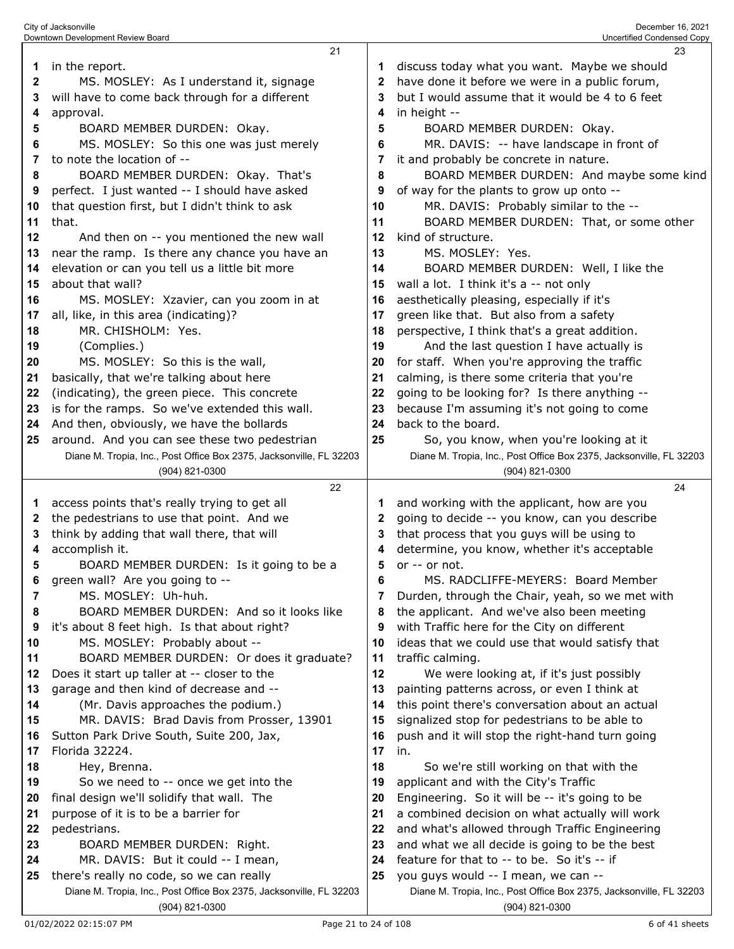|              | 21                                                                                    |          | 23                                                                                               |
|--------------|---------------------------------------------------------------------------------------|----------|--------------------------------------------------------------------------------------------------|
| 1            | in the report.                                                                        | 1        | discuss today what you want. Maybe we should                                                     |
| $\mathbf{2}$ | MS. MOSLEY: As I understand it, signage                                               | 2        | have done it before we were in a public forum,                                                   |
| 3            | will have to come back through for a different                                        | 3        | but I would assume that it would be 4 to 6 feet                                                  |
| 4            | approval.                                                                             | 4        | in height --                                                                                     |
| 5            | BOARD MEMBER DURDEN: Okay.                                                            | 5        | BOARD MEMBER DURDEN: Okay.                                                                       |
| 6            | MS. MOSLEY: So this one was just merely                                               | 6        | MR. DAVIS: -- have landscape in front of                                                         |
| 7            | to note the location of --                                                            | 7        | it and probably be concrete in nature.                                                           |
| 8            | BOARD MEMBER DURDEN: Okay. That's                                                     | 8        | BOARD MEMBER DURDEN: And maybe some kind                                                         |
| 9            | perfect. I just wanted -- I should have asked                                         | 9        | of way for the plants to grow up onto --                                                         |
| 10           | that question first, but I didn't think to ask                                        | 10       | MR. DAVIS: Probably similar to the --                                                            |
| 11           | that.                                                                                 | 11       | BOARD MEMBER DURDEN: That, or some other                                                         |
| 12           | And then on -- you mentioned the new wall                                             | 12       | kind of structure.                                                                               |
| 13           | near the ramp. Is there any chance you have an                                        | 13       | MS. MOSLEY: Yes.                                                                                 |
| 14           | elevation or can you tell us a little bit more                                        | 14       | BOARD MEMBER DURDEN: Well, I like the                                                            |
| 15           | about that wall?                                                                      | 15       | wall a lot. I think it's a -- not only                                                           |
| 16           | MS. MOSLEY: Xzavier, can you zoom in at                                               | 16       | aesthetically pleasing, especially if it's                                                       |
| 17           | all, like, in this area (indicating)?                                                 | 17       | green like that. But also from a safety                                                          |
| 18           | MR. CHISHOLM: Yes.                                                                    | 18       | perspective, I think that's a great addition.                                                    |
| 19           | (Complies.)                                                                           | 19       | And the last question I have actually is                                                         |
| 20           | MS. MOSLEY: So this is the wall,                                                      | 20       | for staff. When you're approving the traffic                                                     |
| 21           | basically, that we're talking about here                                              | 21       | calming, is there some criteria that you're                                                      |
| 22           | (indicating), the green piece. This concrete                                          | 22       | going to be looking for? Is there anything --                                                    |
| 23           | is for the ramps. So we've extended this wall.                                        | 23       | because I'm assuming it's not going to come                                                      |
| 24           | And then, obviously, we have the bollards                                             | 24       | back to the board.                                                                               |
| 25           | around. And you can see these two pedestrian                                          | 25       | So, you know, when you're looking at it                                                          |
|              | Diane M. Tropia, Inc., Post Office Box 2375, Jacksonville, FL 32203                   |          | Diane M. Tropia, Inc., Post Office Box 2375, Jacksonville, FL 32203                              |
|              | (904) 821-0300                                                                        |          | (904) 821-0300                                                                                   |
|              |                                                                                       |          |                                                                                                  |
|              | 22                                                                                    |          | 24                                                                                               |
| 1            | access points that's really trying to get all                                         | 1        | and working with the applicant, how are you                                                      |
| 2            | the pedestrians to use that point. And we                                             | 2        | going to decide -- you know, can you describe                                                    |
| 3            | think by adding that wall there, that will                                            | 3        | that process that you guys will be using to                                                      |
| 4            | accomplish it.                                                                        | 4        | determine, you know, whether it's acceptable                                                     |
| 5            | BOARD MEMBER DURDEN: Is it going to be a                                              | 5        | or -- or not.                                                                                    |
| 6            | green wall? Are you going to --                                                       | 6        | MS. RADCLIFFE-MEYERS: Board Member                                                               |
| 7            | MS. MOSLEY: Uh-huh.                                                                   | 7        | Durden, through the Chair, yeah, so we met with                                                  |
| 8            | BOARD MEMBER DURDEN: And so it looks like                                             | 8        | the applicant. And we've also been meeting                                                       |
| 9            | it's about 8 feet high. Is that about right?                                          | 9        | with Traffic here for the City on different                                                      |
| 10           | MS. MOSLEY: Probably about --                                                         | 10       | ideas that we could use that would satisfy that                                                  |
| 11<br>12     | BOARD MEMBER DURDEN: Or does it graduate?                                             | 11       | traffic calming.                                                                                 |
|              | Does it start up taller at -- closer to the                                           | 12       | We were looking at, if it's just possibly                                                        |
| 13<br>14     | garage and then kind of decrease and --                                               | 13<br>14 | painting patterns across, or even I think at                                                     |
| 15           | (Mr. Davis approaches the podium.)<br>MR. DAVIS: Brad Davis from Prosser, 13901       | 15       | this point there's conversation about an actual                                                  |
| 16           | Sutton Park Drive South, Suite 200, Jax,                                              | 16       | signalized stop for pedestrians to be able to<br>push and it will stop the right-hand turn going |
| 17           | Florida 32224.                                                                        | 17       | in.                                                                                              |
| 18           | Hey, Brenna.                                                                          | 18       | So we're still working on that with the                                                          |
| 19           | So we need to -- once we get into the                                                 | 19       | applicant and with the City's Traffic                                                            |
| 20           | final design we'll solidify that wall. The                                            | 20       | Engineering. So it will be -- it's going to be                                                   |
| 21           | purpose of it is to be a barrier for                                                  | 21       | a combined decision on what actually will work                                                   |
| 22           | pedestrians.                                                                          | 22       | and what's allowed through Traffic Engineering                                                   |
| 23           | BOARD MEMBER DURDEN: Right.                                                           | 23       | and what we all decide is going to be the best                                                   |
| 24           | MR. DAVIS: But it could -- I mean,                                                    | 24       | feature for that to -- to be. So it's -- if                                                      |
| 25           | there's really no code, so we can really                                              | 25       | you guys would -- I mean, we can --                                                              |
|              | Diane M. Tropia, Inc., Post Office Box 2375, Jacksonville, FL 32203<br>(904) 821-0300 |          | Diane M. Tropia, Inc., Post Office Box 2375, Jacksonville, FL 32203<br>(904) 821-0300            |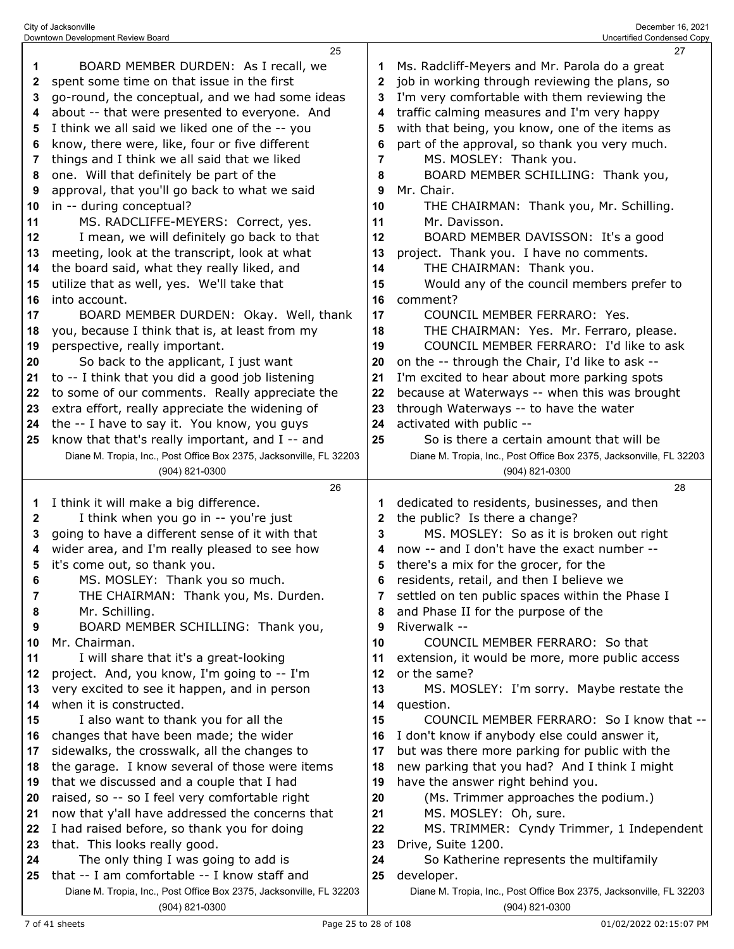|              | 25                                                                                    |              | 27                                                                                    |
|--------------|---------------------------------------------------------------------------------------|--------------|---------------------------------------------------------------------------------------|
| 1            | BOARD MEMBER DURDEN: As I recall, we                                                  | 1            | Ms. Radcliff-Meyers and Mr. Parola do a great                                         |
| $\mathbf{2}$ | spent some time on that issue in the first                                            | $\mathbf{2}$ | job in working through reviewing the plans, so                                        |
| 3            | go-round, the conceptual, and we had some ideas                                       | 3            | I'm very comfortable with them reviewing the                                          |
| 4            | about -- that were presented to everyone. And                                         | 4            | traffic calming measures and I'm very happy                                           |
| 5            | I think we all said we liked one of the -- you                                        | 5            | with that being, you know, one of the items as                                        |
| 6            | know, there were, like, four or five different                                        | 6            | part of the approval, so thank you very much.                                         |
| 7            | things and I think we all said that we liked                                          | 7            | MS. MOSLEY: Thank you.                                                                |
| 8            | one. Will that definitely be part of the                                              | 8            | BOARD MEMBER SCHILLING: Thank you,                                                    |
| 9            | approval, that you'll go back to what we said                                         | 9            | Mr. Chair.                                                                            |
| 10           | in -- during conceptual?                                                              | 10           | THE CHAIRMAN: Thank you, Mr. Schilling.                                               |
| 11           | MS. RADCLIFFE-MEYERS: Correct, yes.                                                   | 11           | Mr. Davisson.                                                                         |
| 12           | I mean, we will definitely go back to that                                            | 12           | BOARD MEMBER DAVISSON: It's a good                                                    |
| 13           | meeting, look at the transcript, look at what                                         | 13           | project. Thank you. I have no comments.                                               |
| 14           | the board said, what they really liked, and                                           | 14           | THE CHAIRMAN: Thank you.                                                              |
| 15           | utilize that as well, yes. We'll take that                                            | 15           | Would any of the council members prefer to                                            |
| 16           | into account.                                                                         | 16           | comment?                                                                              |
| 17           | BOARD MEMBER DURDEN: Okay. Well, thank                                                | 17           | COUNCIL MEMBER FERRARO: Yes.                                                          |
| 18           | you, because I think that is, at least from my                                        | 18           | THE CHAIRMAN: Yes. Mr. Ferraro, please.                                               |
| 19           | perspective, really important.                                                        | 19           | COUNCIL MEMBER FERRARO: I'd like to ask                                               |
| 20           | So back to the applicant, I just want                                                 | 20           | on the -- through the Chair, I'd like to ask --                                       |
| 21           | to -- I think that you did a good job listening                                       | 21           | I'm excited to hear about more parking spots                                          |
| 22           | to some of our comments. Really appreciate the                                        | 22           | because at Waterways -- when this was brought                                         |
| 23           | extra effort, really appreciate the widening of                                       | 23           | through Waterways -- to have the water                                                |
| 24           | the -- I have to say it. You know, you guys                                           | 24           | activated with public --                                                              |
| 25           | know that that's really important, and I -- and                                       | 25           | So is there a certain amount that will be                                             |
|              | Diane M. Tropia, Inc., Post Office Box 2375, Jacksonville, FL 32203                   |              | Diane M. Tropia, Inc., Post Office Box 2375, Jacksonville, FL 32203                   |
|              | (904) 821-0300                                                                        |              | (904) 821-0300                                                                        |
|              |                                                                                       |              |                                                                                       |
|              | 26                                                                                    |              | 28                                                                                    |
| 1            | I think it will make a big difference.                                                | 1            | dedicated to residents, businesses, and then                                          |
| $\mathbf{2}$ | I think when you go in -- you're just                                                 | $\mathbf{2}$ | the public? Is there a change?                                                        |
| 3            | going to have a different sense of it with that                                       | 3            | MS. MOSLEY: So as it is broken out right                                              |
| 4            | wider area, and I'm really pleased to see how                                         | 4            | now -- and I don't have the exact number --                                           |
| 5            | it's come out, so thank you.                                                          | 5            | there's a mix for the grocer, for the                                                 |
| 6            | MS. MOSLEY: Thank you so much.                                                        | 6            | residents, retail, and then I believe we                                              |
| 7            | THE CHAIRMAN: Thank you, Ms. Durden.                                                  |              | settled on ten public spaces within the Phase I                                       |
| 8            | Mr. Schilling.                                                                        | 8            | and Phase II for the purpose of the                                                   |
| 9            | BOARD MEMBER SCHILLING: Thank you,                                                    | 9            | Riverwalk --                                                                          |
| 10           | Mr. Chairman.                                                                         | 10           | COUNCIL MEMBER FERRARO: So that                                                       |
| 11           | I will share that it's a great-looking                                                | 11           | extension, it would be more, more public access                                       |
| 12           | project. And, you know, I'm going to -- I'm                                           | 12           | or the same?                                                                          |
| 13           | very excited to see it happen, and in person                                          | 13           | MS. MOSLEY: I'm sorry. Maybe restate the                                              |
| 14           | when it is constructed.                                                               | 14           | question.                                                                             |
| 15           | I also want to thank you for all the                                                  | 15           | COUNCIL MEMBER FERRARO: So I know that --                                             |
| 16           | changes that have been made; the wider                                                | 16           | I don't know if anybody else could answer it,                                         |
| 17           | sidewalks, the crosswalk, all the changes to                                          | 17           | but was there more parking for public with the                                        |
| 18           | the garage. I know several of those were items                                        | 18           | new parking that you had? And I think I might                                         |
| 19           | that we discussed and a couple that I had                                             | 19           | have the answer right behind you.                                                     |
| 20           | raised, so -- so I feel very comfortable right                                        | 20           | (Ms. Trimmer approaches the podium.)                                                  |
| 21           | now that y'all have addressed the concerns that                                       | 21           | MS. MOSLEY: Oh, sure.                                                                 |
| 22           | I had raised before, so thank you for doing                                           | 22           | MS. TRIMMER: Cyndy Trimmer, 1 Independent                                             |
| 23           | that. This looks really good.                                                         | 23           | Drive, Suite 1200.                                                                    |
| 24           | The only thing I was going to add is                                                  | 24           | So Katherine represents the multifamily                                               |
| 25           | that -- I am comfortable -- I know staff and                                          | 25           | developer.                                                                            |
|              | Diane M. Tropia, Inc., Post Office Box 2375, Jacksonville, FL 32203<br>(904) 821-0300 |              | Diane M. Tropia, Inc., Post Office Box 2375, Jacksonville, FL 32203<br>(904) 821-0300 |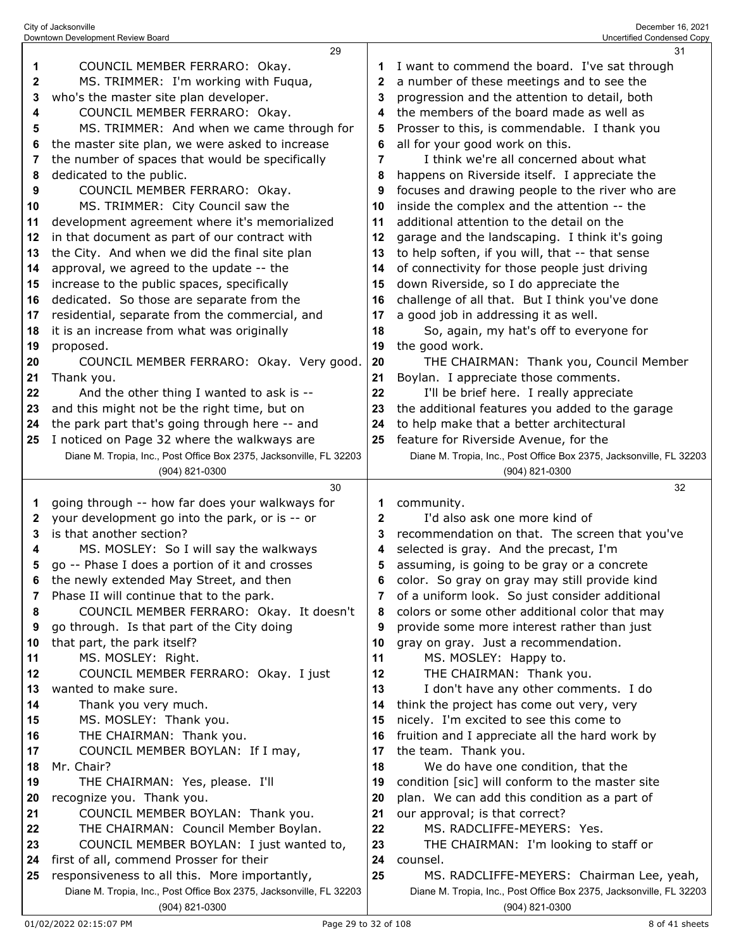|    | 29                                                                                    |              | 31                                                                                    |
|----|---------------------------------------------------------------------------------------|--------------|---------------------------------------------------------------------------------------|
| 1  | COUNCIL MEMBER FERRARO: Okay.                                                         |              | I want to commend the board. I've sat through                                         |
| 2  | MS. TRIMMER: I'm working with Fuqua,                                                  | 2            | a number of these meetings and to see the                                             |
|    |                                                                                       |              |                                                                                       |
| 3  | who's the master site plan developer.                                                 | 3            | progression and the attention to detail, both                                         |
| 4  | COUNCIL MEMBER FERRARO: Okay.                                                         | 4            | the members of the board made as well as                                              |
| 5  | MS. TRIMMER: And when we came through for                                             | 5            | Prosser to this, is commendable. I thank you                                          |
| 6  | the master site plan, we were asked to increase                                       | 6            | all for your good work on this.                                                       |
| 7  | the number of spaces that would be specifically                                       | 7            | I think we're all concerned about what                                                |
| 8  | dedicated to the public.                                                              | 8            | happens on Riverside itself. I appreciate the                                         |
| 9  | COUNCIL MEMBER FERRARO: Okay.                                                         | 9            | focuses and drawing people to the river who are                                       |
| 10 | MS. TRIMMER: City Council saw the                                                     | 10           | inside the complex and the attention -- the                                           |
| 11 | development agreement where it's memorialized                                         | 11           | additional attention to the detail on the                                             |
| 12 | in that document as part of our contract with                                         | 12           | garage and the landscaping. I think it's going                                        |
| 13 | the City. And when we did the final site plan                                         | 13           | to help soften, if you will, that -- that sense                                       |
|    |                                                                                       |              |                                                                                       |
| 14 | approval, we agreed to the update -- the                                              | 14           | of connectivity for those people just driving                                         |
| 15 | increase to the public spaces, specifically                                           | 15           | down Riverside, so I do appreciate the                                                |
| 16 | dedicated. So those are separate from the                                             | 16           | challenge of all that. But I think you've done                                        |
| 17 | residential, separate from the commercial, and                                        | 17           | a good job in addressing it as well.                                                  |
| 18 | it is an increase from what was originally                                            | 18           | So, again, my hat's off to everyone for                                               |
| 19 | proposed.                                                                             | 19           | the good work.                                                                        |
| 20 | COUNCIL MEMBER FERRARO: Okay. Very good.                                              | 20           | THE CHAIRMAN: Thank you, Council Member                                               |
| 21 | Thank you.                                                                            | 21           | Boylan. I appreciate those comments.                                                  |
| 22 | And the other thing I wanted to ask is --                                             | 22           | I'll be brief here. I really appreciate                                               |
| 23 | and this might not be the right time, but on                                          | 23           | the additional features you added to the garage                                       |
| 24 | the park part that's going through here -- and                                        | 24           | to help make that a better architectural                                              |
| 25 | I noticed on Page 32 where the walkways are                                           | 25           | feature for Riverside Avenue, for the                                                 |
|    | Diane M. Tropia, Inc., Post Office Box 2375, Jacksonville, FL 32203                   |              | Diane M. Tropia, Inc., Post Office Box 2375, Jacksonville, FL 32203                   |
|    | (904) 821-0300                                                                        |              | (904) 821-0300                                                                        |
|    |                                                                                       |              |                                                                                       |
|    |                                                                                       |              |                                                                                       |
|    | 30                                                                                    |              | 32                                                                                    |
| 1  | going through -- how far does your walkways for                                       |              | community.                                                                            |
| 2  | your development go into the park, or is -- or                                        | $\mathbf{2}$ | I'd also ask one more kind of                                                         |
| 3  | is that another section?                                                              | 3            | recommendation on that. The screen that you've                                        |
| 4  | MS. MOSLEY: So I will say the walkways                                                | 4            | selected is gray. And the precast, I'm                                                |
| 5  | go -- Phase I does a portion of it and crosses                                        | 5            | assuming, is going to be gray or a concrete                                           |
|    | the newly extended May Street, and then                                               |              | color. So gray on gray may still provide kind                                         |
| 7  | Phase II will continue that to the park.                                              | 7            | of a uniform look. So just consider additional                                        |
| 8  | COUNCIL MEMBER FERRARO: Okay. It doesn't                                              | 8            | colors or some other additional color that may                                        |
| 9  | go through. Is that part of the City doing                                            | 9            | provide some more interest rather than just                                           |
| 10 | that part, the park itself?                                                           | 10           | gray on gray. Just a recommendation.                                                  |
| 11 | MS. MOSLEY: Right.                                                                    | 11           | MS. MOSLEY: Happy to.                                                                 |
| 12 | COUNCIL MEMBER FERRARO: Okay. I just                                                  | 12           | THE CHAIRMAN: Thank you.                                                              |
| 13 | wanted to make sure.                                                                  | 13           |                                                                                       |
| 14 | Thank you very much.                                                                  | 14           | I don't have any other comments. I do                                                 |
|    |                                                                                       |              | think the project has come out very, very                                             |
| 15 | MS. MOSLEY: Thank you.                                                                | 15<br>16     | nicely. I'm excited to see this come to                                               |
| 16 | THE CHAIRMAN: Thank you.                                                              |              | fruition and I appreciate all the hard work by                                        |
| 17 | COUNCIL MEMBER BOYLAN: If I may,                                                      | 17           | the team. Thank you.                                                                  |
| 18 | Mr. Chair?                                                                            | 18           | We do have one condition, that the                                                    |
| 19 | THE CHAIRMAN: Yes, please. I'll                                                       | 19           | condition [sic] will conform to the master site                                       |
| 20 | recognize you. Thank you.                                                             | 20           | plan. We can add this condition as a part of                                          |
| 21 | COUNCIL MEMBER BOYLAN: Thank you.                                                     | 21           | our approval; is that correct?                                                        |
| 22 | THE CHAIRMAN: Council Member Boylan.                                                  | 22           | MS. RADCLIFFE-MEYERS: Yes.                                                            |
| 23 | COUNCIL MEMBER BOYLAN: I just wanted to,                                              | 23           | THE CHAIRMAN: I'm looking to staff or                                                 |
| 24 | first of all, commend Prosser for their                                               | 24           | counsel.                                                                              |
| 25 | responsiveness to all this. More importantly,                                         | 25           | MS. RADCLIFFE-MEYERS: Chairman Lee, yeah,                                             |
|    | Diane M. Tropia, Inc., Post Office Box 2375, Jacksonville, FL 32203<br>(904) 821-0300 |              | Diane M. Tropia, Inc., Post Office Box 2375, Jacksonville, FL 32203<br>(904) 821-0300 |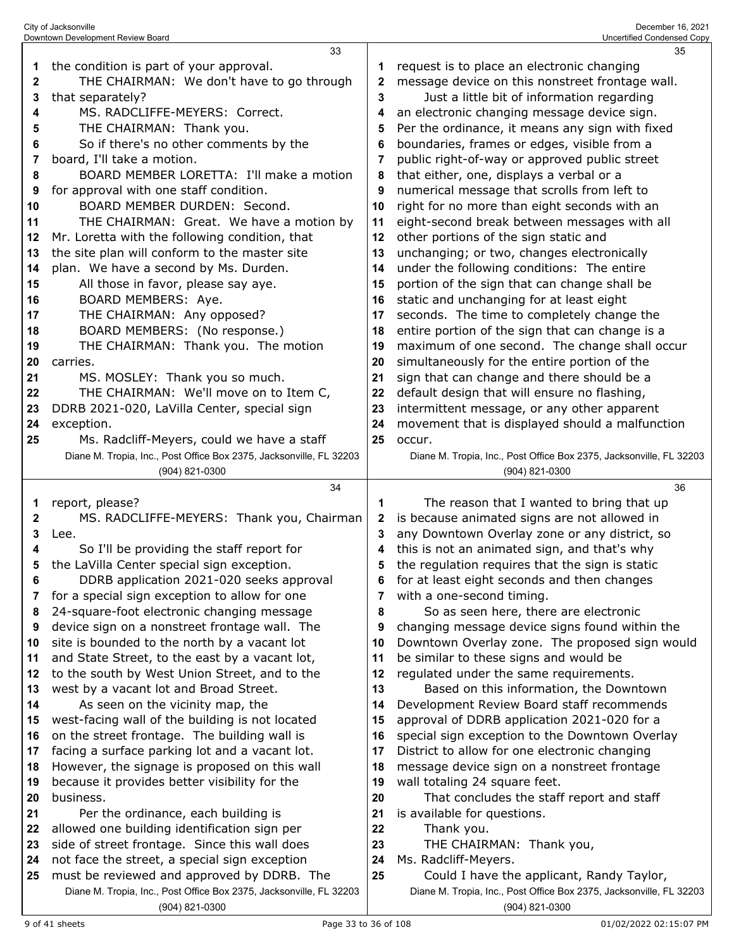|    | 33                                                                  |    | 35                                                                  |
|----|---------------------------------------------------------------------|----|---------------------------------------------------------------------|
| 1  | the condition is part of your approval.                             |    | request is to place an electronic changing                          |
| 2  | THE CHAIRMAN: We don't have to go through                           | 2  | message device on this nonstreet frontage wall.                     |
| 3  | that separately?                                                    | 3  | Just a little bit of information regarding                          |
| 4  | MS. RADCLIFFE-MEYERS: Correct.                                      | 4  | an electronic changing message device sign.                         |
| 5  | THE CHAIRMAN: Thank you.                                            | 5  | Per the ordinance, it means any sign with fixed                     |
| 6  | So if there's no other comments by the                              | 6  | boundaries, frames or edges, visible from a                         |
| 7  | board, I'll take a motion.                                          | 7  | public right-of-way or approved public street                       |
| 8  | BOARD MEMBER LORETTA: I'll make a motion                            | 8  | that either, one, displays a verbal or a                            |
|    | for approval with one staff condition.                              | 9  | numerical message that scrolls from left to                         |
| 9  |                                                                     |    |                                                                     |
| 10 | BOARD MEMBER DURDEN: Second.                                        | 10 | right for no more than eight seconds with an                        |
| 11 | THE CHAIRMAN: Great. We have a motion by                            | 11 | eight-second break between messages with all                        |
| 12 | Mr. Loretta with the following condition, that                      | 12 | other portions of the sign static and                               |
| 13 | the site plan will conform to the master site                       | 13 | unchanging; or two, changes electronically                          |
| 14 | plan. We have a second by Ms. Durden.                               | 14 | under the following conditions: The entire                          |
| 15 | All those in favor, please say aye.                                 | 15 | portion of the sign that can change shall be                        |
| 16 | BOARD MEMBERS: Aye.                                                 | 16 | static and unchanging for at least eight                            |
| 17 | THE CHAIRMAN: Any opposed?                                          | 17 | seconds. The time to completely change the                          |
| 18 | BOARD MEMBERS: (No response.)                                       | 18 | entire portion of the sign that can change is a                     |
| 19 | THE CHAIRMAN: Thank you. The motion                                 | 19 | maximum of one second. The change shall occur                       |
| 20 | carries.                                                            | 20 | simultaneously for the entire portion of the                        |
| 21 | MS. MOSLEY: Thank you so much.                                      | 21 | sign that can change and there should be a                          |
| 22 | THE CHAIRMAN: We'll move on to Item C,                              | 22 | default design that will ensure no flashing,                        |
| 23 | DDRB 2021-020, LaVilla Center, special sign                         | 23 | intermittent message, or any other apparent                         |
| 24 | exception.                                                          | 24 | movement that is displayed should a malfunction                     |
| 25 | Ms. Radcliff-Meyers, could we have a staff                          | 25 | occur.                                                              |
|    | Diane M. Tropia, Inc., Post Office Box 2375, Jacksonville, FL 32203 |    | Diane M. Tropia, Inc., Post Office Box 2375, Jacksonville, FL 32203 |
|    | (904) 821-0300                                                      |    | (904) 821-0300                                                      |
|    |                                                                     |    |                                                                     |
|    |                                                                     |    | 36                                                                  |
|    | 34                                                                  |    |                                                                     |
| 1  | report, please?                                                     | 1  | The reason that I wanted to bring that up                           |
| 2  | MS. RADCLIFFE-MEYERS: Thank you, Chairman                           | 2  | is because animated signs are not allowed in                        |
| 3  | Lee.                                                                | 3  | any Downtown Overlay zone or any district, so                       |
| 4  | So I'll be providing the staff report for                           | 4  | this is not an animated sign, and that's why                        |
| 5  | the LaVilla Center special sign exception.                          | 5  | the regulation requires that the sign is static                     |
|    | DDRB application 2021-020 seeks approval                            | ĥ  | for at least eight seconds and then changes                         |
| 7  | for a special sign exception to allow for one                       | 7  | with a one-second timing.                                           |
| 8  | 24-square-foot electronic changing message                          | 8  | So as seen here, there are electronic                               |
| 9  | device sign on a nonstreet frontage wall. The                       | 9  | changing message device signs found within the                      |
| 10 | site is bounded to the north by a vacant lot                        | 10 | Downtown Overlay zone. The proposed sign would                      |
| 11 | and State Street, to the east by a vacant lot,                      | 11 | be similar to these signs and would be                              |
| 12 | to the south by West Union Street, and to the                       | 12 | regulated under the same requirements.                              |
| 13 | west by a vacant lot and Broad Street.                              | 13 | Based on this information, the Downtown                             |
| 14 | As seen on the vicinity map, the                                    | 14 | Development Review Board staff recommends                           |
| 15 | west-facing wall of the building is not located                     | 15 | approval of DDRB application 2021-020 for a                         |
| 16 | on the street frontage. The building wall is                        | 16 | special sign exception to the Downtown Overlay                      |
| 17 | facing a surface parking lot and a vacant lot.                      | 17 | District to allow for one electronic changing                       |
| 18 | However, the signage is proposed on this wall                       | 18 | message device sign on a nonstreet frontage                         |
| 19 | because it provides better visibility for the                       | 19 | wall totaling 24 square feet.                                       |
| 20 | business.                                                           | 20 | That concludes the staff report and staff                           |
| 21 | Per the ordinance, each building is                                 | 21 | is available for questions.                                         |
| 22 | allowed one building identification sign per                        | 22 | Thank you.                                                          |
| 23 | side of street frontage. Since this wall does                       | 23 | THE CHAIRMAN: Thank you,                                            |
| 24 | not face the street, a special sign exception                       | 24 | Ms. Radcliff-Meyers.                                                |
| 25 | must be reviewed and approved by DDRB. The                          | 25 | Could I have the applicant, Randy Taylor,                           |
|    | Diane M. Tropia, Inc., Post Office Box 2375, Jacksonville, FL 32203 |    | Diane M. Tropia, Inc., Post Office Box 2375, Jacksonville, FL 32203 |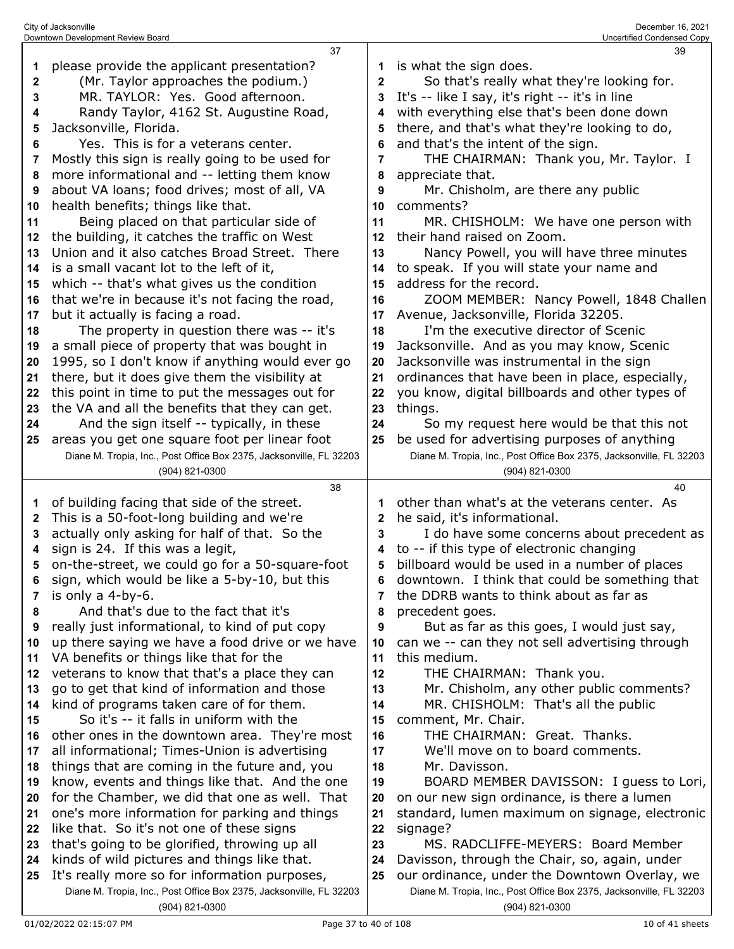|    | 37                                                                                       |        | 39                                                                                    |
|----|------------------------------------------------------------------------------------------|--------|---------------------------------------------------------------------------------------|
| 1  | please provide the applicant presentation?                                               | 1      | is what the sign does.                                                                |
| 2  | (Mr. Taylor approaches the podium.)                                                      | 2      | So that's really what they're looking for.                                            |
| 3  | MR. TAYLOR: Yes. Good afternoon.                                                         | 3      | It's -- like I say, it's right -- it's in line                                        |
| 4  | Randy Taylor, 4162 St. Augustine Road,                                                   | 4      | with everything else that's been done down                                            |
| 5  | Jacksonville, Florida.                                                                   | 5      | there, and that's what they're looking to do,                                         |
| 6  | Yes. This is for a veterans center.                                                      | 6      | and that's the intent of the sign.                                                    |
| 7  | Mostly this sign is really going to be used for                                          | 7      | THE CHAIRMAN: Thank you, Mr. Taylor. I                                                |
| 8  | more informational and -- letting them know                                              | 8      | appreciate that.                                                                      |
| 9  | about VA loans; food drives; most of all, VA                                             | 9      | Mr. Chisholm, are there any public                                                    |
| 10 | health benefits; things like that.                                                       | 10     | comments?                                                                             |
| 11 | Being placed on that particular side of                                                  | 11     | MR. CHISHOLM: We have one person with                                                 |
| 12 | the building, it catches the traffic on West                                             | 12     | their hand raised on Zoom.                                                            |
| 13 | Union and it also catches Broad Street. There                                            | 13     | Nancy Powell, you will have three minutes                                             |
| 14 | is a small vacant lot to the left of it,                                                 | 14     | to speak. If you will state your name and                                             |
| 15 | which -- that's what gives us the condition                                              | 15     | address for the record.                                                               |
| 16 | that we're in because it's not facing the road,                                          | 16     | ZOOM MEMBER: Nancy Powell, 1848 Challen                                               |
| 17 | but it actually is facing a road.                                                        | 17     | Avenue, Jacksonville, Florida 32205.                                                  |
| 18 | The property in question there was -- it's                                               | 18     | I'm the executive director of Scenic                                                  |
| 19 | a small piece of property that was bought in                                             | 19     | Jacksonville. And as you may know, Scenic                                             |
| 20 | 1995, so I don't know if anything would ever go                                          | 20     | Jacksonville was instrumental in the sign                                             |
| 21 | there, but it does give them the visibility at                                           | 21     | ordinances that have been in place, especially,                                       |
|    |                                                                                          |        | you know, digital billboards and other types of                                       |
| 22 | this point in time to put the messages out for                                           | 22     |                                                                                       |
| 23 | the VA and all the benefits that they can get.                                           | 23     | things.                                                                               |
| 24 | And the sign itself -- typically, in these                                               | 24     | So my request here would be that this not                                             |
| 25 | areas you get one square foot per linear foot                                            | 25     | be used for advertising purposes of anything                                          |
|    | Diane M. Tropia, Inc., Post Office Box 2375, Jacksonville, FL 32203                      |        | Diane M. Tropia, Inc., Post Office Box 2375, Jacksonville, FL 32203                   |
|    | (904) 821-0300                                                                           |        | (904) 821-0300                                                                        |
|    | 38                                                                                       |        | 40<br>other than what's at the veterans center. As                                    |
| 1  | of building facing that side of the street.<br>This is a 50-foot-long building and we're | 1      |                                                                                       |
| 2  | actually only asking for half of that. So the                                            | 2<br>3 | he said, it's informational.<br>I do have some concerns about precedent as            |
| 3  |                                                                                          | 4      |                                                                                       |
|    |                                                                                          |        |                                                                                       |
| 4  | sign is 24. If this was a legit,                                                         |        | to -- if this type of electronic changing                                             |
| 5  | on-the-street, we could go for a 50-square-foot                                          | 5      | billboard would be used in a number of places                                         |
| 6  | sign, which would be like a 5-by-10, but this                                            | 6      | downtown. I think that could be something that                                        |
| 7  | is only a 4-by-6.                                                                        | 7      | the DDRB wants to think about as far as                                               |
| 8  | And that's due to the fact that it's                                                     | 8      | precedent goes.                                                                       |
| 9  | really just informational, to kind of put copy                                           | 9      | But as far as this goes, I would just say,                                            |
| 10 | up there saying we have a food drive or we have                                          | 10     | can we -- can they not sell advertising through                                       |
| 11 | VA benefits or things like that for the                                                  | 11     | this medium.                                                                          |
| 12 | veterans to know that that's a place they can                                            | 12     | THE CHAIRMAN: Thank you.                                                              |
| 13 | go to get that kind of information and those                                             | 13     | Mr. Chisholm, any other public comments?                                              |
| 14 | kind of programs taken care of for them.                                                 | 14     | MR. CHISHOLM: That's all the public                                                   |
| 15 | So it's -- it falls in uniform with the                                                  | 15     | comment, Mr. Chair.                                                                   |
| 16 | other ones in the downtown area. They're most                                            | 16     | THE CHAIRMAN: Great. Thanks.                                                          |
| 17 | all informational; Times-Union is advertising                                            | 17     | We'll move on to board comments.                                                      |
| 18 | things that are coming in the future and, you                                            | 18     | Mr. Davisson.                                                                         |
| 19 | know, events and things like that. And the one                                           | 19     | BOARD MEMBER DAVISSON: I guess to Lori,                                               |
| 20 | for the Chamber, we did that one as well. That                                           | 20     | on our new sign ordinance, is there a lumen                                           |
| 21 | one's more information for parking and things                                            | 21     | standard, lumen maximum on signage, electronic                                        |
| 22 | like that. So it's not one of these signs                                                | 22     | signage?                                                                              |
| 23 | that's going to be glorified, throwing up all                                            | 23     | MS. RADCLIFFE-MEYERS: Board Member                                                    |
| 24 | kinds of wild pictures and things like that.                                             | 24     | Davisson, through the Chair, so, again, under                                         |
| 25 | It's really more so for information purposes,                                            | 25     | our ordinance, under the Downtown Overlay, we                                         |
|    | Diane M. Tropia, Inc., Post Office Box 2375, Jacksonville, FL 32203<br>(904) 821-0300    |        | Diane M. Tropia, Inc., Post Office Box 2375, Jacksonville, FL 32203<br>(904) 821-0300 |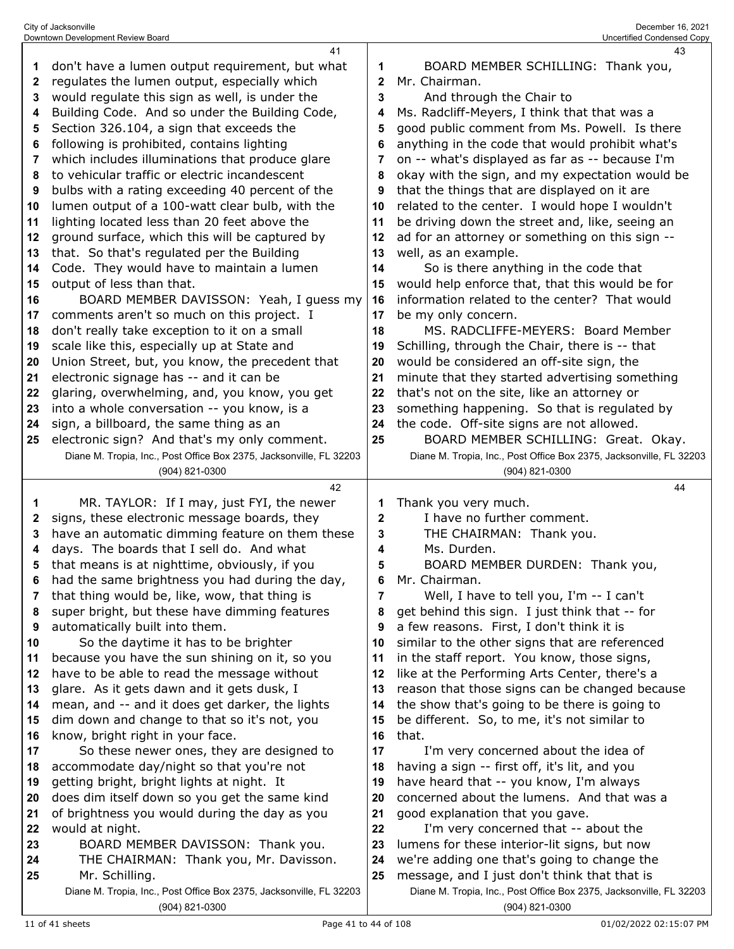|    | 41                                                                  |             | 43                                                                                          |
|----|---------------------------------------------------------------------|-------------|---------------------------------------------------------------------------------------------|
| 1  | don't have a lumen output requirement, but what                     | 1           | BOARD MEMBER SCHILLING: Thank you,                                                          |
| 2  | regulates the lumen output, especially which                        | 2           | Mr. Chairman.                                                                               |
| 3  | would regulate this sign as well, is under the                      | 3           | And through the Chair to                                                                    |
| 4  | Building Code. And so under the Building Code,                      | 4           | Ms. Radcliff-Meyers, I think that that was a                                                |
| 5  | Section 326.104, a sign that exceeds the                            | 5           | good public comment from Ms. Powell. Is there                                               |
| 6  | following is prohibited, contains lighting                          | 6           | anything in the code that would prohibit what's                                             |
| 7  | which includes illuminations that produce glare                     | 7           | on -- what's displayed as far as -- because I'm                                             |
| 8  | to vehicular traffic or electric incandescent                       | 8           | okay with the sign, and my expectation would be                                             |
| 9  | bulbs with a rating exceeding 40 percent of the                     | 9           | that the things that are displayed on it are                                                |
|    |                                                                     |             |                                                                                             |
| 10 | lumen output of a 100-watt clear bulb, with the                     | 10          | related to the center. I would hope I wouldn't                                              |
| 11 | lighting located less than 20 feet above the                        | 11          | be driving down the street and, like, seeing an                                             |
| 12 | ground surface, which this will be captured by                      | 12          | ad for an attorney or something on this sign --                                             |
| 13 | that. So that's regulated per the Building                          | 13          | well, as an example.                                                                        |
| 14 | Code. They would have to maintain a lumen                           | 14          | So is there anything in the code that                                                       |
| 15 | output of less than that.                                           | 15          | would help enforce that, that this would be for                                             |
| 16 | BOARD MEMBER DAVISSON: Yeah, I guess my                             | 16          | information related to the center? That would                                               |
| 17 | comments aren't so much on this project. I                          | 17          | be my only concern.                                                                         |
| 18 | don't really take exception to it on a small                        | 18          | MS, RADCLIFFE-MEYERS: Board Member                                                          |
| 19 | scale like this, especially up at State and                         | 19          | Schilling, through the Chair, there is -- that                                              |
| 20 | Union Street, but, you know, the precedent that                     | 20          | would be considered an off-site sign, the                                                   |
| 21 | electronic signage has -- and it can be                             | 21          | minute that they started advertising something                                              |
| 22 | glaring, overwhelming, and, you know, you get                       | 22          | that's not on the site, like an attorney or                                                 |
| 23 | into a whole conversation -- you know, is a                         | 23          | something happening. So that is regulated by                                                |
| 24 | sign, a billboard, the same thing as an                             | 24          | the code. Off-site signs are not allowed.                                                   |
| 25 | electronic sign? And that's my only comment.                        | 25          | BOARD MEMBER SCHILLING: Great. Okay.                                                        |
|    | Diane M. Tropia, Inc., Post Office Box 2375, Jacksonville, FL 32203 |             | Diane M. Tropia, Inc., Post Office Box 2375, Jacksonville, FL 32203                         |
|    | (904) 821-0300                                                      |             | (904) 821-0300                                                                              |
|    | 42                                                                  |             | 44                                                                                          |
|    |                                                                     |             |                                                                                             |
| 1  | MR. TAYLOR: If I may, just FYI, the newer                           | 1           | Thank you very much.                                                                        |
| 2  | signs, these electronic message boards, they                        | $\mathbf 2$ | I have no further comment.                                                                  |
| 3  | have an automatic dimming feature on them these                     | 3           | THE CHAIRMAN: Thank you.                                                                    |
| 4  | days. The boards that I sell do. And what                           | 4           | Ms. Durden.                                                                                 |
| 5  | that means is at nighttime, obviously, if you                       | 5           | BOARD MEMBER DURDEN: Thank you,                                                             |
| 6  | had the same brightness you had during the day,                     | 6           | Mr. Chairman.                                                                               |
| 7  | that thing would be, like, wow, that thing is                       | 7           | Well, I have to tell you, I'm -- I can't                                                    |
| 8  | super bright, but these have dimming features                       | 8           | get behind this sign. I just think that -- for                                              |
| 9  | automatically built into them.                                      | 9           | a few reasons. First, I don't think it is                                                   |
| 10 | So the daytime it has to be brighter                                | 10          | similar to the other signs that are referenced                                              |
| 11 | because you have the sun shining on it, so you                      | 11          | in the staff report. You know, those signs,                                                 |
| 12 | have to be able to read the message without                         | 12          | like at the Performing Arts Center, there's a                                               |
| 13 | glare. As it gets dawn and it gets dusk, I                          | 13          | reason that those signs can be changed because                                              |
| 14 | mean, and -- and it does get darker, the lights                     | 14          | the show that's going to be there is going to                                               |
| 15 | dim down and change to that so it's not, you                        | 15          | be different. So, to me, it's not similar to                                                |
| 16 | know, bright right in your face.                                    | 16          | that.                                                                                       |
| 17 | So these newer ones, they are designed to                           | 17          | I'm very concerned about the idea of                                                        |
| 18 | accommodate day/night so that you're not                            | 18          | having a sign -- first off, it's lit, and you                                               |
| 19 | getting bright, bright lights at night. It                          | 19          | have heard that -- you know, I'm always                                                     |
| 20 | does dim itself down so you get the same kind                       | 20          | concerned about the lumens. And that was a                                                  |
| 21 | of brightness you would during the day as you                       | 21          |                                                                                             |
| 22 | would at night.                                                     | 22          | good explanation that you gave.<br>I'm very concerned that -- about the                     |
| 23 | BOARD MEMBER DAVISSON: Thank you.                                   | 23          | lumens for these interior-lit signs, but now                                                |
| 24 |                                                                     | 24          |                                                                                             |
| 25 | THE CHAIRMAN: Thank you, Mr. Davisson.<br>Mr. Schilling.            | 25          | we're adding one that's going to change the<br>message, and I just don't think that that is |
|    | Diane M. Tropia, Inc., Post Office Box 2375, Jacksonville, FL 32203 |             | Diane M. Tropia, Inc., Post Office Box 2375, Jacksonville, FL 32203                         |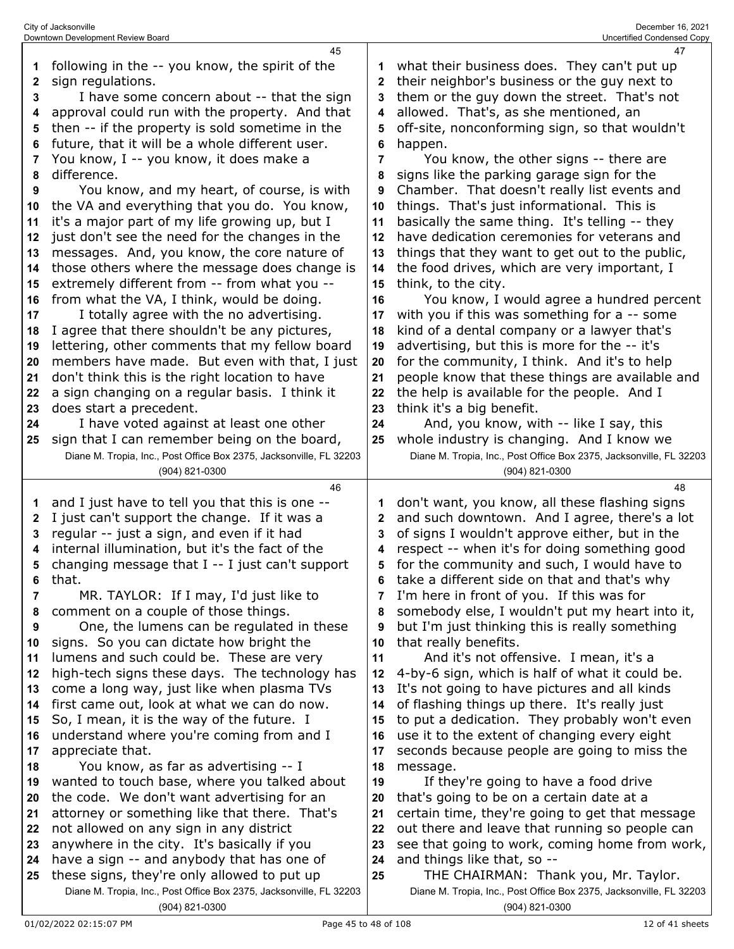|              | 45                                                                                    |                | 47                                                                                    |
|--------------|---------------------------------------------------------------------------------------|----------------|---------------------------------------------------------------------------------------|
| 1            | following in the -- you know, the spirit of the                                       | 1              | what their business does. They can't put up                                           |
| $\mathbf{2}$ | sign regulations.                                                                     | 2              | their neighbor's business or the guy next to                                          |
| 3            | I have some concern about -- that the sign                                            | 3              | them or the guy down the street. That's not                                           |
| 4            | approval could run with the property. And that                                        | 4              | allowed. That's, as she mentioned, an                                                 |
| 5            | then -- if the property is sold sometime in the                                       | 5              | off-site, nonconforming sign, so that wouldn't                                        |
| 6            | future, that it will be a whole different user.                                       | 6              | happen.                                                                               |
| 7            | You know, I -- you know, it does make a                                               | 7              | You know, the other signs -- there are                                                |
| 8            | difference.                                                                           | 8              | signs like the parking garage sign for the                                            |
| 9            | You know, and my heart, of course, is with                                            | 9              | Chamber. That doesn't really list events and                                          |
| 10           | the VA and everything that you do. You know,                                          | 10             | things. That's just informational. This is                                            |
| 11           | it's a major part of my life growing up, but I                                        | 11             | basically the same thing. It's telling -- they                                        |
| 12           | just don't see the need for the changes in the                                        | 12             | have dedication ceremonies for veterans and                                           |
| 13           | messages. And, you know, the core nature of                                           | 13             | things that they want to get out to the public,                                       |
| 14           | those others where the message does change is                                         | 14             | the food drives, which are very important, I                                          |
| 15           | extremely different from -- from what you --                                          | 15             | think, to the city.                                                                   |
| 16           | from what the VA, I think, would be doing.                                            | 16             | You know, I would agree a hundred percent                                             |
| 17           | I totally agree with the no advertising.                                              | 17             | with you if this was something for a -- some                                          |
|              |                                                                                       | 18             |                                                                                       |
| 18           | I agree that there shouldn't be any pictures,                                         |                | kind of a dental company or a lawyer that's                                           |
| 19           | lettering, other comments that my fellow board                                        | 19             | advertising, but this is more for the -- it's                                         |
| 20           | members have made. But even with that, I just                                         | 20             | for the community, I think. And it's to help                                          |
| 21           | don't think this is the right location to have                                        | 21             | people know that these things are available and                                       |
| 22           | a sign changing on a regular basis. I think it                                        | 22             | the help is available for the people. And I                                           |
| 23           | does start a precedent.                                                               | 23             | think it's a big benefit.                                                             |
| 24           | I have voted against at least one other                                               | 24             | And, you know, with -- like I say, this                                               |
| 25           | sign that I can remember being on the board,                                          | 25             | whole industry is changing. And I know we                                             |
|              | Diane M. Tropia, Inc., Post Office Box 2375, Jacksonville, FL 32203                   |                | Diane M. Tropia, Inc., Post Office Box 2375, Jacksonville, FL 32203                   |
|              | (904) 821-0300                                                                        |                | (904) 821-0300                                                                        |
|              |                                                                                       |                |                                                                                       |
|              | 46                                                                                    |                | 48                                                                                    |
| 1            | and I just have to tell you that this is one --                                       | 1              | don't want, you know, all these flashing signs                                        |
| 2            | I just can't support the change. If it was a                                          | $\mathbf{2}$   | and such downtown. And I agree, there's a lot                                         |
| 3            | regular -- just a sign, and even if it had                                            | 3              | of signs I wouldn't approve either, but in the                                        |
| 4            | internal illumination, but it's the fact of the                                       | 4              | respect -- when it's for doing something good                                         |
| 5            | changing message that I -- I just can't support                                       | 5              | for the community and such, I would have to                                           |
| 6            | that.                                                                                 | 6              | take a different side on that and that's why                                          |
| 7            | MR. TAYLOR: If I may, I'd just like to                                                | $\overline{7}$ | I'm here in front of you. If this was for                                             |
| 8            | comment on a couple of those things.                                                  | 8              | somebody else, I wouldn't put my heart into it,                                       |
| 9            | One, the lumens can be regulated in these                                             | 9              | but I'm just thinking this is really something                                        |
| 10           | signs. So you can dictate how bright the                                              | 10             | that really benefits.                                                                 |
| 11           | lumens and such could be. These are very                                              | 11             | And it's not offensive. I mean, it's a                                                |
| 12           | high-tech signs these days. The technology has                                        | 12             | 4-by-6 sign, which is half of what it could be.                                       |
| 13           | come a long way, just like when plasma TVs                                            | 13             | It's not going to have pictures and all kinds                                         |
| 14           | first came out, look at what we can do now.                                           | 14             | of flashing things up there. It's really just                                         |
| 15           | So, I mean, it is the way of the future. I                                            | 15             | to put a dedication. They probably won't even                                         |
| 16           | understand where you're coming from and I                                             | 16             | use it to the extent of changing every eight                                          |
| 17           | appreciate that.                                                                      | 17             | seconds because people are going to miss the                                          |
| 18           | You know, as far as advertising -- I                                                  | 18             | message.                                                                              |
| 19           | wanted to touch base, where you talked about                                          | 19             | If they're going to have a food drive                                                 |
| 20           | the code. We don't want advertising for an                                            | 20             | that's going to be on a certain date at a                                             |
| 21           | attorney or something like that there. That's                                         | 21             | certain time, they're going to get that message                                       |
| 22           | not allowed on any sign in any district                                               | 22             | out there and leave that running so people can                                        |
| 23           | anywhere in the city. It's basically if you                                           | 23             | see that going to work, coming home from work,                                        |
| 24           | have a sign -- and anybody that has one of                                            | 24             | and things like that, so --                                                           |
| 25           | these signs, they're only allowed to put up                                           | 25             | THE CHAIRMAN: Thank you, Mr. Taylor.                                                  |
|              | Diane M. Tropia, Inc., Post Office Box 2375, Jacksonville, FL 32203<br>(904) 821-0300 |                | Diane M. Tropia, Inc., Post Office Box 2375, Jacksonville, FL 32203<br>(904) 821-0300 |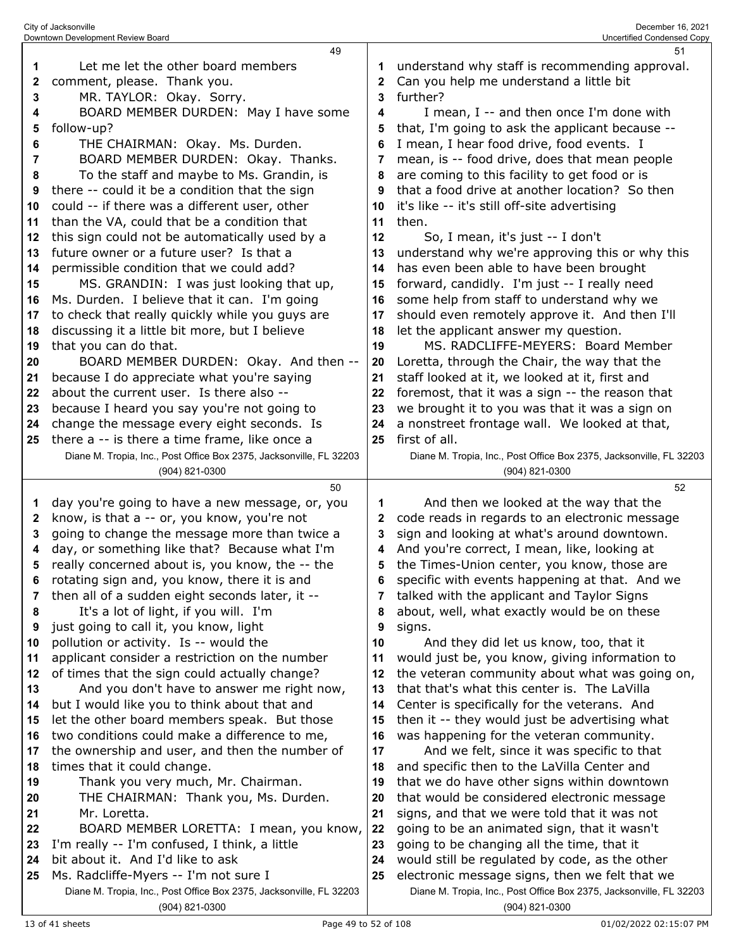|                                                                                                                               | Downtown Development Review Board                                                                                                                                                                                                                                                                                                                                                                                                                                                                                                                                                                                                                                                                                                                                                                                                                                                                                                                                                        |                                                                                                                | Uncertified Condensed Copy                                                                                                                                                                                                                                                                                                                                                                                                                                                                                                                                                                                                                                                                                                                                                                                                                                                                                                                                                                                                                  |
|-------------------------------------------------------------------------------------------------------------------------------|------------------------------------------------------------------------------------------------------------------------------------------------------------------------------------------------------------------------------------------------------------------------------------------------------------------------------------------------------------------------------------------------------------------------------------------------------------------------------------------------------------------------------------------------------------------------------------------------------------------------------------------------------------------------------------------------------------------------------------------------------------------------------------------------------------------------------------------------------------------------------------------------------------------------------------------------------------------------------------------|----------------------------------------------------------------------------------------------------------------|---------------------------------------------------------------------------------------------------------------------------------------------------------------------------------------------------------------------------------------------------------------------------------------------------------------------------------------------------------------------------------------------------------------------------------------------------------------------------------------------------------------------------------------------------------------------------------------------------------------------------------------------------------------------------------------------------------------------------------------------------------------------------------------------------------------------------------------------------------------------------------------------------------------------------------------------------------------------------------------------------------------------------------------------|
| 1<br>2<br>3<br>4<br>5<br>6<br>7<br>8<br>9<br>10<br>11<br>12<br>13<br>14<br>15<br>16<br>17<br>18<br>19<br>20<br>21<br>22<br>23 | 49<br>Let me let the other board members<br>comment, please. Thank you.<br>MR. TAYLOR: Okay. Sorry.<br>BOARD MEMBER DURDEN: May I have some<br>follow-up?<br>THE CHAIRMAN: Okay. Ms. Durden.<br>BOARD MEMBER DURDEN: Okay. Thanks.<br>To the staff and maybe to Ms. Grandin, is<br>there -- could it be a condition that the sign<br>could -- if there was a different user, other<br>than the VA, could that be a condition that<br>this sign could not be automatically used by a<br>future owner or a future user? Is that a<br>permissible condition that we could add?<br>MS. GRANDIN: I was just looking that up,<br>Ms. Durden. I believe that it can. I'm going<br>to check that really quickly while you guys are<br>discussing it a little bit more, but I believe<br>that you can do that.<br>BOARD MEMBER DURDEN: Okay. And then --<br>because I do appreciate what you're saying<br>about the current user. Is there also --<br>because I heard you say you're not going to | 2<br>3<br>4<br>5<br>8<br>9<br>10<br>11<br>12<br>13<br>14<br>15<br>16<br>17<br>18<br>19<br>20<br>21<br>22<br>23 | 51<br>understand why staff is recommending approval.<br>Can you help me understand a little bit<br>further?<br>I mean, I -- and then once I'm done with<br>that, I'm going to ask the applicant because --<br>I mean, I hear food drive, food events. I<br>mean, is -- food drive, does that mean people<br>are coming to this facility to get food or is<br>that a food drive at another location? So then<br>it's like -- it's still off-site advertising<br>then.<br>So, I mean, it's just -- I don't<br>understand why we're approving this or why this<br>has even been able to have been brought<br>forward, candidly. I'm just -- I really need<br>some help from staff to understand why we<br>should even remotely approve it. And then I'll<br>let the applicant answer my question.<br>MS, RADCLIFFE-MEYERS: Board Member<br>Loretta, through the Chair, the way that the<br>staff looked at it, we looked at it, first and<br>foremost, that it was a sign -- the reason that<br>we brought it to you was that it was a sign on |
| 24                                                                                                                            | change the message every eight seconds. Is                                                                                                                                                                                                                                                                                                                                                                                                                                                                                                                                                                                                                                                                                                                                                                                                                                                                                                                                               | 24                                                                                                             | a nonstreet frontage wall. We looked at that,                                                                                                                                                                                                                                                                                                                                                                                                                                                                                                                                                                                                                                                                                                                                                                                                                                                                                                                                                                                               |
| 25                                                                                                                            | there a -- is there a time frame, like once a                                                                                                                                                                                                                                                                                                                                                                                                                                                                                                                                                                                                                                                                                                                                                                                                                                                                                                                                            | 25                                                                                                             | first of all.                                                                                                                                                                                                                                                                                                                                                                                                                                                                                                                                                                                                                                                                                                                                                                                                                                                                                                                                                                                                                               |
|                                                                                                                               | Diane M. Tropia, Inc., Post Office Box 2375, Jacksonville, FL 32203<br>(904) 821-0300                                                                                                                                                                                                                                                                                                                                                                                                                                                                                                                                                                                                                                                                                                                                                                                                                                                                                                    |                                                                                                                | Diane M. Tropia, Inc., Post Office Box 2375, Jacksonville, FL 32203<br>(904) 821-0300                                                                                                                                                                                                                                                                                                                                                                                                                                                                                                                                                                                                                                                                                                                                                                                                                                                                                                                                                       |
|                                                                                                                               | 50                                                                                                                                                                                                                                                                                                                                                                                                                                                                                                                                                                                                                                                                                                                                                                                                                                                                                                                                                                                       |                                                                                                                |                                                                                                                                                                                                                                                                                                                                                                                                                                                                                                                                                                                                                                                                                                                                                                                                                                                                                                                                                                                                                                             |
| 1<br>2                                                                                                                        | day you're going to have a new message, or, you                                                                                                                                                                                                                                                                                                                                                                                                                                                                                                                                                                                                                                                                                                                                                                                                                                                                                                                                          | 1<br>2                                                                                                         | 52<br>And then we looked at the way that the                                                                                                                                                                                                                                                                                                                                                                                                                                                                                                                                                                                                                                                                                                                                                                                                                                                                                                                                                                                                |
| 3                                                                                                                             | know, is that a -- or, you know, you're not<br>going to change the message more than twice a                                                                                                                                                                                                                                                                                                                                                                                                                                                                                                                                                                                                                                                                                                                                                                                                                                                                                             | 3                                                                                                              | code reads in regards to an electronic message<br>sign and looking at what's around downtown.                                                                                                                                                                                                                                                                                                                                                                                                                                                                                                                                                                                                                                                                                                                                                                                                                                                                                                                                               |
| 4                                                                                                                             | day, or something like that? Because what I'm                                                                                                                                                                                                                                                                                                                                                                                                                                                                                                                                                                                                                                                                                                                                                                                                                                                                                                                                            | 4                                                                                                              | And you're correct, I mean, like, looking at                                                                                                                                                                                                                                                                                                                                                                                                                                                                                                                                                                                                                                                                                                                                                                                                                                                                                                                                                                                                |
| 5                                                                                                                             | really concerned about is, you know, the -- the                                                                                                                                                                                                                                                                                                                                                                                                                                                                                                                                                                                                                                                                                                                                                                                                                                                                                                                                          | 5                                                                                                              | the Times-Union center, you know, those are                                                                                                                                                                                                                                                                                                                                                                                                                                                                                                                                                                                                                                                                                                                                                                                                                                                                                                                                                                                                 |
| 6                                                                                                                             | rotating sign and, you know, there it is and                                                                                                                                                                                                                                                                                                                                                                                                                                                                                                                                                                                                                                                                                                                                                                                                                                                                                                                                             | 6                                                                                                              | specific with events happening at that. And we                                                                                                                                                                                                                                                                                                                                                                                                                                                                                                                                                                                                                                                                                                                                                                                                                                                                                                                                                                                              |
| 7                                                                                                                             | then all of a sudden eight seconds later, it --                                                                                                                                                                                                                                                                                                                                                                                                                                                                                                                                                                                                                                                                                                                                                                                                                                                                                                                                          | 7                                                                                                              | talked with the applicant and Taylor Signs                                                                                                                                                                                                                                                                                                                                                                                                                                                                                                                                                                                                                                                                                                                                                                                                                                                                                                                                                                                                  |
| 8                                                                                                                             | It's a lot of light, if you will. I'm                                                                                                                                                                                                                                                                                                                                                                                                                                                                                                                                                                                                                                                                                                                                                                                                                                                                                                                                                    | 8                                                                                                              | about, well, what exactly would be on these                                                                                                                                                                                                                                                                                                                                                                                                                                                                                                                                                                                                                                                                                                                                                                                                                                                                                                                                                                                                 |
| 9                                                                                                                             | just going to call it, you know, light                                                                                                                                                                                                                                                                                                                                                                                                                                                                                                                                                                                                                                                                                                                                                                                                                                                                                                                                                   | 9                                                                                                              | signs.                                                                                                                                                                                                                                                                                                                                                                                                                                                                                                                                                                                                                                                                                                                                                                                                                                                                                                                                                                                                                                      |
| 10<br>11                                                                                                                      | pollution or activity. Is -- would the<br>applicant consider a restriction on the number                                                                                                                                                                                                                                                                                                                                                                                                                                                                                                                                                                                                                                                                                                                                                                                                                                                                                                 | 10<br>11                                                                                                       | And they did let us know, too, that it<br>would just be, you know, giving information to                                                                                                                                                                                                                                                                                                                                                                                                                                                                                                                                                                                                                                                                                                                                                                                                                                                                                                                                                    |
| 12                                                                                                                            | of times that the sign could actually change?                                                                                                                                                                                                                                                                                                                                                                                                                                                                                                                                                                                                                                                                                                                                                                                                                                                                                                                                            | 12                                                                                                             | the veteran community about what was going on,                                                                                                                                                                                                                                                                                                                                                                                                                                                                                                                                                                                                                                                                                                                                                                                                                                                                                                                                                                                              |
| 13                                                                                                                            | And you don't have to answer me right now,                                                                                                                                                                                                                                                                                                                                                                                                                                                                                                                                                                                                                                                                                                                                                                                                                                                                                                                                               | 13                                                                                                             | that that's what this center is. The LaVilla                                                                                                                                                                                                                                                                                                                                                                                                                                                                                                                                                                                                                                                                                                                                                                                                                                                                                                                                                                                                |
| 14                                                                                                                            | but I would like you to think about that and                                                                                                                                                                                                                                                                                                                                                                                                                                                                                                                                                                                                                                                                                                                                                                                                                                                                                                                                             | 14                                                                                                             | Center is specifically for the veterans. And                                                                                                                                                                                                                                                                                                                                                                                                                                                                                                                                                                                                                                                                                                                                                                                                                                                                                                                                                                                                |
| 15                                                                                                                            | let the other board members speak. But those                                                                                                                                                                                                                                                                                                                                                                                                                                                                                                                                                                                                                                                                                                                                                                                                                                                                                                                                             | 15                                                                                                             | then it -- they would just be advertising what                                                                                                                                                                                                                                                                                                                                                                                                                                                                                                                                                                                                                                                                                                                                                                                                                                                                                                                                                                                              |
| 16<br>17                                                                                                                      | two conditions could make a difference to me,                                                                                                                                                                                                                                                                                                                                                                                                                                                                                                                                                                                                                                                                                                                                                                                                                                                                                                                                            | 16<br>17                                                                                                       | was happening for the veteran community.                                                                                                                                                                                                                                                                                                                                                                                                                                                                                                                                                                                                                                                                                                                                                                                                                                                                                                                                                                                                    |
| 18                                                                                                                            | the ownership and user, and then the number of<br>times that it could change.                                                                                                                                                                                                                                                                                                                                                                                                                                                                                                                                                                                                                                                                                                                                                                                                                                                                                                            | 18                                                                                                             | And we felt, since it was specific to that<br>and specific then to the LaVilla Center and                                                                                                                                                                                                                                                                                                                                                                                                                                                                                                                                                                                                                                                                                                                                                                                                                                                                                                                                                   |
| 19                                                                                                                            | Thank you very much, Mr. Chairman.                                                                                                                                                                                                                                                                                                                                                                                                                                                                                                                                                                                                                                                                                                                                                                                                                                                                                                                                                       | 19                                                                                                             | that we do have other signs within downtown                                                                                                                                                                                                                                                                                                                                                                                                                                                                                                                                                                                                                                                                                                                                                                                                                                                                                                                                                                                                 |
| 20                                                                                                                            | THE CHAIRMAN: Thank you, Ms. Durden.                                                                                                                                                                                                                                                                                                                                                                                                                                                                                                                                                                                                                                                                                                                                                                                                                                                                                                                                                     | 20                                                                                                             | that would be considered electronic message                                                                                                                                                                                                                                                                                                                                                                                                                                                                                                                                                                                                                                                                                                                                                                                                                                                                                                                                                                                                 |
| 21                                                                                                                            | Mr. Loretta.                                                                                                                                                                                                                                                                                                                                                                                                                                                                                                                                                                                                                                                                                                                                                                                                                                                                                                                                                                             | 21                                                                                                             | signs, and that we were told that it was not                                                                                                                                                                                                                                                                                                                                                                                                                                                                                                                                                                                                                                                                                                                                                                                                                                                                                                                                                                                                |
| 22                                                                                                                            | BOARD MEMBER LORETTA: I mean, you know,                                                                                                                                                                                                                                                                                                                                                                                                                                                                                                                                                                                                                                                                                                                                                                                                                                                                                                                                                  | 22                                                                                                             | going to be an animated sign, that it wasn't                                                                                                                                                                                                                                                                                                                                                                                                                                                                                                                                                                                                                                                                                                                                                                                                                                                                                                                                                                                                |
| 23<br>24                                                                                                                      | I'm really -- I'm confused, I think, a little                                                                                                                                                                                                                                                                                                                                                                                                                                                                                                                                                                                                                                                                                                                                                                                                                                                                                                                                            | 23                                                                                                             | going to be changing all the time, that it                                                                                                                                                                                                                                                                                                                                                                                                                                                                                                                                                                                                                                                                                                                                                                                                                                                                                                                                                                                                  |
| 25                                                                                                                            | bit about it. And I'd like to ask<br>Ms. Radcliffe-Myers -- I'm not sure I                                                                                                                                                                                                                                                                                                                                                                                                                                                                                                                                                                                                                                                                                                                                                                                                                                                                                                               | 24<br>25                                                                                                       | would still be regulated by code, as the other<br>electronic message signs, then we felt that we                                                                                                                                                                                                                                                                                                                                                                                                                                                                                                                                                                                                                                                                                                                                                                                                                                                                                                                                            |
|                                                                                                                               | Diane M. Tropia, Inc., Post Office Box 2375, Jacksonville, FL 32203                                                                                                                                                                                                                                                                                                                                                                                                                                                                                                                                                                                                                                                                                                                                                                                                                                                                                                                      |                                                                                                                | Diane M. Tropia, Inc., Post Office Box 2375, Jacksonville, FL 32203                                                                                                                                                                                                                                                                                                                                                                                                                                                                                                                                                                                                                                                                                                                                                                                                                                                                                                                                                                         |

City of Jacksonville December 16, 2021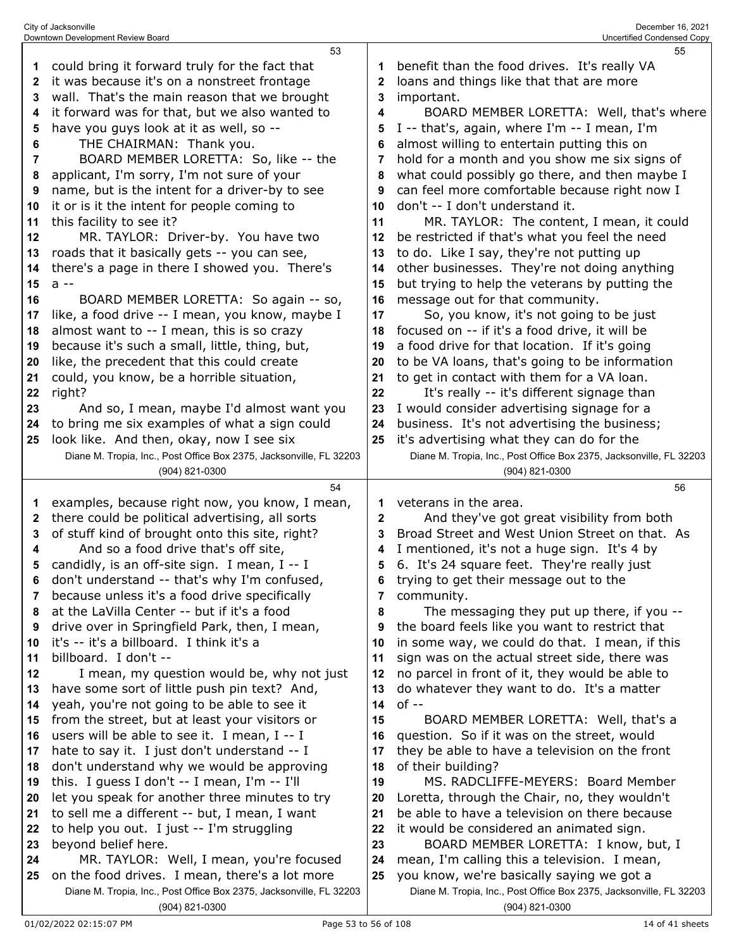|          | 53                                                                                    |          | 55                                                                                    |
|----------|---------------------------------------------------------------------------------------|----------|---------------------------------------------------------------------------------------|
| 1        | could bring it forward truly for the fact that                                        | 1        | benefit than the food drives. It's really VA                                          |
| 2        | it was because it's on a nonstreet frontage                                           | 2        | loans and things like that that are more                                              |
| 3        | wall. That's the main reason that we brought                                          | 3        | important.                                                                            |
| 4        | it forward was for that, but we also wanted to                                        | 4        | BOARD MEMBER LORETTA: Well, that's where                                              |
|          |                                                                                       |          |                                                                                       |
| 5        | have you guys look at it as well, so --                                               | 5        | I -- that's, again, where I'm -- I mean, I'm                                          |
| 6        | THE CHAIRMAN: Thank you.                                                              | 6        | almost willing to entertain putting this on                                           |
| 7        | BOARD MEMBER LORETTA: So, like -- the                                                 | 7        | hold for a month and you show me six signs of                                         |
| 8        | applicant, I'm sorry, I'm not sure of your                                            | 8        | what could possibly go there, and then maybe I                                        |
| 9        | name, but is the intent for a driver-by to see                                        | 9        | can feel more comfortable because right now I                                         |
| 10       | it or is it the intent for people coming to                                           | 10       | don't -- I don't understand it.                                                       |
| 11       | this facility to see it?                                                              | 11       | MR. TAYLOR: The content, I mean, it could                                             |
| 12       | MR. TAYLOR: Driver-by. You have two                                                   | 12       | be restricted if that's what you feel the need                                        |
| 13       | roads that it basically gets -- you can see,                                          | 13       | to do. Like I say, they're not putting up                                             |
|          |                                                                                       |          |                                                                                       |
| 14       | there's a page in there I showed you. There's                                         | 14       | other businesses. They're not doing anything                                          |
| 15       | a --                                                                                  | 15       | but trying to help the veterans by putting the                                        |
| 16       | BOARD MEMBER LORETTA: So again -- so,                                                 | 16       | message out for that community.                                                       |
| 17       | like, a food drive -- I mean, you know, maybe I                                       | 17       | So, you know, it's not going to be just                                               |
| 18       | almost want to -- I mean, this is so crazy                                            | 18       | focused on -- if it's a food drive, it will be                                        |
| 19       | because it's such a small, little, thing, but,                                        | 19       | a food drive for that location. If it's going                                         |
| 20       | like, the precedent that this could create                                            | 20       | to be VA loans, that's going to be information                                        |
| 21       | could, you know, be a horrible situation,                                             | 21       | to get in contact with them for a VA loan.                                            |
| 22       | right?                                                                                | 22       | It's really -- it's different signage than                                            |
| 23       | And so, I mean, maybe I'd almost want you                                             | 23       | I would consider advertising signage for a                                            |
|          |                                                                                       |          |                                                                                       |
| 24       | to bring me six examples of what a sign could                                         | 24       | business. It's not advertising the business;                                          |
| 25       | look like. And then, okay, now I see six                                              | 25       | it's advertising what they can do for the                                             |
|          | Diane M. Tropia, Inc., Post Office Box 2375, Jacksonville, FL 32203                   |          | Diane M. Tropia, Inc., Post Office Box 2375, Jacksonville, FL 32203                   |
|          | (904) 821-0300                                                                        |          | (904) 821-0300                                                                        |
|          |                                                                                       |          |                                                                                       |
|          | 54                                                                                    |          | 56                                                                                    |
| 1        | examples, because right now, you know, I mean,                                        | 1        | veterans in the area.                                                                 |
| 2        | there could be political advertising, all sorts                                       | 2        | And they've got great visibility from both                                            |
| 3        | of stuff kind of brought onto this site, right?                                       | 3        | Broad Street and West Union Street on that. As                                        |
| 4        |                                                                                       | 4        |                                                                                       |
|          | And so a food drive that's off site,                                                  | 5        | I mentioned, it's not a huge sign. It's 4 by                                          |
| 5        | candidly, is an off-site sign. I mean, I -- I                                         |          | 6. It's 24 square feet. They're really just                                           |
| 6        | don't understand -- that's why I'm confused,                                          | 6        | trying to get their message out to the                                                |
| 7        | because unless it's a food drive specifically                                         | 7        | community.                                                                            |
| 8        | at the LaVilla Center -- but if it's a food                                           | 8        | The messaging they put up there, if you --                                            |
| 9        | drive over in Springfield Park, then, I mean,                                         | 9        | the board feels like you want to restrict that                                        |
| 10       | it's -- it's a billboard. I think it's a                                              | 10       | in some way, we could do that. I mean, if this                                        |
| 11       | billboard. I don't --                                                                 | 11       | sign was on the actual street side, there was                                         |
| 12       | I mean, my question would be, why not just                                            | 12       | no parcel in front of it, they would be able to                                       |
| 13       | have some sort of little push pin text? And,                                          | 13       | do whatever they want to do. It's a matter                                            |
| 14       | yeah, you're not going to be able to see it                                           | 14       | $of -$                                                                                |
| 15       | from the street, but at least your visitors or                                        | 15       | BOARD MEMBER LORETTA: Well, that's a                                                  |
| 16       | users will be able to see it. I mean, I -- I                                          | 16       | question. So if it was on the street, would                                           |
|          |                                                                                       | 17       |                                                                                       |
| 17<br>18 | hate to say it. I just don't understand -- I                                          |          | they be able to have a television on the front                                        |
|          | don't understand why we would be approving                                            | 18<br>19 | of their building?                                                                    |
| 19       | this. I guess I don't -- I mean, I'm -- I'll                                          |          | MS. RADCLIFFE-MEYERS: Board Member                                                    |
| 20       | let you speak for another three minutes to try                                        | 20       | Loretta, through the Chair, no, they wouldn't                                         |
| 21       | to sell me a different -- but, I mean, I want                                         | 21       | be able to have a television on there because                                         |
| 22       | to help you out. I just -- I'm struggling                                             | 22       | it would be considered an animated sign.                                              |
| 23       | beyond belief here.                                                                   | 23       | BOARD MEMBER LORETTA: I know, but, I                                                  |
| 24       | MR. TAYLOR: Well, I mean, you're focused                                              | 24       | mean, I'm calling this a television. I mean,                                          |
| 25       | on the food drives. I mean, there's a lot more                                        | 25       | you know, we're basically saying we got a                                             |
|          | Diane M. Tropia, Inc., Post Office Box 2375, Jacksonville, FL 32203<br>(904) 821-0300 |          | Diane M. Tropia, Inc., Post Office Box 2375, Jacksonville, FL 32203<br>(904) 821-0300 |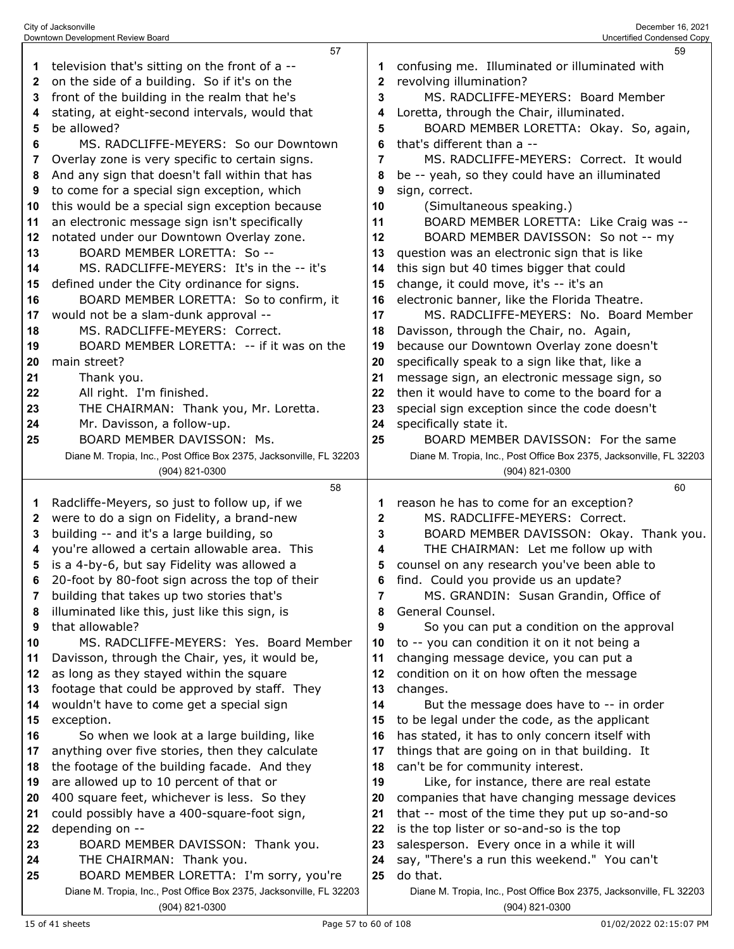|          | Downtown Development Review Board                                   |              | Uncertified Condensed Copy                                          |
|----------|---------------------------------------------------------------------|--------------|---------------------------------------------------------------------|
|          | 57                                                                  |              | 59                                                                  |
| 1        | television that's sitting on the front of a --                      | 1            | confusing me. Illuminated or illuminated with                       |
| 2        | on the side of a building. So if it's on the                        | $\mathbf{2}$ | revolving illumination?                                             |
| 3        | front of the building in the realm that he's                        | 3            | MS. RADCLIFFE-MEYERS: Board Member                                  |
| 4        | stating, at eight-second intervals, would that                      | 4            | Loretta, through the Chair, illuminated.                            |
| 5        | be allowed?                                                         | 5            | BOARD MEMBER LORETTA: Okay. So, again,                              |
| 6        | MS. RADCLIFFE-MEYERS: So our Downtown                               | 6            | that's different than a --                                          |
| 7        | Overlay zone is very specific to certain signs.                     | 7            | MS. RADCLIFFE-MEYERS: Correct. It would                             |
| 8        | And any sign that doesn't fall within that has                      | 8            | be -- yeah, so they could have an illuminated                       |
| 9        | to come for a special sign exception, which                         | 9            | sign, correct.                                                      |
| 10       | this would be a special sign exception because                      | 10           | (Simultaneous speaking.)                                            |
| 11       | an electronic message sign isn't specifically                       | 11           | BOARD MEMBER LORETTA: Like Craig was --                             |
| 12       | notated under our Downtown Overlay zone.                            | 12           | BOARD MEMBER DAVISSON: So not -- my                                 |
| 13       | BOARD MEMBER LORETTA: So --                                         | 13           | question was an electronic sign that is like                        |
| 14       | MS. RADCLIFFE-MEYERS: It's in the -- it's                           | 14           | this sign but 40 times bigger that could                            |
| 15       | defined under the City ordinance for signs.                         | 15           | change, it could move, it's -- it's an                              |
| 16       | BOARD MEMBER LORETTA: So to confirm, it                             | 16           | electronic banner, like the Florida Theatre.                        |
| 17       | would not be a slam-dunk approval --                                | 17           | MS. RADCLIFFE-MEYERS: No. Board Member                              |
| 18       | MS. RADCLIFFE-MEYERS: Correct.                                      | 18           | Davisson, through the Chair, no. Again,                             |
| 19       | BOARD MEMBER LORETTA: -- if it was on the                           | 19           | because our Downtown Overlay zone doesn't                           |
| 20       | main street?                                                        | 20           | specifically speak to a sign like that, like a                      |
| 21       | Thank you.                                                          | 21           | message sign, an electronic message sign, so                        |
| 22       | All right. I'm finished.                                            | 22           | then it would have to come to the board for a                       |
| 23       | THE CHAIRMAN: Thank you, Mr. Loretta.                               | 23           | special sign exception since the code doesn't                       |
| 24       | Mr. Davisson, a follow-up.                                          | 24           | specifically state it.                                              |
| 25       | BOARD MEMBER DAVISSON: Ms.                                          | 25           | BOARD MEMBER DAVISSON: For the same                                 |
|          | Diane M. Tropia, Inc., Post Office Box 2375, Jacksonville, FL 32203 |              | Diane M. Tropia, Inc., Post Office Box 2375, Jacksonville, FL 32203 |
|          |                                                                     |              |                                                                     |
|          | (904) 821-0300                                                      |              | (904) 821-0300                                                      |
|          | 58                                                                  |              | 60                                                                  |
| 1        | Radcliffe-Meyers, so just to follow up, if we                       | 1            | reason he has to come for an exception?                             |
| 2        | were to do a sign on Fidelity, a brand-new                          | 2            | MS. RADCLIFFE-MEYERS: Correct.                                      |
| 3        | building -- and it's a large building, so                           | 3            | BOARD MEMBER DAVISSON: Okay. Thank you.                             |
| 4        | you're allowed a certain allowable area. This                       | 4            | THE CHAIRMAN: Let me follow up with                                 |
| 5        | is a 4-by-6, but say Fidelity was allowed a                         | 5            | counsel on any research you've been able to                         |
| 6        | 20-foot by 80-foot sign across the top of their                     | 6            | find. Could you provide us an update?                               |
| 7        | building that takes up two stories that's                           | 7            | MS. GRANDIN: Susan Grandin, Office of                               |
| 8        | illuminated like this, just like this sign, is                      | 8            | General Counsel.                                                    |
| 9        | that allowable?                                                     | 9            | So you can put a condition on the approval                          |
| 10       | MS. RADCLIFFE-MEYERS: Yes. Board Member                             | 10           | to -- you can condition it on it not being a                        |
| 11       | Davisson, through the Chair, yes, it would be,                      | 11           | changing message device, you can put a                              |
| 12       | as long as they stayed within the square                            | 12           | condition on it on how often the message                            |
| 13       | footage that could be approved by staff. They                       | 13           | changes.                                                            |
| 14       | wouldn't have to come get a special sign                            | 14           | But the message does have to -- in order                            |
| 15       | exception.                                                          | 15           | to be legal under the code, as the applicant                        |
| 16       | So when we look at a large building, like                           | 16           | has stated, it has to only concern itself with                      |
| 17       | anything over five stories, then they calculate                     | 17           | things that are going on in that building. It                       |
| 18       | the footage of the building facade. And they                        | 18           | can't be for community interest.                                    |
| 19       | are allowed up to 10 percent of that or                             | 19           | Like, for instance, there are real estate                           |
| 20       | 400 square feet, whichever is less. So they                         | 20           | companies that have changing message devices                        |
| 21       | could possibly have a 400-square-foot sign,                         | 21           | that -- most of the time they put up so-and-so                      |
| 22       | depending on --                                                     | 22           | is the top lister or so-and-so is the top                           |
| 23       | BOARD MEMBER DAVISSON: Thank you.                                   | 23<br>24     | salesperson. Every once in a while it will                          |
| 24<br>25 | THE CHAIRMAN: Thank you.<br>BOARD MEMBER LORETTA: I'm sorry, you're | 25           | say, "There's a run this weekend." You can't<br>do that.            |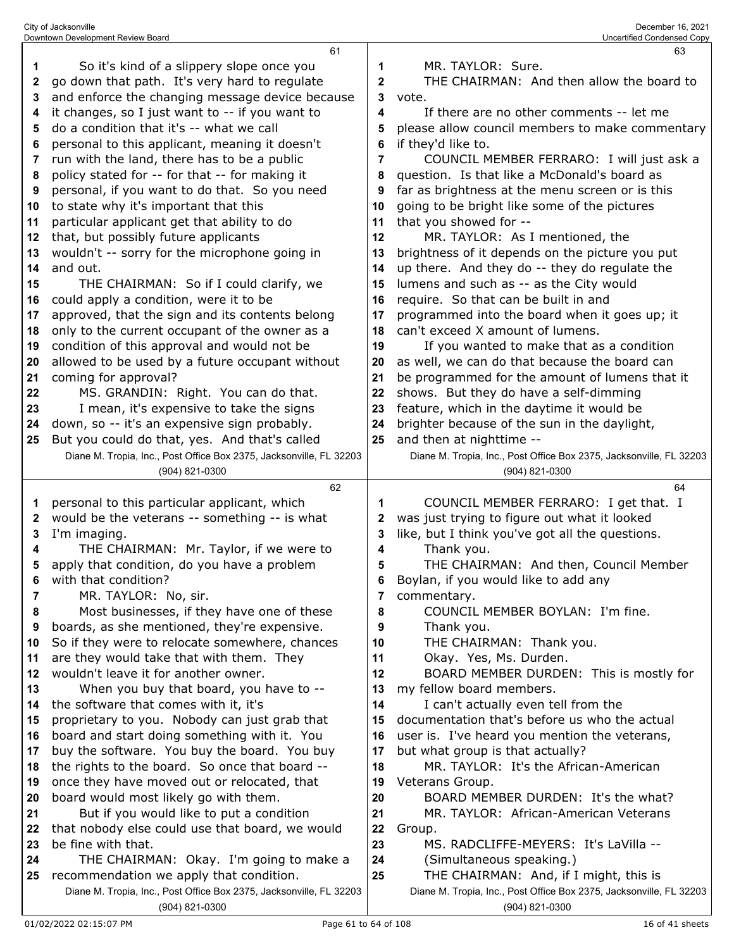|          | 61                                                                                             |              | 63                                                                                    |
|----------|------------------------------------------------------------------------------------------------|--------------|---------------------------------------------------------------------------------------|
| 1        | So it's kind of a slippery slope once you                                                      | 1            | MR. TAYLOR: Sure.                                                                     |
| 2        | go down that path. It's very hard to regulate                                                  | $\mathbf{2}$ | THE CHAIRMAN: And then allow the board to                                             |
| 3        | and enforce the changing message device because                                                | 3            | vote.                                                                                 |
| 4        | it changes, so I just want to -- if you want to                                                | 4            | If there are no other comments -- let me                                              |
| 5        | do a condition that it's -- what we call                                                       | 5            | please allow council members to make commentary                                       |
| 6        | personal to this applicant, meaning it doesn't                                                 | 6            | if they'd like to.                                                                    |
| 7        | run with the land, there has to be a public                                                    | 7            | COUNCIL MEMBER FERRARO: I will just ask a                                             |
| 8        | policy stated for -- for that -- for making it                                                 | 8            | question. Is that like a McDonald's board as                                          |
| 9        | personal, if you want to do that. So you need                                                  | 9            | far as brightness at the menu screen or is this                                       |
| 10       | to state why it's important that this                                                          | 10           | going to be bright like some of the pictures                                          |
| 11       | particular applicant get that ability to do                                                    | 11           | that you showed for --                                                                |
| 12       | that, but possibly future applicants                                                           | 12           | MR. TAYLOR: As I mentioned, the                                                       |
| 13       | wouldn't -- sorry for the microphone going in                                                  | 13           | brightness of it depends on the picture you put                                       |
| 14       | and out.                                                                                       | 14           | up there. And they do -- they do regulate the                                         |
| 15       | THE CHAIRMAN: So if I could clarify, we                                                        | 15           | lumens and such as -- as the City would                                               |
| 16       | could apply a condition, were it to be                                                         | 16           | require. So that can be built in and                                                  |
| 17       | approved, that the sign and its contents belong                                                | 17           | programmed into the board when it goes up; it                                         |
| 18       | only to the current occupant of the owner as a                                                 | 18           | can't exceed X amount of lumens.                                                      |
| 19       | condition of this approval and would not be                                                    | 19           | If you wanted to make that as a condition                                             |
| 20       | allowed to be used by a future occupant without                                                | 20           | as well, we can do that because the board can                                         |
| 21       | coming for approval?                                                                           | 21           | be programmed for the amount of lumens that it                                        |
| 22       | MS. GRANDIN: Right. You can do that.                                                           | 22           | shows. But they do have a self-dimming                                                |
| 23       | I mean, it's expensive to take the signs                                                       | 23           | feature, which in the daytime it would be                                             |
| 24       | down, so -- it's an expensive sign probably.                                                   | 24           | brighter because of the sun in the daylight,                                          |
| 25       | But you could do that, yes. And that's called                                                  | 25           | and then at nighttime --                                                              |
|          | Diane M. Tropia, Inc., Post Office Box 2375, Jacksonville, FL 32203                            |              | Diane M. Tropia, Inc., Post Office Box 2375, Jacksonville, FL 32203                   |
|          | (904) 821-0300                                                                                 |              | (904) 821-0300                                                                        |
|          | 62                                                                                             |              | 64                                                                                    |
| 1        | personal to this particular applicant, which                                                   | 1            | COUNCIL MEMBER FERRARO: I get that. I                                                 |
| 2        | would be the veterans -- something -- is what                                                  | 2            | was just trying to figure out what it looked                                          |
| 3        | I'm imaging.                                                                                   | 3            | like, but I think you've got all the questions.                                       |
| 4        | THE CHAIRMAN: Mr. Taylor, if we were to                                                        | 4            | Thank you.                                                                            |
| 5        | apply that condition, do you have a problem                                                    | 5            | THE CHAIRMAN: And then, Council Member                                                |
| 6        | with that condition?                                                                           | 6            | Boylan, if you would like to add any                                                  |
| 7        | MR. TAYLOR: No, sir.                                                                           | 7            | commentary.                                                                           |
| 8        | Most businesses, if they have one of these                                                     | 8            | COUNCIL MEMBER BOYLAN: I'm fine.                                                      |
| 9        | boards, as she mentioned, they're expensive.                                                   | 9            | Thank you.                                                                            |
| 10       | So if they were to relocate somewhere, chances                                                 | 10           | THE CHAIRMAN: Thank you.                                                              |
| 11       | are they would take that with them. They<br>wouldn't leave it for another owner.               | 11           | Okay. Yes, Ms. Durden.                                                                |
| 12       | When you buy that board, you have to --                                                        | 12           | BOARD MEMBER DURDEN: This is mostly for                                               |
| 13       |                                                                                                | 13<br>14     | my fellow board members.                                                              |
| 14       | the software that comes with it, it's                                                          |              | I can't actually even tell from the<br>documentation that's before us who the actual  |
| 15       | proprietary to you. Nobody can just grab that<br>board and start doing something with it. You  | 15           | user is. I've heard you mention the veterans,                                         |
| 16       |                                                                                                | 16           |                                                                                       |
| 17       | buy the software. You buy the board. You buy<br>the rights to the board. So once that board -- | 17           | but what group is that actually?<br>MR. TAYLOR: It's the African-American             |
| 18       | once they have moved out or relocated, that                                                    | 18<br>19     | Veterans Group.                                                                       |
| 19       | board would most likely go with them.                                                          | 20           | BOARD MEMBER DURDEN: It's the what?                                                   |
| 20<br>21 | But if you would like to put a condition                                                       | 21           | MR. TAYLOR: African-American Veterans                                                 |
|          | that nobody else could use that board, we would                                                | 22           |                                                                                       |
| 22       | be fine with that.                                                                             | 23           | Group.<br>MS. RADCLIFFE-MEYERS: It's LaVilla --                                       |
| 23<br>24 |                                                                                                | 24           | (Simultaneous speaking.)                                                              |
|          |                                                                                                |              |                                                                                       |
|          | THE CHAIRMAN: Okay. I'm going to make a                                                        |              |                                                                                       |
| 25       | recommendation we apply that condition.                                                        | 25           | THE CHAIRMAN: And, if I might, this is                                                |
|          | Diane M. Tropia, Inc., Post Office Box 2375, Jacksonville, FL 32203<br>(904) 821-0300          |              | Diane M. Tropia, Inc., Post Office Box 2375, Jacksonville, FL 32203<br>(904) 821-0300 |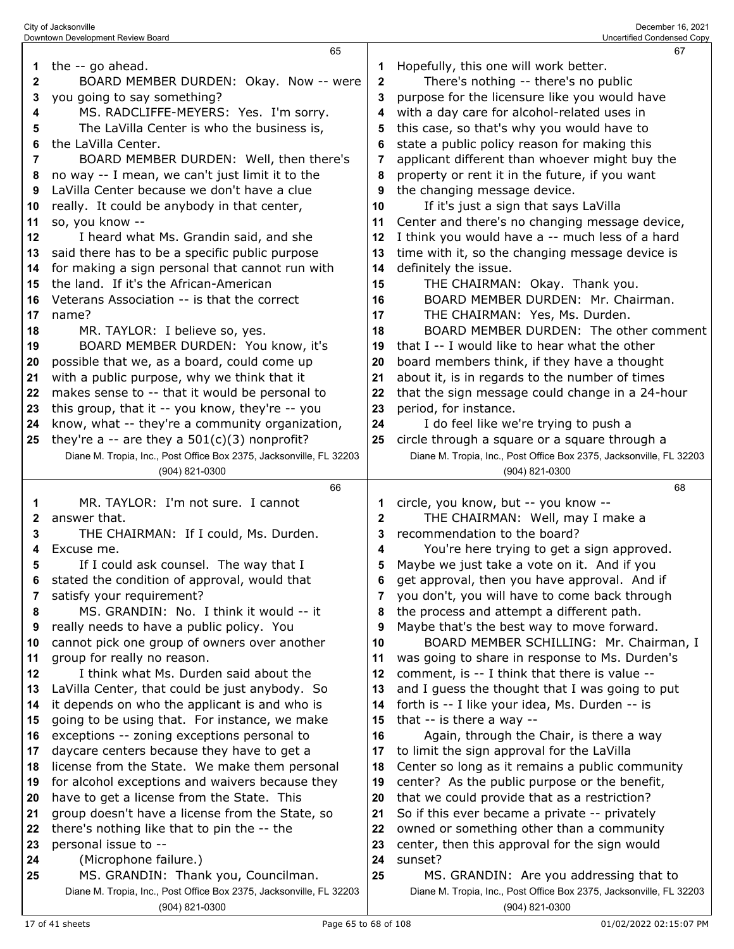|          | Downtown Development Review Board                                   |              | Uncertified Condensed Copy                                               |
|----------|---------------------------------------------------------------------|--------------|--------------------------------------------------------------------------|
|          | 65                                                                  |              | 67                                                                       |
|          | the -- go ahead.                                                    | 1            | Hopefully, this one will work better.                                    |
| 2        | BOARD MEMBER DURDEN: Okay. Now -- were                              | $\mathbf{2}$ | There's nothing -- there's no public                                     |
| 3        | you going to say something?                                         | 3            | purpose for the licensure like you would have                            |
| 4        | MS. RADCLIFFE-MEYERS: Yes. I'm sorry.                               | 4            | with a day care for alcohol-related uses in                              |
| 5        | The LaVilla Center is who the business is,                          | 5            | this case, so that's why you would have to                               |
| 6        | the LaVilla Center.                                                 | 6            | state a public policy reason for making this                             |
| 7        | BOARD MEMBER DURDEN: Well, then there's                             | 7            | applicant different than whoever might buy the                           |
| 8        | no way -- I mean, we can't just limit it to the                     | 8            | property or rent it in the future, if you want                           |
| 9        | LaVilla Center because we don't have a clue                         | 9            | the changing message device.                                             |
| 10       | really. It could be anybody in that center,                         | 10           | If it's just a sign that says LaVilla                                    |
| 11       | so, you know --                                                     | 11           | Center and there's no changing message device,                           |
| 12       | I heard what Ms. Grandin said, and she                              | 12           | I think you would have a -- much less of a hard                          |
| 13       | said there has to be a specific public purpose                      | 13           | time with it, so the changing message device is                          |
| 14       | for making a sign personal that cannot run with                     | 14           | definitely the issue.                                                    |
| 15       | the land. If it's the African-American                              | 15           | THE CHAIRMAN: Okay. Thank you.<br>BOARD MEMBER DURDEN: Mr. Chairman.     |
| 16       | Veterans Association -- is that the correct                         | 16           |                                                                          |
| 17       | name?<br>MR. TAYLOR: I believe so, yes.                             | 17           | THE CHAIRMAN: Yes, Ms. Durden.<br>BOARD MEMBER DURDEN: The other comment |
| 18<br>19 | BOARD MEMBER DURDEN: You know, it's                                 | 18<br>19     | that I -- I would like to hear what the other                            |
| 20       | possible that we, as a board, could come up                         | 20           | board members think, if they have a thought                              |
| 21       | with a public purpose, why we think that it                         | 21           | about it, is in regards to the number of times                           |
| 22       | makes sense to -- that it would be personal to                      | 22           | that the sign message could change in a 24-hour                          |
| 23       | this group, that it -- you know, they're -- you                     | 23           | period, for instance.                                                    |
| 24       | know, what -- they're a community organization,                     | 24           | I do feel like we're trying to push a                                    |
| 25       | they're a -- are they a $501(c)(3)$ nonprofit?                      | 25           | circle through a square or a square through a                            |
|          | Diane M. Tropia, Inc., Post Office Box 2375, Jacksonville, FL 32203 |              | Diane M. Tropia, Inc., Post Office Box 2375, Jacksonville, FL 32203      |
|          |                                                                     |              |                                                                          |
|          | (904) 821-0300                                                      |              | (904) 821-0300                                                           |
|          | 66                                                                  |              | 68                                                                       |
| 1        | MR. TAYLOR: I'm not sure. I cannot                                  |              | circle, you know, but -- you know --                                     |
| 2        | answer that.                                                        | $\mathbf{2}$ | THE CHAIRMAN: Well, may I make a                                         |
| 3        | THE CHAIRMAN: If I could, Ms. Durden.                               | 3            | recommendation to the board?                                             |
| 4        | Excuse me.                                                          | 4            | You're here trying to get a sign approved.                               |
| 5        | If I could ask counsel. The way that I                              | 5            | Maybe we just take a vote on it. And if you                              |
| 6        | stated the condition of approval, would that                        | 6            | get approval, then you have approval. And if                             |
| 7        | satisfy your requirement?                                           | 7            | you don't, you will have to come back through                            |
| 8        | MS. GRANDIN: No. I think it would -- it                             | 8            | the process and attempt a different path.                                |
| 9        | really needs to have a public policy. You                           | 9            | Maybe that's the best way to move forward.                               |
| 10       | cannot pick one group of owners over another                        | 10           | BOARD MEMBER SCHILLING: Mr. Chairman, I                                  |
| 11       | group for really no reason.                                         | 11           | was going to share in response to Ms. Durden's                           |
| 12       | I think what Ms. Durden said about the                              | 12           | comment, is -- I think that there is value --                            |
| 13       | LaVilla Center, that could be just anybody. So                      | 13           | and I guess the thought that I was going to put                          |
| 14       | it depends on who the applicant is and who is                       | 14           | forth is -- I like your idea, Ms. Durden -- is                           |
| 15       | going to be using that. For instance, we make                       | 15           | that -- is there a way --                                                |
| 16       | exceptions -- zoning exceptions personal to                         | 16           | Again, through the Chair, is there a way                                 |
| 17       | daycare centers because they have to get a                          | 17           | to limit the sign approval for the LaVilla                               |
| 18       | license from the State. We make them personal                       | 18           | Center so long as it remains a public community                          |
| 19       | for alcohol exceptions and waivers because they                     | 19           | center? As the public purpose or the benefit,                            |
| 20       | have to get a license from the State. This                          | 20           | that we could provide that as a restriction?                             |
| 21       | group doesn't have a license from the State, so                     | 21           | So if this ever became a private -- privately                            |
| 22<br>23 | there's nothing like that to pin the -- the                         | 22<br>23     | owned or something other than a community                                |
| 24       | personal issue to --                                                | 24           | center, then this approval for the sign would                            |
| 25       | (Microphone failure.)<br>MS. GRANDIN: Thank you, Councilman.        | 25           | sunset?<br>MS. GRANDIN: Are you addressing that to                       |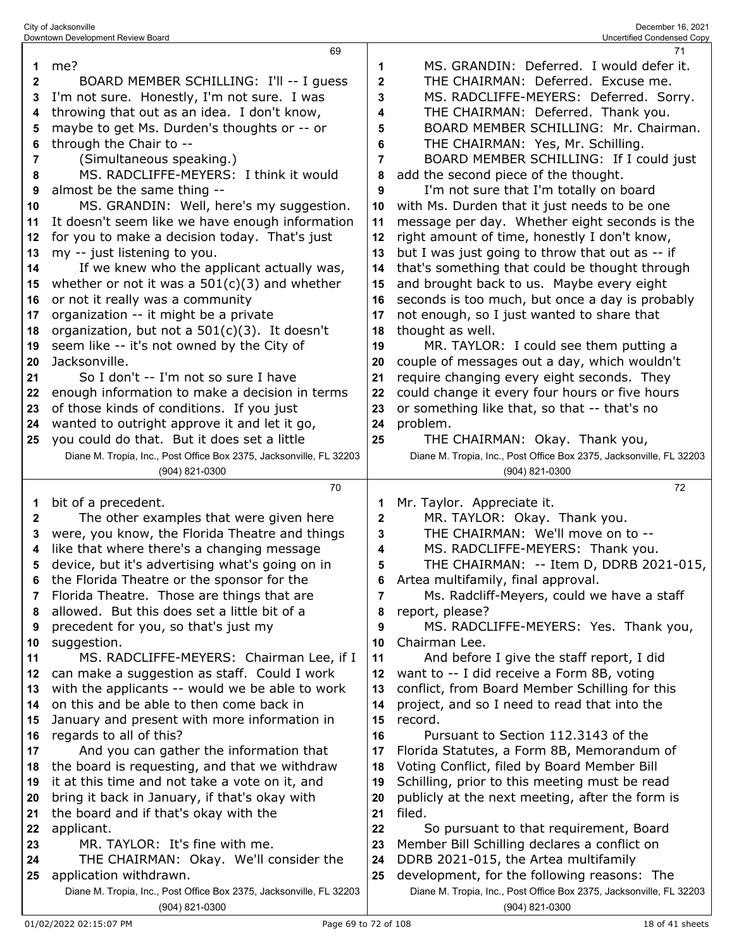|              | 69                                                                  |              | 71                                                                  |
|--------------|---------------------------------------------------------------------|--------------|---------------------------------------------------------------------|
| 1            | me?                                                                 | 1            | MS. GRANDIN: Deferred. I would defer it.                            |
| $\mathbf{2}$ | BOARD MEMBER SCHILLING: I'll -- I guess                             | $\mathbf{2}$ | THE CHAIRMAN: Deferred. Excuse me.                                  |
| 3            | I'm not sure. Honestly, I'm not sure. I was                         | 3            | MS. RADCLIFFE-MEYERS: Deferred. Sorry.                              |
|              |                                                                     |              |                                                                     |
| 4            | throwing that out as an idea. I don't know,                         | 4            | THE CHAIRMAN: Deferred. Thank you.                                  |
| 5            | maybe to get Ms. Durden's thoughts or -- or                         | 5            | BOARD MEMBER SCHILLING: Mr. Chairman.                               |
| 6            | through the Chair to --                                             | 6            | THE CHAIRMAN: Yes, Mr. Schilling.                                   |
| 7            | (Simultaneous speaking.)                                            | 7            | BOARD MEMBER SCHILLING: If I could just                             |
| 8            | MS. RADCLIFFE-MEYERS: I think it would                              | 8            | add the second piece of the thought.                                |
| 9            | almost be the same thing --                                         | 9            | I'm not sure that I'm totally on board                              |
| 10           | MS. GRANDIN: Well, here's my suggestion.                            | 10           | with Ms. Durden that it just needs to be one                        |
|              | It doesn't seem like we have enough information                     |              |                                                                     |
| 11           |                                                                     | 11           | message per day. Whether eight seconds is the                       |
| 12           | for you to make a decision today. That's just                       | 12           | right amount of time, honestly I don't know,                        |
| 13           | my -- just listening to you.                                        | 13           | but I was just going to throw that out as -- if                     |
| 14           | If we knew who the applicant actually was,                          | 14           | that's something that could be thought through                      |
| 15           | whether or not it was a $501(c)(3)$ and whether                     | 15           | and brought back to us. Maybe every eight                           |
| 16           | or not it really was a community                                    | 16           | seconds is too much, but once a day is probably                     |
| 17           | organization -- it might be a private                               | 17           | not enough, so I just wanted to share that                          |
| 18           | organization, but not a 501(c)(3). It doesn't                       | 18           | thought as well.                                                    |
|              |                                                                     |              |                                                                     |
| 19           | seem like -- it's not owned by the City of                          | 19           | MR. TAYLOR: I could see them putting a                              |
| 20           | Jacksonville.                                                       | 20           | couple of messages out a day, which wouldn't                        |
| 21           | So I don't -- I'm not so sure I have                                | 21           | require changing every eight seconds. They                          |
| 22           | enough information to make a decision in terms                      | 22           | could change it every four hours or five hours                      |
| 23           | of those kinds of conditions. If you just                           | 23           | or something like that, so that -- that's no                        |
| 24           | wanted to outright approve it and let it go,                        | 24           | problem.                                                            |
| 25           | you could do that. But it does set a little                         | 25           | THE CHAIRMAN: Okay. Thank you,                                      |
|              | Diane M. Tropia, Inc., Post Office Box 2375, Jacksonville, FL 32203 |              | Diane M. Tropia, Inc., Post Office Box 2375, Jacksonville, FL 32203 |
|              | (904) 821-0300                                                      |              | (904) 821-0300                                                      |
|              |                                                                     |              |                                                                     |
|              |                                                                     |              |                                                                     |
|              | 70                                                                  |              | 72                                                                  |
| 1            | bit of a precedent.                                                 | 1            | Mr. Taylor. Appreciate it.                                          |
| $\mathbf{2}$ | The other examples that were given here                             | 2            | MR. TAYLOR: Okay. Thank you.                                        |
| 3            | were, you know, the Florida Theatre and things                      | 3            | THE CHAIRMAN: We'll move on to --                                   |
| 4            | like that where there's a changing message                          | 4            | MS. RADCLIFFE-MEYERS: Thank you.                                    |
| 5            |                                                                     | 5            |                                                                     |
|              | device, but it's advertising what's going on in                     |              | THE CHAIRMAN: -- Item D, DDRB 2021-015,                             |
| 6            | the Florida Theatre or the sponsor for the                          |              | Artea multifamily, final approval.                                  |
| 7            | Florida Theatre. Those are things that are                          | 7            | Ms. Radcliff-Meyers, could we have a staff                          |
| 8            | allowed. But this does set a little bit of a                        | 8            | report, please?                                                     |
| 9            | precedent for you, so that's just my                                | 9            | MS. RADCLIFFE-MEYERS: Yes. Thank you,                               |
| 10           | suggestion.                                                         | 10           | Chairman Lee.                                                       |
| 11           | MS. RADCLIFFE-MEYERS: Chairman Lee, if I                            | 11           | And before I give the staff report, I did                           |
| 12           | can make a suggestion as staff. Could I work                        | 12           | want to -- I did receive a Form 8B, voting                          |
| 13           |                                                                     | 13           |                                                                     |
|              | with the applicants -- would we be able to work                     |              | conflict, from Board Member Schilling for this                      |
| 14           | on this and be able to then come back in                            | 14           | project, and so I need to read that into the                        |
| 15           | January and present with more information in                        | 15           | record.                                                             |
| 16           | regards to all of this?                                             | 16           | Pursuant to Section 112.3143 of the                                 |
| 17           | And you can gather the information that                             | 17           | Florida Statutes, a Form 8B, Memorandum of                          |
| 18           | the board is requesting, and that we withdraw                       | 18           | Voting Conflict, filed by Board Member Bill                         |
| 19           | it at this time and not take a vote on it, and                      | 19           | Schilling, prior to this meeting must be read                       |
| 20           | bring it back in January, if that's okay with                       | 20           | publicly at the next meeting, after the form is                     |
| 21           |                                                                     | 21           | filed.                                                              |
|              | the board and if that's okay with the                               |              |                                                                     |
| 22           | applicant.                                                          | 22           | So pursuant to that requirement, Board                              |
| 23           | MR. TAYLOR: It's fine with me.                                      | 23           | Member Bill Schilling declares a conflict on                        |
| 24           | THE CHAIRMAN: Okay. We'll consider the                              | 24           | DDRB 2021-015, the Artea multifamily                                |
| 25           | application withdrawn.                                              | 25           | development, for the following reasons: The                         |
|              | Diane M. Tropia, Inc., Post Office Box 2375, Jacksonville, FL 32203 |              | Diane M. Tropia, Inc., Post Office Box 2375, Jacksonville, FL 32203 |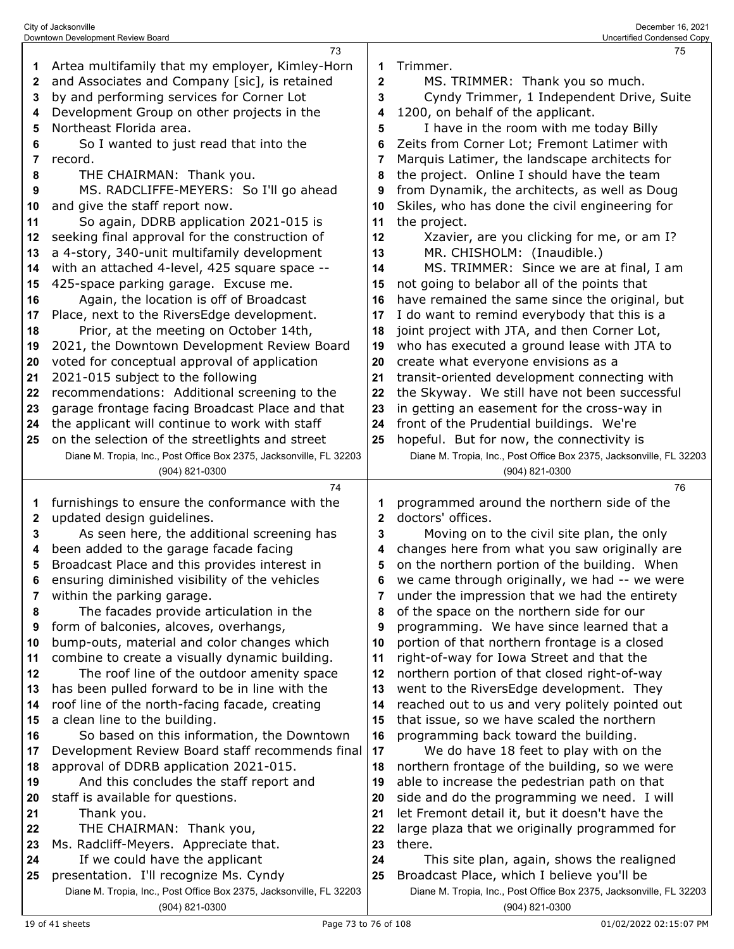|          | 73                                                                                    |              | 75                                                                                            |
|----------|---------------------------------------------------------------------------------------|--------------|-----------------------------------------------------------------------------------------------|
| 1        | Artea multifamily that my employer, Kimley-Horn                                       | 1            | Trimmer.                                                                                      |
| 2        | and Associates and Company [sic], is retained                                         | $\mathbf 2$  | MS. TRIMMER: Thank you so much.                                                               |
| 3        | by and performing services for Corner Lot                                             | 3            | Cyndy Trimmer, 1 Independent Drive, Suite                                                     |
| 4        | Development Group on other projects in the                                            | 4            | 1200, on behalf of the applicant.                                                             |
| 5        | Northeast Florida area.                                                               | 5            | I have in the room with me today Billy                                                        |
| 6        | So I wanted to just read that into the                                                | 6            | Zeits from Corner Lot; Fremont Latimer with                                                   |
| 7        | record.                                                                               | 7            | Marquis Latimer, the landscape architects for                                                 |
| 8        | THE CHAIRMAN: Thank you.                                                              | 8            | the project. Online I should have the team                                                    |
| 9        | MS. RADCLIFFE-MEYERS: So I'll go ahead                                                | 9            | from Dynamik, the architects, as well as Doug                                                 |
| 10       | and give the staff report now.                                                        | 10           | Skiles, who has done the civil engineering for                                                |
| 11       | So again, DDRB application 2021-015 is                                                | 11           | the project.                                                                                  |
| 12       | seeking final approval for the construction of                                        | 12           | Xzavier, are you clicking for me, or am I?                                                    |
| 13       | a 4-story, 340-unit multifamily development                                           | 13           | MR. CHISHOLM: (Inaudible.)                                                                    |
| 14       | with an attached 4-level, 425 square space --                                         | 14           | MS. TRIMMER: Since we are at final, I am                                                      |
| 15       | 425-space parking garage. Excuse me.                                                  | 15           | not going to belabor all of the points that                                                   |
| 16       | Again, the location is off of Broadcast                                               | 16           | have remained the same since the original, but                                                |
| 17       | Place, next to the RiversEdge development.                                            | 17           | I do want to remind everybody that this is a                                                  |
| 18       | Prior, at the meeting on October 14th,                                                | 18           | joint project with JTA, and then Corner Lot,                                                  |
| 19       | 2021, the Downtown Development Review Board                                           | 19           | who has executed a ground lease with JTA to                                                   |
| 20       | voted for conceptual approval of application                                          | 20           | create what everyone envisions as a                                                           |
| 21       | 2021-015 subject to the following                                                     | 21           | transit-oriented development connecting with                                                  |
| 22       | recommendations: Additional screening to the                                          | 22           | the Skyway. We still have not been successful                                                 |
| 23       | garage frontage facing Broadcast Place and that                                       | 23           | in getting an easement for the cross-way in                                                   |
| 24       | the applicant will continue to work with staff                                        | 24           | front of the Prudential buildings. We're                                                      |
| 25       | on the selection of the streetlights and street                                       | 25           | hopeful. But for now, the connectivity is                                                     |
|          | Diane M. Tropia, Inc., Post Office Box 2375, Jacksonville, FL 32203                   |              | Diane M. Tropia, Inc., Post Office Box 2375, Jacksonville, FL 32203                           |
|          | (904) 821-0300                                                                        |              | (904) 821-0300                                                                                |
|          | 74                                                                                    |              | 76                                                                                            |
| 1        | furnishings to ensure the conformance with the                                        | 1            | programmed around the northern side of the                                                    |
| 2        | updated design guidelines.                                                            | $\mathbf{2}$ | doctors' offices.                                                                             |
| 3        | As seen here, the additional screening has                                            | 3            | Moving on to the civil site plan, the only                                                    |
| 4        | been added to the garage facade facing                                                | 4            | changes here from what you saw originally are                                                 |
| 5        | Broadcast Place and this provides interest in                                         | 5            | on the northern portion of the building. When                                                 |
| 6        | ensuring diminished visibility of the vehicles                                        | 6            | we came through originally, we had -- we were                                                 |
| 7        | within the parking garage.                                                            | 7            | under the impression that we had the entirety                                                 |
| 8        | The facades provide articulation in the                                               | 8            | of the space on the northern side for our                                                     |
| 9        | form of balconies, alcoves, overhangs,                                                | 9            | programming. We have since learned that a                                                     |
| 10       | bump-outs, material and color changes which                                           | 10           | portion of that northern frontage is a closed                                                 |
| 11       | combine to create a visually dynamic building.                                        | 11           | right-of-way for Iowa Street and that the                                                     |
| 12       | The roof line of the outdoor amenity space                                            | 12           | northern portion of that closed right-of-way                                                  |
| 13       | has been pulled forward to be in line with the                                        | 13           | went to the RiversEdge development. They                                                      |
| 14       | roof line of the north-facing facade, creating                                        | 14           | reached out to us and very politely pointed out                                               |
| 15       | a clean line to the building.                                                         | 15           | that issue, so we have scaled the northern                                                    |
| 16       | So based on this information, the Downtown                                            | 16           | programming back toward the building.                                                         |
| 17       | Development Review Board staff recommends final                                       | 17           | We do have 18 feet to play with on the                                                        |
| 18       | approval of DDRB application 2021-015.                                                | 18           | northern frontage of the building, so we were                                                 |
| 19       | And this concludes the staff report and                                               | 19           | able to increase the pedestrian path on that                                                  |
| 20       | staff is available for questions.<br>Thank you.                                       | 20<br>21     | side and do the programming we need. I will<br>let Fremont detail it, but it doesn't have the |
| 21       | THE CHAIRMAN: Thank you,                                                              | 22           | large plaza that we originally programmed for                                                 |
| 22<br>23 | Ms. Radcliff-Meyers. Appreciate that.                                                 | 23           | there.                                                                                        |
| 24       | If we could have the applicant                                                        | 24           | This site plan, again, shows the realigned                                                    |
| 25       | presentation. I'll recognize Ms. Cyndy                                                | 25           | Broadcast Place, which I believe you'll be                                                    |
|          |                                                                                       |              |                                                                                               |
|          |                                                                                       |              |                                                                                               |
|          | Diane M. Tropia, Inc., Post Office Box 2375, Jacksonville, FL 32203<br>(904) 821-0300 |              | Diane M. Tropia, Inc., Post Office Box 2375, Jacksonville, FL 32203<br>(904) 821-0300         |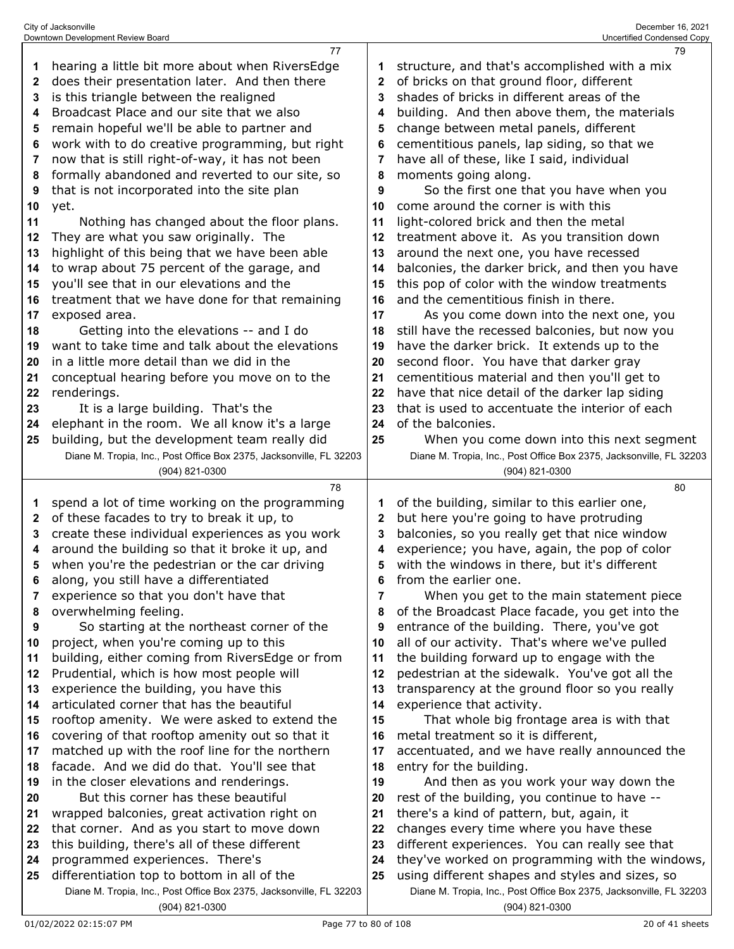|              | City of Jacksonville                                                |                | December 16, 2021                                                   |
|--------------|---------------------------------------------------------------------|----------------|---------------------------------------------------------------------|
|              | Downtown Development Review Board<br>77                             |                | Uncertified Condensed Copy                                          |
| 1            | hearing a little bit more about when RiversEdge                     | 1              | 79<br>structure, and that's accomplished with a mix                 |
| $\mathbf{2}$ | does their presentation later. And then there                       | $\mathbf{2}$   | of bricks on that ground floor, different                           |
| 3            | is this triangle between the realigned                              | 3              | shades of bricks in different areas of the                          |
| 4            | Broadcast Place and our site that we also                           | 4              | building. And then above them, the materials                        |
|              | remain hopeful we'll be able to partner and                         |                | change between metal panels, different                              |
| 5            |                                                                     | 5              |                                                                     |
| 6            | work with to do creative programming, but right                     | 6              | cementitious panels, lap siding, so that we                         |
| 7            | now that is still right-of-way, it has not been                     | $\overline{7}$ | have all of these, like I said, individual                          |
| 8            | formally abandoned and reverted to our site, so                     | 8              | moments going along.                                                |
| 9            | that is not incorporated into the site plan                         | 9              | So the first one that you have when you                             |
| 10           | yet.                                                                | 10             | come around the corner is with this                                 |
| 11           | Nothing has changed about the floor plans.                          | 11             | light-colored brick and then the metal                              |
| 12           | They are what you saw originally. The                               | 12             | treatment above it. As you transition down                          |
| 13           | highlight of this being that we have been able                      | 13             | around the next one, you have recessed                              |
| 14           | to wrap about 75 percent of the garage, and                         | 14             | balconies, the darker brick, and then you have                      |
| 15           | you'll see that in our elevations and the                           | 15             | this pop of color with the window treatments                        |
| 16           | treatment that we have done for that remaining                      | 16             | and the cementitious finish in there.                               |
| 17           | exposed area.                                                       | 17             | As you come down into the next one, you                             |
| 18           | Getting into the elevations -- and I do                             | 18             | still have the recessed balconies, but now you                      |
| 19           | want to take time and talk about the elevations                     | 19             | have the darker brick. It extends up to the                         |
| 20           | in a little more detail than we did in the                          | 20             | second floor. You have that darker gray                             |
| 21           | conceptual hearing before you move on to the                        | 21             | cementitious material and then you'll get to                        |
| 22           | renderings.                                                         | 22             | have that nice detail of the darker lap siding                      |
| 23           | It is a large building. That's the                                  | 23             | that is used to accentuate the interior of each                     |
| 24           | elephant in the room. We all know it's a large                      | 24             | of the balconies.                                                   |
| 25           | building, but the development team really did                       | 25             | When you come down into this next segment                           |
|              | Diane M. Tropia, Inc., Post Office Box 2375, Jacksonville, FL 32203 |                | Diane M. Tropia, Inc., Post Office Box 2375, Jacksonville, FL 32203 |
|              | (904) 821-0300                                                      |                | (904) 821-0300                                                      |
|              | 78                                                                  |                | 80                                                                  |
| 1            | spend a lot of time working on the programming                      |                | of the building, similar to this earlier one,                       |
| 2            | of these facades to try to break it up, to                          | 2              | but here you're going to have protruding                            |
| 3            | create these individual experiences as you work                     | 3              | balconies, so you really get that nice window                       |
| 4            | around the building so that it broke it up, and                     | 4              | experience; you have, again, the pop of color                       |

 around the building so that it broke it up, and when you're the pedestrian or the car driving

 along, you still have a differentiated experience so that you don't have that

 overwhelming feeling. So starting at the northeast corner of the

 project, when you're coming up to this building, either coming from RiversEdge or from Prudential, which is how most people will

experience the building, you have this

articulated corner that has the beautiful

 rooftop amenity. We were asked to extend the covering of that rooftop amenity out so that it

matched up with the roof line for the northern

facade. And we did do that. You'll see that

 in the closer elevations and renderings. But this corner has these beautiful

wrapped balconies, great activation right on

- that corner. And as you start to move down
- this building, there's all of these different

programmed experiences. There's

 differentiation top to bottom in all of the Diane M. Tropia, Inc., Post Office Box 2375, Jacksonville, FL 32203 (904) 821-0300

 they've worked on programming with the windows, using different shapes and styles and sizes, so Diane M. Tropia, Inc., Post Office Box 2375, Jacksonville, FL 32203

(904) 821-0300

with the windows in there, but it's different

 When you get to the main statement piece of the Broadcast Place facade, you get into the entrance of the building. There, you've got all of our activity. That's where we've pulled the building forward up to engage with the pedestrian at the sidewalk. You've got all the transparency at the ground floor so you really

That whole big frontage area is with that

accentuated, and we have really announced the

 And then as you work your way down the rest of the building, you continue to have -- there's a kind of pattern, but, again, it changes every time where you have these different experiences. You can really see that

from the earlier one.

experience that activity.

entry for the building.

metal treatment so it is different,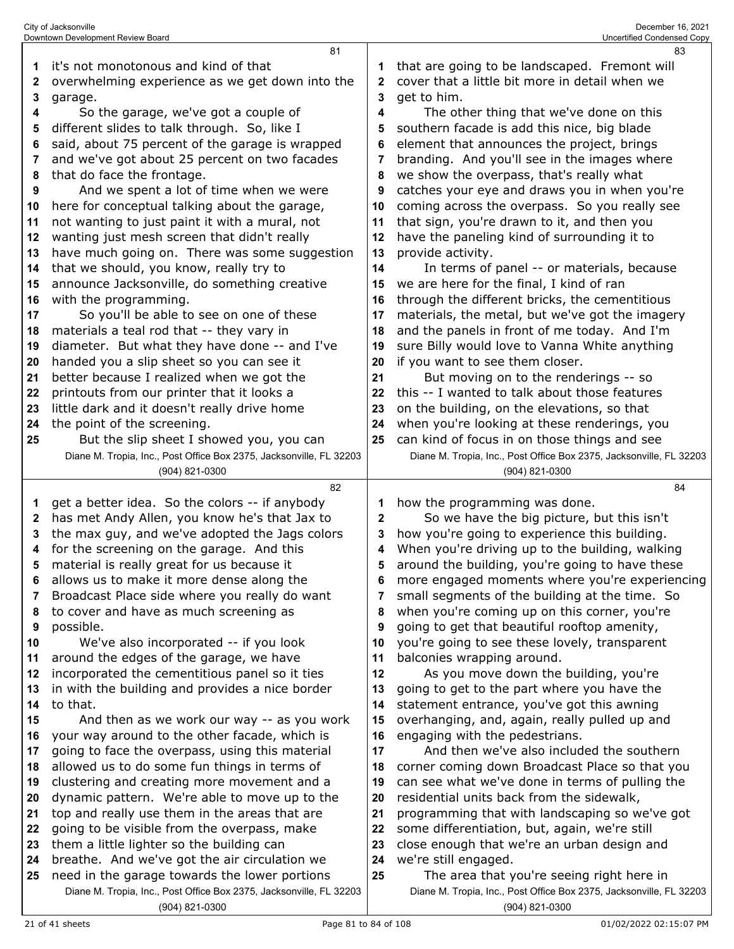|          | Downtown Development Review Board                                                                |              | Uncertified Condensed Copy                                                      |
|----------|--------------------------------------------------------------------------------------------------|--------------|---------------------------------------------------------------------------------|
|          | 81                                                                                               |              | 83                                                                              |
| 1        | it's not monotonous and kind of that                                                             |              | that are going to be landscaped. Fremont will                                   |
| 2        | overwhelming experience as we get down into the                                                  | $\mathbf{2}$ | cover that a little bit more in detail when we                                  |
| 3        | garage.                                                                                          | 3            | get to him.                                                                     |
| 4        | So the garage, we've got a couple of                                                             | 4            | The other thing that we've done on this                                         |
| 5        | different slides to talk through. So, like I                                                     | 5            | southern facade is add this nice, big blade                                     |
| 6        | said, about 75 percent of the garage is wrapped                                                  | 6            | element that announces the project, brings                                      |
| 7        | and we've got about 25 percent on two facades                                                    | 7            | branding. And you'll see in the images where                                    |
| 8        | that do face the frontage.                                                                       | 8            | we show the overpass, that's really what                                        |
| 9        | And we spent a lot of time when we were                                                          | 9            | catches your eye and draws you in when you're                                   |
| 10       | here for conceptual talking about the garage,                                                    | 10           | coming across the overpass. So you really see                                   |
| 11       | not wanting to just paint it with a mural, not                                                   | 11           | that sign, you're drawn to it, and then you                                     |
| 12       | wanting just mesh screen that didn't really                                                      | 12           | have the paneling kind of surrounding it to                                     |
| 13       | have much going on. There was some suggestion                                                    | 13           | provide activity.                                                               |
| 14       | that we should, you know, really try to                                                          | 14           | In terms of panel -- or materials, because                                      |
| 15       | announce Jacksonville, do something creative                                                     | 15           | we are here for the final, I kind of ran                                        |
| 16       | with the programming.                                                                            | 16           | through the different bricks, the cementitious                                  |
| 17       | So you'll be able to see on one of these                                                         | 17           | materials, the metal, but we've got the imagery                                 |
| 18       | materials a teal rod that -- they vary in                                                        | 18           | and the panels in front of me today. And I'm                                    |
| 19       | diameter. But what they have done -- and I've                                                    | 19           | sure Billy would love to Vanna White anything                                   |
| 20       | handed you a slip sheet so you can see it                                                        | 20           | if you want to see them closer.                                                 |
| 21       | better because I realized when we got the                                                        | 21           | But moving on to the renderings -- so                                           |
| 22       | printouts from our printer that it looks a                                                       | 22           | this -- I wanted to talk about those features                                   |
| 23       | little dark and it doesn't really drive home                                                     | 23           | on the building, on the elevations, so that                                     |
| 24       | the point of the screening.                                                                      | 24           | when you're looking at these renderings, you                                    |
| 25       | But the slip sheet I showed you, you can                                                         | 25           | can kind of focus in on those things and see                                    |
|          | Diane M. Tropia, Inc., Post Office Box 2375, Jacksonville, FL 32203                              |              | Diane M. Tropia, Inc., Post Office Box 2375, Jacksonville, FL 32203             |
|          | (904) 821-0300                                                                                   |              | (904) 821-0300                                                                  |
|          |                                                                                                  |              |                                                                                 |
|          | 82                                                                                               |              | 84                                                                              |
| 1        | get a better idea. So the colors -- if anybody                                                   | 1            | how the programming was done.                                                   |
| 2        | has met Andy Allen, you know he's that Jax to                                                    | 2            | So we have the big picture, but this isn't                                      |
| 3        | the max guy, and we've adopted the Jags colors                                                   | 3            | how you're going to experience this building.                                   |
| 4        | for the screening on the garage. And this                                                        | 4            | When you're driving up to the building, walking                                 |
| 5        | material is really great for us because it                                                       | 5            | around the building, you're going to have these                                 |
| 6        | allows us to make it more dense along the                                                        | 6            | more engaged moments where you're experiencing                                  |
| 7        | Broadcast Place side where you really do want                                                    | 7            | small segments of the building at the time. So                                  |
| 8        | to cover and have as much screening as                                                           | 8            | when you're coming up on this corner, you're                                    |
| 9        | possible.                                                                                        | 9            | going to get that beautiful rooftop amenity,                                    |
| 10       | We've also incorporated -- if you look                                                           | 10           | you're going to see these lovely, transparent                                   |
| 11       | around the edges of the garage, we have                                                          | 11           | balconies wrapping around.                                                      |
| 12<br>13 | incorporated the cementitious panel so it ties                                                   | 12           | As you move down the building, you're                                           |
| 14       | in with the building and provides a nice border<br>to that.                                      | 13<br>14     | going to get to the part where you have the                                     |
| 15       |                                                                                                  | 15           | statement entrance, you've got this awning                                      |
| 16       | And then as we work our way -- as you work                                                       | 16           | overhanging, and, again, really pulled up and<br>engaging with the pedestrians. |
| 17       | your way around to the other facade, which is<br>going to face the overpass, using this material | 17           | And then we've also included the southern                                       |
| 18       | allowed us to do some fun things in terms of                                                     | 18           | corner coming down Broadcast Place so that you                                  |
| 19       | clustering and creating more movement and a                                                      | 19           | can see what we've done in terms of pulling the                                 |
| 20       | dynamic pattern. We're able to move up to the                                                    | 20           | residential units back from the sidewalk,                                       |
| 21       | top and really use them in the areas that are                                                    | 21           | programming that with landscaping so we've got                                  |
| 22       | going to be visible from the overpass, make                                                      | 22           | some differentiation, but, again, we're still                                   |
| 23       | them a little lighter so the building can                                                        | 23           | close enough that we're an urban design and                                     |
| 24       | breathe. And we've got the air circulation we                                                    | 24           | we're still engaged.                                                            |
| 25       | need in the garage towards the lower portions                                                    | 25           | The area that you're seeing right here in                                       |
|          | Diane M. Tropia, Inc., Post Office Box 2375, Jacksonville, FL 32203                              |              | Diane M. Tropia, Inc., Post Office Box 2375, Jacksonville, FL 32203             |

City of Jacksonville December 16, 2021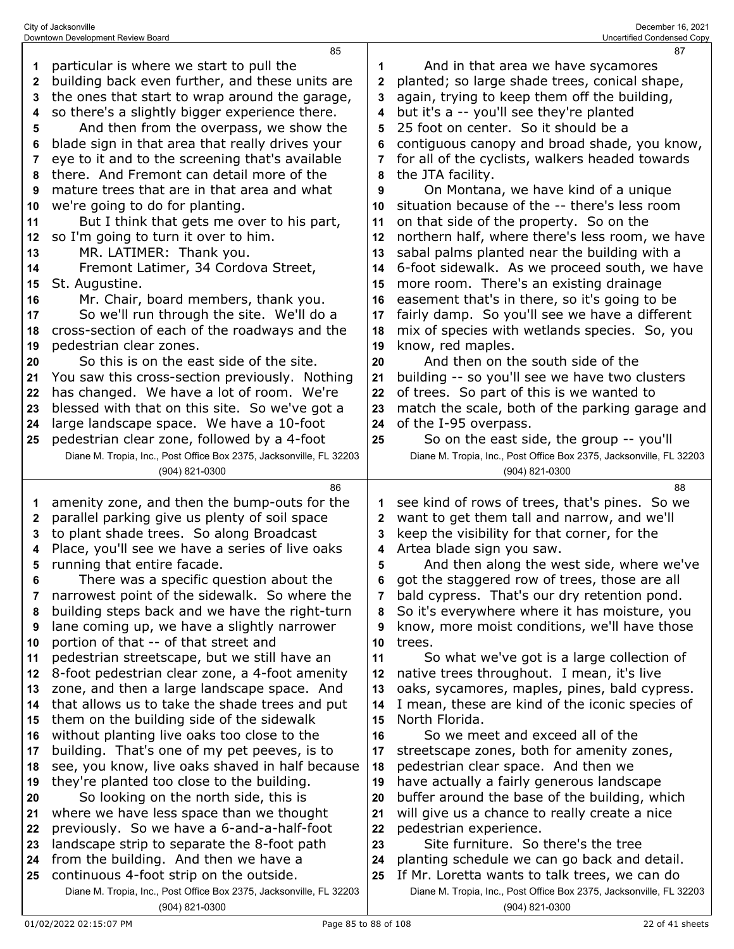|              | 85                                                                                                             |              | 87                                                                                                                   |
|--------------|----------------------------------------------------------------------------------------------------------------|--------------|----------------------------------------------------------------------------------------------------------------------|
| 1            | particular is where we start to pull the                                                                       |              | And in that area we have sycamores                                                                                   |
| $\mathbf{2}$ | building back even further, and these units are                                                                | $\mathbf{2}$ | planted; so large shade trees, conical shape,                                                                        |
| 3            | the ones that start to wrap around the garage,                                                                 | 3            | again, trying to keep them off the building,                                                                         |
| 4            | so there's a slightly bigger experience there.                                                                 | 4            | but it's a -- you'll see they're planted                                                                             |
| 5            | And then from the overpass, we show the                                                                        | 5            | 25 foot on center. So it should be a                                                                                 |
| 6            | blade sign in that area that really drives your                                                                | 6            | contiguous canopy and broad shade, you know,                                                                         |
| 7            | eye to it and to the screening that's available                                                                | 7            | for all of the cyclists, walkers headed towards                                                                      |
| 8            | there. And Fremont can detail more of the                                                                      | 8            | the JTA facility.                                                                                                    |
| 9            | mature trees that are in that area and what                                                                    | 9            | On Montana, we have kind of a unique                                                                                 |
| 10           | we're going to do for planting.                                                                                | 10           | situation because of the -- there's less room                                                                        |
| 11           | But I think that gets me over to his part,                                                                     | 11           | on that side of the property. So on the                                                                              |
| 12           | so I'm going to turn it over to him.                                                                           | 12           | northern half, where there's less room, we have                                                                      |
| 13           | MR. LATIMER: Thank you.                                                                                        | 13           | sabal palms planted near the building with a                                                                         |
| 14           | Fremont Latimer, 34 Cordova Street,                                                                            | 14           | 6-foot sidewalk. As we proceed south, we have                                                                        |
| 15           | St. Augustine.                                                                                                 | 15           | more room. There's an existing drainage                                                                              |
| 16           | Mr. Chair, board members, thank you.                                                                           | 16           | easement that's in there, so it's going to be                                                                        |
| 17           | So we'll run through the site. We'll do a                                                                      | 17           | fairly damp. So you'll see we have a different                                                                       |
| 18           | cross-section of each of the roadways and the                                                                  | 18           | mix of species with wetlands species. So, you                                                                        |
| 19           | pedestrian clear zones.                                                                                        | 19           | know, red maples.                                                                                                    |
| 20           | So this is on the east side of the site.                                                                       | 20           | And then on the south side of the                                                                                    |
| 21           | You saw this cross-section previously. Nothing                                                                 | 21           | building -- so you'll see we have two clusters                                                                       |
| 22           | has changed. We have a lot of room. We're                                                                      | 22           | of trees. So part of this is we wanted to                                                                            |
| 23           | blessed with that on this site. So we've got a                                                                 | 23           | match the scale, both of the parking garage and                                                                      |
| 24           | large landscape space. We have a 10-foot                                                                       | 24           | of the I-95 overpass.                                                                                                |
| 25           | pedestrian clear zone, followed by a 4-foot                                                                    | 25           | So on the east side, the group -- you'll                                                                             |
|              | Diane M. Tropia, Inc., Post Office Box 2375, Jacksonville, FL 32203                                            |              | Diane M. Tropia, Inc., Post Office Box 2375, Jacksonville, FL 32203                                                  |
|              |                                                                                                                |              |                                                                                                                      |
|              | (904) 821-0300                                                                                                 |              | (904) 821-0300                                                                                                       |
|              | 86                                                                                                             |              | 88                                                                                                                   |
| 1            |                                                                                                                |              | see kind of rows of trees, that's pines. So we                                                                       |
| 2            | amenity zone, and then the bump-outs for the<br>parallel parking give us plenty of soil space                  | 2            | want to get them tall and narrow, and we'll                                                                          |
| 3            | to plant shade trees. So along Broadcast                                                                       | 3            | keep the visibility for that corner, for the                                                                         |
| 4            | Place, you'll see we have a series of live oaks                                                                | 4            | Artea blade sign you saw.                                                                                            |
| 5            | running that entire facade.                                                                                    | 5            | And then along the west side, where we've                                                                            |
| ĥ            | There was a specific question about the                                                                        |              | got the staggered row of trees, those are all                                                                        |
| 7            | narrowest point of the sidewalk. So where the                                                                  | 7            | bald cypress. That's our dry retention pond.                                                                         |
| 8            | building steps back and we have the right-turn                                                                 | 8            | So it's everywhere where it has moisture, you                                                                        |
| 9            | lane coming up, we have a slightly narrower                                                                    | 9            | know, more moist conditions, we'll have those                                                                        |
| 10           | portion of that -- of that street and                                                                          | 10           | trees.                                                                                                               |
| 11           | pedestrian streetscape, but we still have an                                                                   | 11           | So what we've got is a large collection of                                                                           |
| 12           | 8-foot pedestrian clear zone, a 4-foot amenity                                                                 | 12           | native trees throughout. I mean, it's live                                                                           |
| 13           | zone, and then a large landscape space. And                                                                    | 13           | oaks, sycamores, maples, pines, bald cypress.                                                                        |
| 14           | that allows us to take the shade trees and put                                                                 | 14           | I mean, these are kind of the iconic species of                                                                      |
| 15           | them on the building side of the sidewalk                                                                      | 15           | North Florida.                                                                                                       |
| 16           | without planting live oaks too close to the                                                                    | 16           | So we meet and exceed all of the                                                                                     |
| 17           | building. That's one of my pet peeves, is to                                                                   | 17           | streetscape zones, both for amenity zones,                                                                           |
| 18           | see, you know, live oaks shaved in half because                                                                | 18           | pedestrian clear space. And then we                                                                                  |
| 19           | they're planted too close to the building.                                                                     | 19           | have actually a fairly generous landscape                                                                            |
| 20           | So looking on the north side, this is                                                                          | 20           | buffer around the base of the building, which                                                                        |
| 21           | where we have less space than we thought                                                                       | 21           | will give us a chance to really create a nice                                                                        |
| 22           | previously. So we have a 6-and-a-half-foot                                                                     | 22           | pedestrian experience.                                                                                               |
| 23           | landscape strip to separate the 8-foot path                                                                    | 23           | Site furniture. So there's the tree                                                                                  |
| 24           | from the building. And then we have a                                                                          | 24           | planting schedule we can go back and detail.                                                                         |
| 25           | continuous 4-foot strip on the outside.<br>Diane M. Tropia, Inc., Post Office Box 2375, Jacksonville, FL 32203 | 25           | If Mr. Loretta wants to talk trees, we can do<br>Diane M. Tropia, Inc., Post Office Box 2375, Jacksonville, FL 32203 |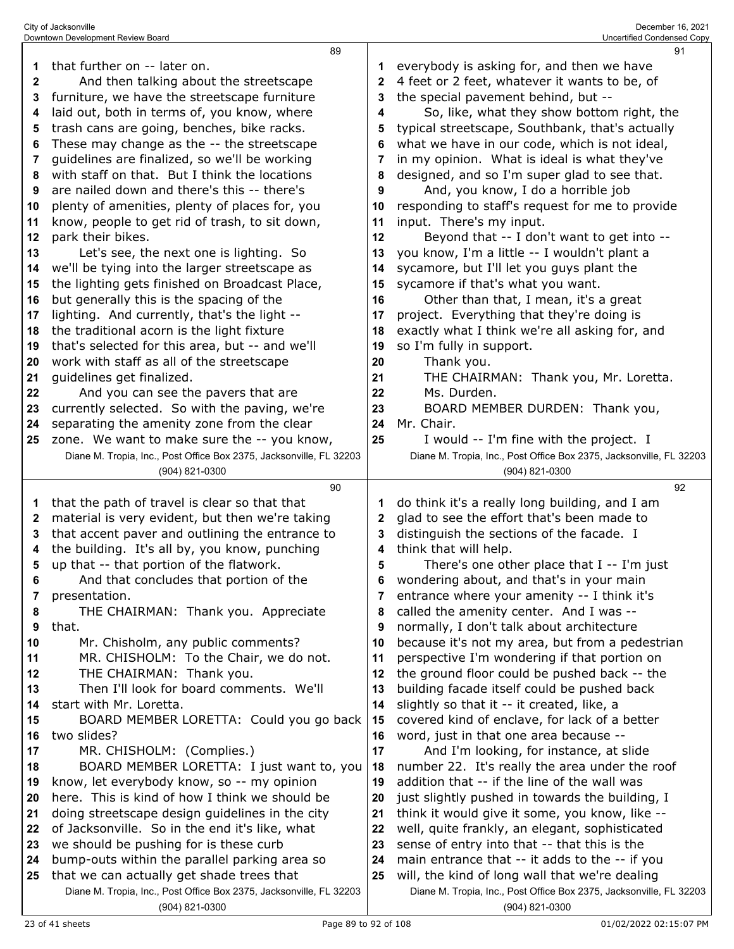|              | 89                                                                                                                 |          | 91                                                                                                                    |
|--------------|--------------------------------------------------------------------------------------------------------------------|----------|-----------------------------------------------------------------------------------------------------------------------|
| 1            | that further on -- later on.                                                                                       | 1        | everybody is asking for, and then we have                                                                             |
| $\mathbf{2}$ | And then talking about the streetscape                                                                             | 2        | 4 feet or 2 feet, whatever it wants to be, of                                                                         |
| 3            | furniture, we have the streetscape furniture                                                                       | 3        | the special pavement behind, but --                                                                                   |
| 4            | laid out, both in terms of, you know, where                                                                        | 4        | So, like, what they show bottom right, the                                                                            |
| 5            | trash cans are going, benches, bike racks.                                                                         | 5        | typical streetscape, Southbank, that's actually                                                                       |
| 6            | These may change as the -- the streetscape                                                                         | 6        | what we have in our code, which is not ideal,                                                                         |
| 7            | guidelines are finalized, so we'll be working                                                                      | 7        | in my opinion. What is ideal is what they've                                                                          |
| 8            | with staff on that. But I think the locations                                                                      | 8        | designed, and so I'm super glad to see that.                                                                          |
| 9            | are nailed down and there's this -- there's                                                                        | 9        | And, you know, I do a horrible job                                                                                    |
| 10           | plenty of amenities, plenty of places for, you                                                                     | 10       | responding to staff's request for me to provide                                                                       |
| 11           | know, people to get rid of trash, to sit down,                                                                     | 11       | input. There's my input.                                                                                              |
| 12           | park their bikes.                                                                                                  | 12       | Beyond that -- I don't want to get into --                                                                            |
| 13           | Let's see, the next one is lighting. So                                                                            | 13       | you know, I'm a little -- I wouldn't plant a                                                                          |
| 14           | we'll be tying into the larger streetscape as                                                                      | 14       | sycamore, but I'll let you guys plant the                                                                             |
| 15           | the lighting gets finished on Broadcast Place,                                                                     | 15       | sycamore if that's what you want.                                                                                     |
| 16           | but generally this is the spacing of the                                                                           | 16       | Other than that, I mean, it's a great                                                                                 |
| 17           | lighting. And currently, that's the light --                                                                       | 17       | project. Everything that they're doing is                                                                             |
| 18           | the traditional acorn is the light fixture                                                                         | 18       | exactly what I think we're all asking for, and                                                                        |
| 19           | that's selected for this area, but -- and we'll                                                                    | 19       | so I'm fully in support.                                                                                              |
| 20           | work with staff as all of the streetscape                                                                          | 20       | Thank you.                                                                                                            |
| 21           | guidelines get finalized.                                                                                          | 21       | THE CHAIRMAN: Thank you, Mr. Loretta.                                                                                 |
| 22           | And you can see the pavers that are                                                                                | 22       | Ms. Durden.                                                                                                           |
| 23           | currently selected. So with the paving, we're                                                                      | 23       | BOARD MEMBER DURDEN: Thank you,                                                                                       |
| 24           | separating the amenity zone from the clear                                                                         | 24       | Mr. Chair.                                                                                                            |
|              |                                                                                                                    | 25       |                                                                                                                       |
| 25           | zone. We want to make sure the -- you know,<br>Diane M. Tropia, Inc., Post Office Box 2375, Jacksonville, FL 32203 |          | I would -- I'm fine with the project. I<br>Diane M. Tropia, Inc., Post Office Box 2375, Jacksonville, FL 32203        |
|              |                                                                                                                    |          |                                                                                                                       |
|              | (904) 821-0300                                                                                                     |          | (904) 821-0300                                                                                                        |
|              |                                                                                                                    |          |                                                                                                                       |
|              | 90                                                                                                                 |          | 92                                                                                                                    |
| 1            | that the path of travel is clear so that that                                                                      | 1        | do think it's a really long building, and I am                                                                        |
| $\mathbf{2}$ | material is very evident, but then we're taking                                                                    | 2        | glad to see the effort that's been made to                                                                            |
| 3            | that accent paver and outlining the entrance to                                                                    | 3        | distinguish the sections of the facade. I                                                                             |
| 4            | the building. It's all by, you know, punching                                                                      | 4        | think that will help.                                                                                                 |
| 5            | up that -- that portion of the flatwork.                                                                           | 5        | There's one other place that $I - I'm$ just                                                                           |
| 6            | And that concludes that portion of the                                                                             |          | wondering about, and that's in your main                                                                              |
| 7            | presentation.                                                                                                      | 7        | entrance where your amenity -- I think it's                                                                           |
| 8            | THE CHAIRMAN: Thank you. Appreciate                                                                                | 8        | called the amenity center. And I was --                                                                               |
| 9            | that.                                                                                                              | 9        | normally, I don't talk about architecture                                                                             |
| 10           | Mr. Chisholm, any public comments?                                                                                 | 10       | because it's not my area, but from a pedestrian                                                                       |
| 11           | MR. CHISHOLM: To the Chair, we do not.                                                                             | 11       | perspective I'm wondering if that portion on                                                                          |
| 12           | THE CHAIRMAN: Thank you.                                                                                           | 12       | the ground floor could be pushed back -- the                                                                          |
| 13           | Then I'll look for board comments. We'll                                                                           | 13       | building facade itself could be pushed back                                                                           |
| 14           | start with Mr. Loretta.                                                                                            | 14       | slightly so that it -- it created, like, a                                                                            |
| 15           | BOARD MEMBER LORETTA: Could you go back                                                                            | 15       | covered kind of enclave, for lack of a better                                                                         |
| 16           | two slides?                                                                                                        | 16       | word, just in that one area because --                                                                                |
| 17           | MR. CHISHOLM: (Complies.)                                                                                          | 17       | And I'm looking, for instance, at slide                                                                               |
| 18           | BOARD MEMBER LORETTA: I just want to, you                                                                          | 18<br>19 | number 22. It's really the area under the roof                                                                        |
| 19           | know, let everybody know, so -- my opinion                                                                         |          | addition that -- if the line of the wall was                                                                          |
| 20           | here. This is kind of how I think we should be                                                                     | 20       | just slightly pushed in towards the building, I                                                                       |
| 21           | doing streetscape design guidelines in the city                                                                    | 21       | think it would give it some, you know, like --                                                                        |
| 22           | of Jacksonville. So in the end it's like, what                                                                     | 22       | well, quite frankly, an elegant, sophisticated                                                                        |
| 23           | we should be pushing for is these curb                                                                             | 23       | sense of entry into that -- that this is the                                                                          |
| 24           | bump-outs within the parallel parking area so                                                                      | 24       | main entrance that -- it adds to the -- if you                                                                        |
| 25           | that we can actually get shade trees that<br>Diane M. Tropia, Inc., Post Office Box 2375, Jacksonville, FL 32203   | 25       | will, the kind of long wall that we're dealing<br>Diane M. Tropia, Inc., Post Office Box 2375, Jacksonville, FL 32203 |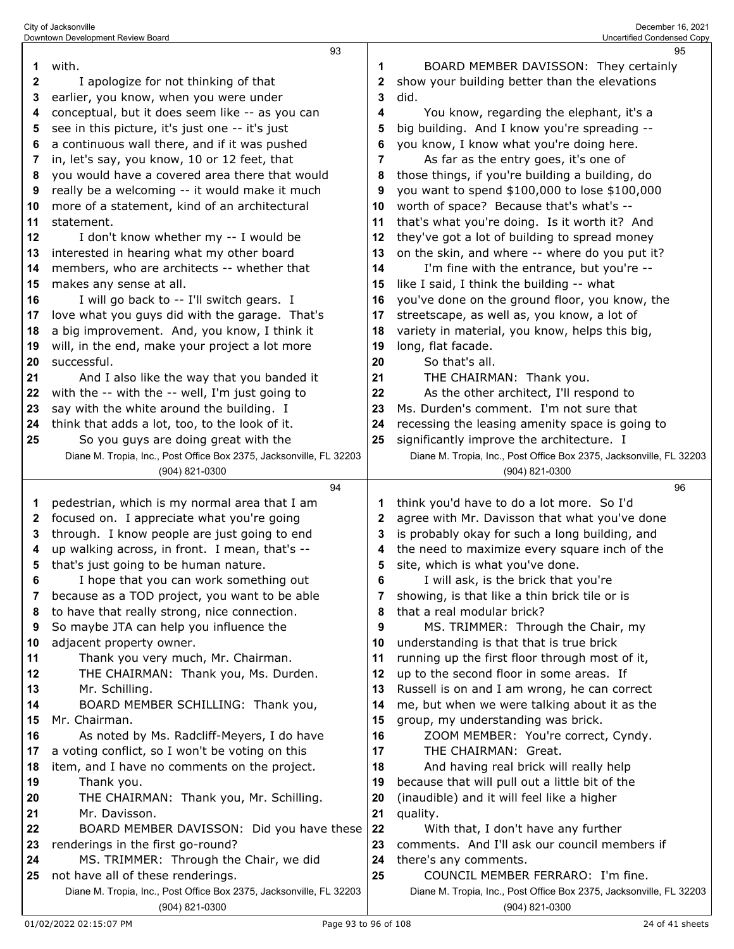|              | 93                                                                                                       |    |                                                                                                          | 95 |
|--------------|----------------------------------------------------------------------------------------------------------|----|----------------------------------------------------------------------------------------------------------|----|
| 1            | with.                                                                                                    | 1  | BOARD MEMBER DAVISSON: They certainly                                                                    |    |
| $\mathbf{2}$ | I apologize for not thinking of that                                                                     | 2  | show your building better than the elevations                                                            |    |
| 3            | earlier, you know, when you were under                                                                   | 3  | did.                                                                                                     |    |
| 4            | conceptual, but it does seem like -- as you can                                                          | 4  | You know, regarding the elephant, it's a                                                                 |    |
| 5            | see in this picture, it's just one -- it's just                                                          | 5  | big building. And I know you're spreading --                                                             |    |
| 6            | a continuous wall there, and if it was pushed                                                            | 6  | you know, I know what you're doing here.                                                                 |    |
| 7            | in, let's say, you know, 10 or 12 feet, that                                                             | 7  | As far as the entry goes, it's one of                                                                    |    |
| 8            | you would have a covered area there that would                                                           | 8  | those things, if you're building a building, do                                                          |    |
| 9            | really be a welcoming -- it would make it much                                                           | 9  | you want to spend \$100,000 to lose \$100,000                                                            |    |
| 10           | more of a statement, kind of an architectural                                                            | 10 | worth of space? Because that's what's --                                                                 |    |
| 11           | statement.                                                                                               | 11 | that's what you're doing. Is it worth it? And                                                            |    |
| 12           | I don't know whether my -- I would be                                                                    | 12 | they've got a lot of building to spread money                                                            |    |
| 13           | interested in hearing what my other board                                                                | 13 | on the skin, and where -- where do you put it?                                                           |    |
| 14           | members, who are architects -- whether that                                                              | 14 | I'm fine with the entrance, but you're --                                                                |    |
| 15           | makes any sense at all.                                                                                  | 15 | like I said, I think the building -- what                                                                |    |
| 16           | I will go back to -- I'll switch gears. I                                                                | 16 | you've done on the ground floor, you know, the                                                           |    |
| 17           | love what you guys did with the garage. That's                                                           | 17 | streetscape, as well as, you know, a lot of                                                              |    |
| 18           | a big improvement. And, you know, I think it                                                             | 18 | variety in material, you know, helps this big,                                                           |    |
| 19           | will, in the end, make your project a lot more                                                           | 19 | long, flat facade.                                                                                       |    |
| 20           | successful.                                                                                              | 20 | So that's all.                                                                                           |    |
| 21           | And I also like the way that you banded it                                                               | 21 | THE CHAIRMAN: Thank you.                                                                                 |    |
| 22           | with the -- with the -- well, I'm just going to                                                          | 22 | As the other architect, I'll respond to                                                                  |    |
| 23           | say with the white around the building. I                                                                | 23 | Ms. Durden's comment. I'm not sure that                                                                  |    |
|              |                                                                                                          |    |                                                                                                          |    |
| 24           | think that adds a lot, too, to the look of it.                                                           | 24 | recessing the leasing amenity space is going to                                                          |    |
| 25           | So you guys are doing great with the                                                                     | 25 | significantly improve the architecture. I                                                                |    |
|              | Diane M. Tropia, Inc., Post Office Box 2375, Jacksonville, FL 32203                                      |    | Diane M. Tropia, Inc., Post Office Box 2375, Jacksonville, FL 32203                                      |    |
|              |                                                                                                          |    |                                                                                                          |    |
|              | (904) 821-0300                                                                                           |    | (904) 821-0300                                                                                           |    |
|              | 94                                                                                                       |    |                                                                                                          | 96 |
| 1            | pedestrian, which is my normal area that I am                                                            | 1  | think you'd have to do a lot more. So I'd                                                                |    |
| 2            | focused on. I appreciate what you're going                                                               | 2  | agree with Mr. Davisson that what you've done                                                            |    |
| 3            | through. I know people are just going to end                                                             | 3  | is probably okay for such a long building, and                                                           |    |
| 4            | up walking across, in front. I mean, that's --                                                           | 4  | the need to maximize every square inch of the                                                            |    |
| 5            | that's just going to be human nature.                                                                    | 5  | site, which is what you've done.                                                                         |    |
|              | I hope that you can work something out                                                                   | 6  | I will ask, is the brick that you're                                                                     |    |
| 7            | because as a TOD project, you want to be able                                                            | 7  | showing, is that like a thin brick tile or is                                                            |    |
| 8            | to have that really strong, nice connection.                                                             | 8  | that a real modular brick?                                                                               |    |
| 9            | So maybe JTA can help you influence the                                                                  | 9  | MS. TRIMMER: Through the Chair, my                                                                       |    |
| 10           | adjacent property owner.                                                                                 | 10 | understanding is that that is true brick                                                                 |    |
| 11           | Thank you very much, Mr. Chairman.                                                                       | 11 | running up the first floor through most of it,                                                           |    |
| 12           | THE CHAIRMAN: Thank you, Ms. Durden.                                                                     | 12 | up to the second floor in some areas. If                                                                 |    |
| 13           | Mr. Schilling.                                                                                           | 13 | Russell is on and I am wrong, he can correct                                                             |    |
| 14           | BOARD MEMBER SCHILLING: Thank you,                                                                       | 14 | me, but when we were talking about it as the                                                             |    |
| 15           | Mr. Chairman.                                                                                            | 15 | group, my understanding was brick.                                                                       |    |
| 16           | As noted by Ms. Radcliff-Meyers, I do have                                                               | 16 | ZOOM MEMBER: You're correct, Cyndy.                                                                      |    |
| 17           | a voting conflict, so I won't be voting on this                                                          | 17 | THE CHAIRMAN: Great.                                                                                     |    |
| 18           | item, and I have no comments on the project.                                                             | 18 | And having real brick will really help                                                                   |    |
| 19           | Thank you.                                                                                               | 19 | because that will pull out a little bit of the                                                           |    |
| 20           | THE CHAIRMAN: Thank you, Mr. Schilling.                                                                  | 20 | (inaudible) and it will feel like a higher                                                               |    |
| 21           | Mr. Davisson.                                                                                            | 21 | quality.                                                                                                 |    |
| 22           | BOARD MEMBER DAVISSON: Did you have these                                                                | 22 | With that, I don't have any further                                                                      |    |
| 23           | renderings in the first go-round?                                                                        | 23 | comments. And I'll ask our council members if                                                            |    |
| 24           | MS. TRIMMER: Through the Chair, we did                                                                   | 24 | there's any comments.                                                                                    |    |
| 25           | not have all of these renderings.<br>Diane M. Tropia, Inc., Post Office Box 2375, Jacksonville, FL 32203 | 25 | COUNCIL MEMBER FERRARO: I'm fine.<br>Diane M. Tropia, Inc., Post Office Box 2375, Jacksonville, FL 32203 |    |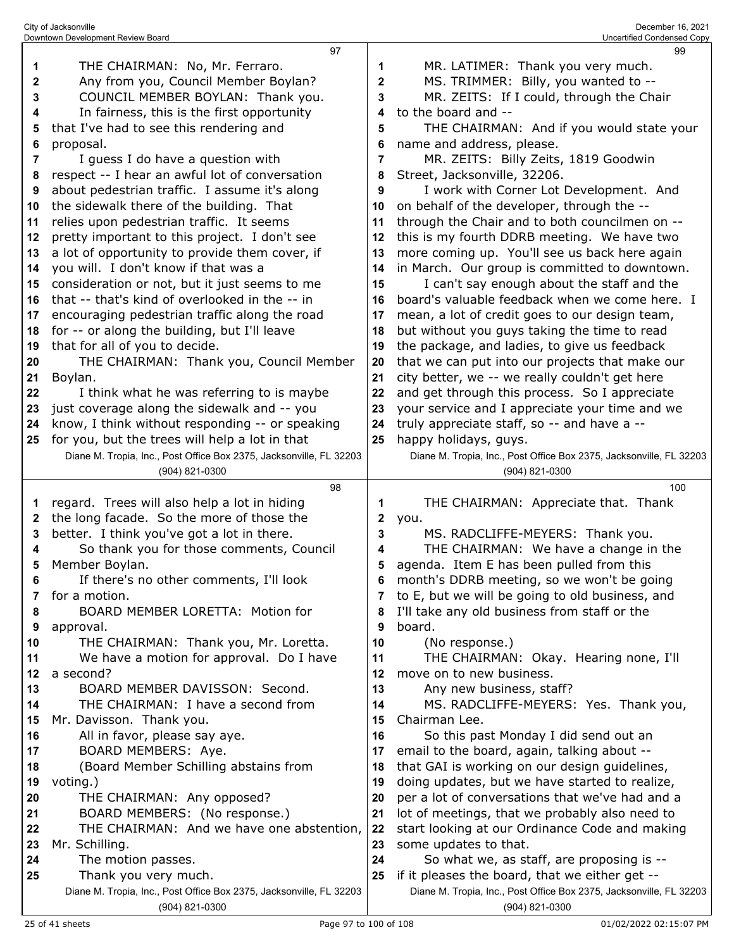| 1            | THE CHAIRMAN: No, Mr. Ferraro.                                                              | 1        | MR. LATIMER: Thank you very much.                                                                                     |
|--------------|---------------------------------------------------------------------------------------------|----------|-----------------------------------------------------------------------------------------------------------------------|
| 2            | Any from you, Council Member Boylan?                                                        | 2        | MS. TRIMMER: Billy, you wanted to --                                                                                  |
| 3            | COUNCIL MEMBER BOYLAN: Thank you.                                                           | 3        | MR. ZEITS: If I could, through the Chair                                                                              |
| 4            | In fairness, this is the first opportunity                                                  | 4        | to the board and --                                                                                                   |
| 5            | that I've had to see this rendering and                                                     | 5        | THE CHAIRMAN: And if you would state your                                                                             |
| 6            | proposal.                                                                                   | 6        | name and address, please.                                                                                             |
| 7            | I guess I do have a question with                                                           | 7        | MR. ZEITS: Billy Zeits, 1819 Goodwin                                                                                  |
| 8            | respect -- I hear an awful lot of conversation                                              | 8        | Street, Jacksonville, 32206.                                                                                          |
| 9            | about pedestrian traffic. I assume it's along                                               | 9        | I work with Corner Lot Development. And                                                                               |
| 10           | the sidewalk there of the building. That                                                    | 10       | on behalf of the developer, through the --                                                                            |
| 11           | relies upon pedestrian traffic. It seems                                                    | 11       | through the Chair and to both councilmen on --                                                                        |
| 12           | pretty important to this project. I don't see                                               | 12       | this is my fourth DDRB meeting. We have two                                                                           |
| 13           | a lot of opportunity to provide them cover, if                                              | 13       | more coming up. You'll see us back here again                                                                         |
| 14           | you will. I don't know if that was a                                                        | 14       | in March. Our group is committed to downtown.                                                                         |
| 15           | consideration or not, but it just seems to me                                               | 15       | I can't say enough about the staff and the                                                                            |
| 16           | that -- that's kind of overlooked in the -- in                                              | 16       | board's valuable feedback when we come here. I                                                                        |
| 17           | encouraging pedestrian traffic along the road                                               | 17       | mean, a lot of credit goes to our design team,                                                                        |
| 18           | for -- or along the building, but I'll leave                                                | 18       | but without you guys taking the time to read                                                                          |
| 19           | that for all of you to decide.                                                              | 19       | the package, and ladies, to give us feedback                                                                          |
| 20           | THE CHAIRMAN: Thank you, Council Member                                                     | 20       | that we can put into our projects that make our                                                                       |
| 21           | Boylan.                                                                                     | 21       | city better, we -- we really couldn't get here                                                                        |
| 22           | I think what he was referring to is maybe                                                   | 22       | and get through this process. So I appreciate                                                                         |
| 23           | just coverage along the sidewalk and -- you                                                 | 23       | your service and I appreciate your time and we                                                                        |
| 24           | know, I think without responding -- or speaking                                             | 24       | truly appreciate staff, so -- and have a --                                                                           |
| 25           | for you, but the trees will help a lot in that                                              | 25       | happy holidays, guys.                                                                                                 |
|              | Diane M. Tropia, Inc., Post Office Box 2375, Jacksonville, FL 32203                         |          | Diane M. Tropia, Inc., Post Office Box 2375, Jacksonville, FL 32203                                                   |
|              | (904) 821-0300                                                                              |          | (904) 821-0300                                                                                                        |
|              | 98                                                                                          |          | 100                                                                                                                   |
|              |                                                                                             |          |                                                                                                                       |
|              |                                                                                             |          |                                                                                                                       |
| 1            | regard. Trees will also help a lot in hiding                                                | 1        | THE CHAIRMAN: Appreciate that. Thank                                                                                  |
| $\mathbf{2}$ | the long facade. So the more of those the                                                   | 2        | you.                                                                                                                  |
| 3            | better. I think you've got a lot in there.                                                  | 3        | MS. RADCLIFFE-MEYERS: Thank you.                                                                                      |
| 4            | So thank you for those comments, Council                                                    | 4        | THE CHAIRMAN: We have a change in the                                                                                 |
| 5            | Member Boylan.                                                                              | 5        | agenda. Item E has been pulled from this                                                                              |
| 6            | If there's no other comments, I'll look                                                     | 6        | month's DDRB meeting, so we won't be going                                                                            |
| 7            | for a motion.                                                                               |          | to E, but we will be going to old business, and                                                                       |
| 8            | BOARD MEMBER LORETTA: Motion for                                                            | 8        | I'll take any old business from staff or the                                                                          |
| 9            | approval.                                                                                   | 9        | board.                                                                                                                |
| 10           | THE CHAIRMAN: Thank you, Mr. Loretta.                                                       | 10       | (No response.)                                                                                                        |
| 11           | We have a motion for approval. Do I have                                                    | 11       | THE CHAIRMAN: Okay. Hearing none, I'll                                                                                |
| 12           | a second?                                                                                   | 12       | move on to new business.                                                                                              |
| 13           | BOARD MEMBER DAVISSON: Second.                                                              | 13       | Any new business, staff?                                                                                              |
| 14           | THE CHAIRMAN: I have a second from                                                          | 14<br>15 | MS. RADCLIFFE-MEYERS: Yes. Thank you,                                                                                 |
| 15<br>16     | Mr. Davisson. Thank you.                                                                    | 16       | Chairman Lee.                                                                                                         |
|              | All in favor, please say aye.                                                               |          | So this past Monday I did send out an                                                                                 |
| 17           | BOARD MEMBERS: Aye.                                                                         | 17       | email to the board, again, talking about --                                                                           |
| 18           | (Board Member Schilling abstains from                                                       | 18<br>19 | that GAI is working on our design guidelines,                                                                         |
| 19<br>20     | voting.)                                                                                    |          | doing updates, but we have started to realize,                                                                        |
| 21           | THE CHAIRMAN: Any opposed?                                                                  | 20       | per a lot of conversations that we've had and a                                                                       |
|              | BOARD MEMBERS: (No response.)                                                               | 21       | lot of meetings, that we probably also need to                                                                        |
| 22           | THE CHAIRMAN: And we have one abstention,                                                   | 22       | start looking at our Ordinance Code and making                                                                        |
| 23           | Mr. Schilling.                                                                              | 23       | some updates to that.                                                                                                 |
| 24<br>25     | The motion passes.                                                                          | 24<br>25 | So what we, as staff, are proposing is --                                                                             |
|              | Thank you very much.<br>Diane M. Tropia, Inc., Post Office Box 2375, Jacksonville, FL 32203 |          | if it pleases the board, that we either get --<br>Diane M. Tropia, Inc., Post Office Box 2375, Jacksonville, FL 32203 |

 $\mathbf{I}$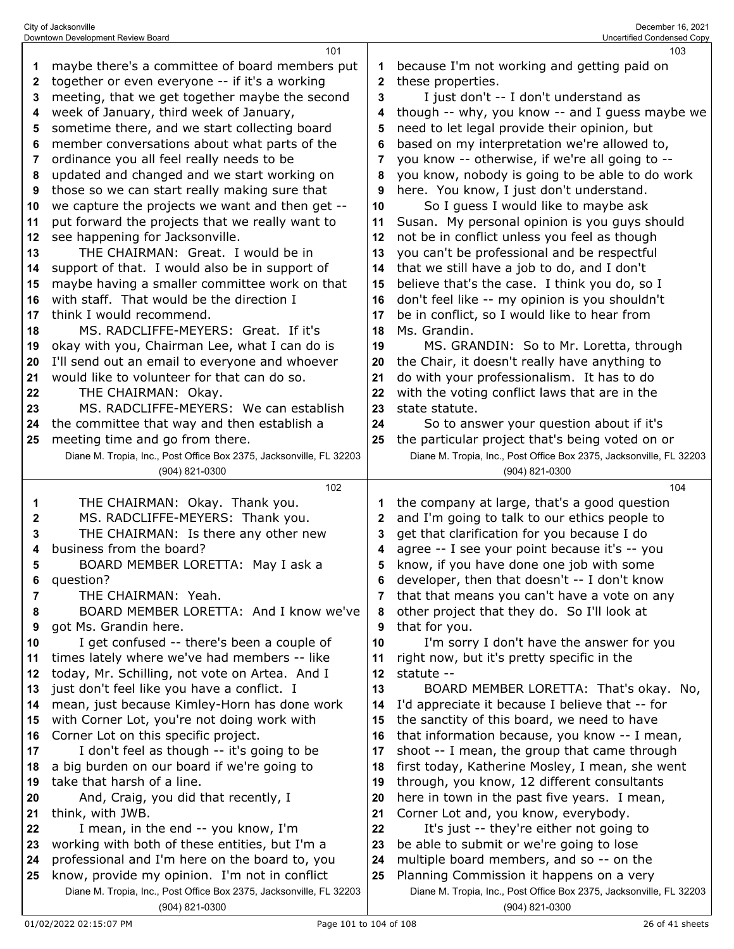|    | 101                                                                 |              | 103                                                                 |
|----|---------------------------------------------------------------------|--------------|---------------------------------------------------------------------|
| 1  | maybe there's a committee of board members put                      | 1            | because I'm not working and getting paid on                         |
| 2  | together or even everyone -- if it's a working                      | $\mathbf{2}$ | these properties.                                                   |
| 3  | meeting, that we get together maybe the second                      | 3            | I just don't -- I don't understand as                               |
| 4  | week of January, third week of January,                             | 4            | though -- why, you know -- and I guess maybe we                     |
| 5  | sometime there, and we start collecting board                       | 5            | need to let legal provide their opinion, but                        |
|    |                                                                     |              |                                                                     |
| 6  | member conversations about what parts of the                        | 6            | based on my interpretation we're allowed to,                        |
| 7  | ordinance you all feel really needs to be                           | 7            | you know -- otherwise, if we're all going to --                     |
| 8  | updated and changed and we start working on                         | 8            | you know, nobody is going to be able to do work                     |
| 9  | those so we can start really making sure that                       | 9            | here. You know, I just don't understand.                            |
| 10 | we capture the projects we want and then get --                     | 10           | So I guess I would like to maybe ask                                |
| 11 | put forward the projects that we really want to                     | 11           | Susan. My personal opinion is you guys should                       |
| 12 | see happening for Jacksonville.                                     | 12           | not be in conflict unless you feel as though                        |
| 13 | THE CHAIRMAN: Great. I would be in                                  | 13           | you can't be professional and be respectful                         |
| 14 | support of that. I would also be in support of                      | 14           | that we still have a job to do, and I don't                         |
| 15 | maybe having a smaller committee work on that                       | 15           | believe that's the case. I think you do, so I                       |
| 16 | with staff. That would be the direction I                           | 16           | don't feel like -- my opinion is you shouldn't                      |
|    |                                                                     |              |                                                                     |
| 17 | think I would recommend.                                            | 17           | be in conflict, so I would like to hear from                        |
| 18 | MS. RADCLIFFE-MEYERS: Great. If it's                                | 18           | Ms. Grandin.                                                        |
| 19 | okay with you, Chairman Lee, what I can do is                       | 19           | MS. GRANDIN: So to Mr. Loretta, through                             |
| 20 | I'll send out an email to everyone and whoever                      | 20           | the Chair, it doesn't really have anything to                       |
| 21 | would like to volunteer for that can do so.                         | 21           | do with your professionalism. It has to do                          |
| 22 | THE CHAIRMAN: Okay.                                                 | 22           | with the voting conflict laws that are in the                       |
| 23 | MS. RADCLIFFE-MEYERS: We can establish                              | 23           | state statute.                                                      |
| 24 | the committee that way and then establish a                         | 24           | So to answer your question about if it's                            |
| 25 | meeting time and go from there.                                     | 25           | the particular project that's being voted on or                     |
|    | Diane M. Tropia, Inc., Post Office Box 2375, Jacksonville, FL 32203 |              | Diane M. Tropia, Inc., Post Office Box 2375, Jacksonville, FL 32203 |
|    | (904) 821-0300                                                      |              | (904) 821-0300                                                      |
|    |                                                                     |              |                                                                     |
|    | 102                                                                 |              | 104                                                                 |
| 1  | THE CHAIRMAN: Okay. Thank you.                                      | 1            | the company at large, that's a good question                        |
|    |                                                                     | $\mathbf{2}$ |                                                                     |
| 2  | MS. RADCLIFFE-MEYERS: Thank you.                                    |              | and I'm going to talk to our ethics people to                       |
| 3  | THE CHAIRMAN: Is there any other new                                | 3            | get that clarification for you because I do                         |
| 4  | business from the board?                                            | 4            | agree -- I see your point because it's -- you                       |
| 5  | BOARD MEMBER LORETTA: May I ask a                                   | 5            | know, if you have done one job with some                            |
| 6  | question?                                                           | 6            | developer, then that doesn't -- I don't know                        |
| 7  | THE CHAIRMAN: Yeah.                                                 | 7            | that that means you can't have a vote on any                        |
| 8  | BOARD MEMBER LORETTA: And I know we've                              | 8            | other project that they do. So I'll look at                         |
| 9  | got Ms. Grandin here.                                               | 9            | that for you.                                                       |
| 10 | I get confused -- there's been a couple of                          | 10           | I'm sorry I don't have the answer for you                           |
| 11 | times lately where we've had members -- like                        | 11           | right now, but it's pretty specific in the                          |
| 12 | today, Mr. Schilling, not vote on Artea. And I                      | 12           | statute --                                                          |
| 13 | just don't feel like you have a conflict. I                         | 13           | BOARD MEMBER LORETTA: That's okay. No,                              |
| 14 | mean, just because Kimley-Horn has done work                        | 14           | I'd appreciate it because I believe that -- for                     |
| 15 | with Corner Lot, you're not doing work with                         | 15           | the sanctity of this board, we need to have                         |
| 16 | Corner Lot on this specific project.                                | 16           | that information because, you know -- I mean,                       |
| 17 | I don't feel as though -- it's going to be                          | 17           | shoot -- I mean, the group that came through                        |
| 18 | a big burden on our board if we're going to                         | 18           | first today, Katherine Mosley, I mean, she went                     |
| 19 | take that harsh of a line.                                          | 19           | through, you know, 12 different consultants                         |
| 20 | And, Craig, you did that recently, I                                | 20           | here in town in the past five years. I mean,                        |
| 21 | think, with JWB.                                                    | 21           | Corner Lot and, you know, everybody.                                |
| 22 | I mean, in the end -- you know, I'm                                 | 22           | It's just -- they're either not going to                            |
| 23 | working with both of these entities, but I'm a                      | 23           | be able to submit or we're going to lose                            |
| 24 | professional and I'm here on the board to, you                      | 24           | multiple board members, and so -- on the                            |
| 25 | know, provide my opinion. I'm not in conflict                       | 25           | Planning Commission it happens on a very                            |
|    | Diane M. Tropia, Inc., Post Office Box 2375, Jacksonville, FL 32203 |              | Diane M. Tropia, Inc., Post Office Box 2375, Jacksonville, FL 32203 |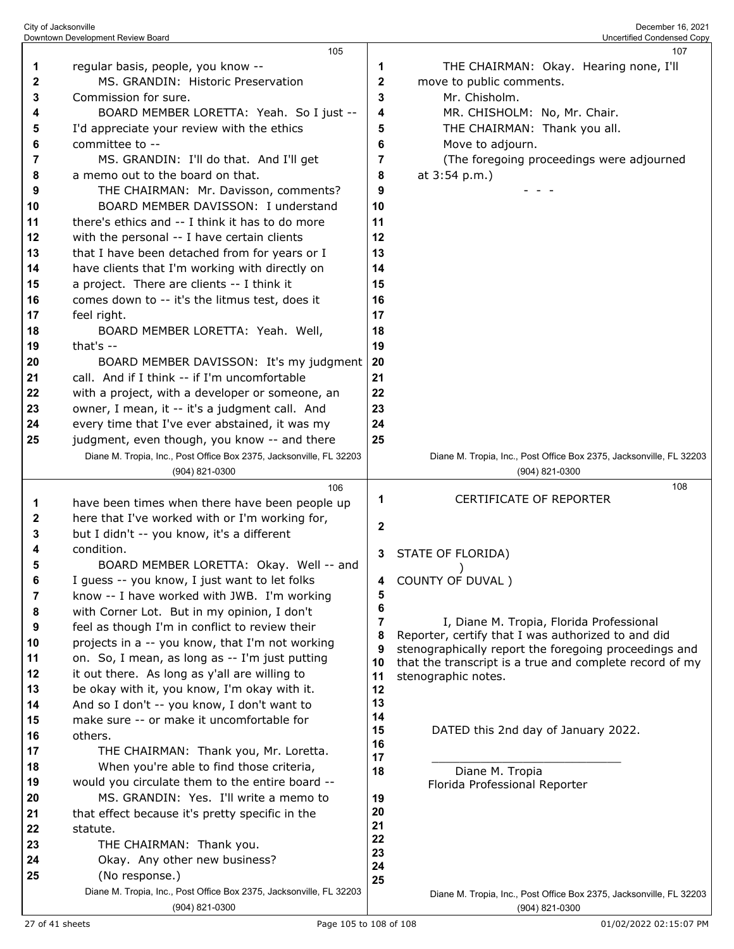|        | Downtown Development Review Board                                                     |              | Uncertified Condensed Copy                                                            |
|--------|---------------------------------------------------------------------------------------|--------------|---------------------------------------------------------------------------------------|
|        | 105                                                                                   |              | 107                                                                                   |
| 1      | regular basis, people, you know --                                                    | 1            | THE CHAIRMAN: Okay. Hearing none, I'll                                                |
| 2      | MS. GRANDIN: Historic Preservation                                                    | 2            | move to public comments.                                                              |
| 3      | Commission for sure.                                                                  | 3            | Mr. Chisholm.                                                                         |
| 4      | BOARD MEMBER LORETTA: Yeah. So I just --                                              | 4            | MR. CHISHOLM: No, Mr. Chair.                                                          |
| 5      | I'd appreciate your review with the ethics                                            | 5            | THE CHAIRMAN: Thank you all.                                                          |
| 6      | committee to --                                                                       | 6            | Move to adjourn.                                                                      |
| 7      | MS. GRANDIN: I'll do that. And I'll get<br>a memo out to the board on that.           | 7            | (The foregoing proceedings were adjourned                                             |
| 8<br>9 | THE CHAIRMAN: Mr. Davisson, comments?                                                 | 8<br>9       | at 3:54 p.m.)                                                                         |
| 10     | BOARD MEMBER DAVISSON: I understand                                                   | 10           |                                                                                       |
| 11     | there's ethics and -- I think it has to do more                                       | 11           |                                                                                       |
| 12     | with the personal -- I have certain clients                                           | 12           |                                                                                       |
| 13     | that I have been detached from for years or I                                         | 13           |                                                                                       |
| 14     | have clients that I'm working with directly on                                        | 14           |                                                                                       |
| 15     | a project. There are clients -- I think it                                            | 15           |                                                                                       |
| 16     | comes down to -- it's the litmus test, does it                                        | 16           |                                                                                       |
| 17     | feel right.                                                                           | 17           |                                                                                       |
| 18     | BOARD MEMBER LORETTA: Yeah. Well,                                                     | 18           |                                                                                       |
| 19     | that's $-$                                                                            | 19           |                                                                                       |
| 20     | BOARD MEMBER DAVISSON: It's my judgment                                               | 20           |                                                                                       |
| 21     | call. And if I think -- if I'm uncomfortable                                          | 21           |                                                                                       |
| 22     | with a project, with a developer or someone, an                                       | 22           |                                                                                       |
| 23     | owner, I mean, it -- it's a judgment call. And                                        | 23           |                                                                                       |
| 24     | every time that I've ever abstained, it was my                                        | 24           |                                                                                       |
| 25     | judgment, even though, you know -- and there                                          | 25           |                                                                                       |
|        | Diane M. Tropia, Inc., Post Office Box 2375, Jacksonville, FL 32203                   |              | Diane M. Tropia, Inc., Post Office Box 2375, Jacksonville, FL 32203                   |
|        | (904) 821-0300                                                                        |              | $(904)$ 821-0300                                                                      |
|        | 106                                                                                   | 1            | 108<br><b>CERTIFICATE OF REPORTER</b>                                                 |
| 1      | have been times when there have been people up                                        |              |                                                                                       |
| 2      | here that I've worked with or I'm working for,                                        | $\mathbf{2}$ |                                                                                       |
| 3      | but I didn't -- you know, it's a different<br>condition.                              |              |                                                                                       |
| 4<br>5 | BOARD MEMBER LORETTA: Okay. Well -- and                                               | 3            | STATE OF FLORIDA)                                                                     |
| 6      | I guess -- you know, I just want to let folks                                         |              | COUNTY OF DUVAL)                                                                      |
| 7      | know -- I have worked with JWB. I'm working                                           | 4<br>5       |                                                                                       |
| 8      | with Corner Lot. But in my opinion, I don't                                           | 6            |                                                                                       |
| 9      | feel as though I'm in conflict to review their                                        | 7            | I, Diane M. Tropia, Florida Professional                                              |
| 10     | projects in a -- you know, that I'm not working                                       | 8            | Reporter, certify that I was authorized to and did                                    |
| 11     | on. So, I mean, as long as -- I'm just putting                                        | 9            | stenographically report the foregoing proceedings and                                 |
| 12     | it out there. As long as y'all are willing to                                         | 10<br>11     | that the transcript is a true and complete record of my<br>stenographic notes.        |
| 13     | be okay with it, you know, I'm okay with it.                                          | 12           |                                                                                       |
| 14     | And so I don't -- you know, I don't want to                                           | 13           |                                                                                       |
| 15     | make sure -- or make it uncomfortable for                                             | 14           |                                                                                       |
| 16     | others.                                                                               | 15           | DATED this 2nd day of January 2022.                                                   |
| 17     | THE CHAIRMAN: Thank you, Mr. Loretta.                                                 | 16<br>17     |                                                                                       |
| 18     | When you're able to find those criteria,                                              | 18           | Diane M. Tropia                                                                       |
| 19     | would you circulate them to the entire board --                                       |              | Florida Professional Reporter                                                         |
| 20     | MS. GRANDIN: Yes. I'll write a memo to                                                | 19           |                                                                                       |
| 21     | that effect because it's pretty specific in the                                       | 20<br>21     |                                                                                       |
| 22     | statute.                                                                              | 22           |                                                                                       |
| 23     | THE CHAIRMAN: Thank you.                                                              | 23           |                                                                                       |
| 24     | Okay. Any other new business?                                                         | 24           |                                                                                       |
| 25     | (No response.)                                                                        | 25           |                                                                                       |
|        | Diane M. Tropia, Inc., Post Office Box 2375, Jacksonville, FL 32203<br>(904) 821-0300 |              | Diane M. Tropia, Inc., Post Office Box 2375, Jacksonville, FL 32203<br>(904) 821-0300 |
|        |                                                                                       |              |                                                                                       |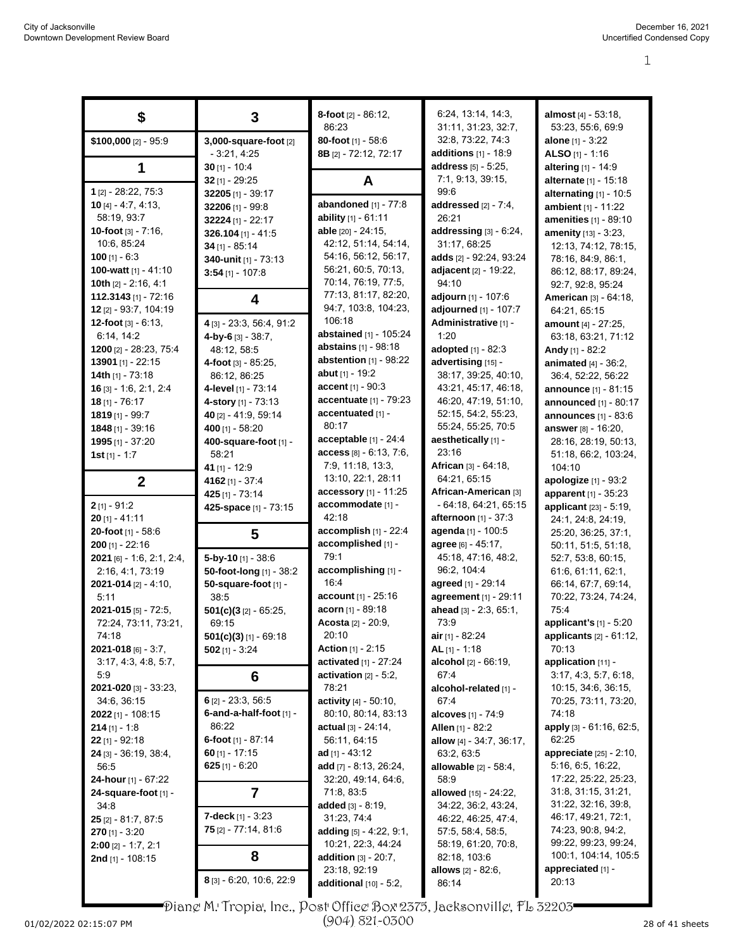| S                                         | 3                                      | 8-foot [2] - 86:12,                          | 6:24, 13:14, 14:3,                       | almost [4] - 53:18,                            |
|-------------------------------------------|----------------------------------------|----------------------------------------------|------------------------------------------|------------------------------------------------|
|                                           |                                        | 86:23                                        | 31:11, 31:23, 32:7,<br>32:8, 73:22, 74:3 | 53:23, 55:6, 69:9                              |
| $$100,000$ [2] - 95:9                     | 3,000-square-foot [2]<br>$-3:21, 4:25$ | 80-foot [1] - 58:6<br>8B [2] - 72:12, 72:17  | additions $[1]$ - 18:9                   | <b>alone</b> $[1] - 3:22$<br>ALSO $[1] - 1:16$ |
|                                           | $30$ [1] - 10:4                        |                                              | address [5] - 5:25,                      | altering [1] - 14:9                            |
|                                           | $32$ [1] - 29:25                       | A                                            | 7:1, 9:13, 39:15,                        | alternate [1] - 15:18                          |
| 1 [2] - 28:22, 75:3                       | 32205 [1] - 39:17                      |                                              | 99.6                                     | alternating $[1]$ - 10:5                       |
| $10$ [4] - 4:7, 4:13,                     | 32206 [1] - 99:8                       | abandoned [1] - 77:8                         | addressed $[2] - 7.4$ ,                  | ambient [1] - 11:22                            |
| 58:19, 93:7                               | 32224 [1] - 22:17                      | ability $[1] - 61:11$                        | 26:21                                    | <b>amenities</b> [1] - 89:10                   |
| 10-foot $[3] - 7:16$ ,                    | $326.104$ [1] - 41:5                   | able [20] - 24:15,                           | addressing $[3] - 6.24$ ,                | amenity [13] - 3:23,                           |
| 10:6, 85:24                               | 34 [1] - 85:14                         | 42:12, 51:14, 54:14,                         | 31:17, 68:25                             | 12:13, 74:12, 78:15,                           |
| 100 $[1] - 6:3$                           | 340-unit [1] - 73:13                   | 54:16, 56:12, 56:17,                         | adds [2] - 92:24, 93:24                  | 78:16, 84:9, 86:1,                             |
| 100-watt [1] - 41:10                      | $3:54$ [1] - 107:8                     | 56:21, 60:5, 70:13,                          | adjacent [2] - 19:22,                    | 86:12, 88:17, 89:24,                           |
| 10th $[2] - 2:16, 4:1$                    |                                        | 70:14, 76:19, 77:5,                          | 94:10                                    | 92:7, 92:8, 95:24                              |
| 112.3143 [1] - 72:16                      | 4                                      | 77:13, 81:17, 82:20,                         | adjourn [1] - 107:6                      | American [3] - 64:18,                          |
| 12 [2] - 93:7, 104:19                     |                                        | 94:7, 103:8, 104:23,                         | adjourned $[1] - 107:7$                  | 64:21, 65:15                                   |
| 12-foot $[3] - 6:13$ ,                    | 4 [3] - 23:3, 56:4, 91:2               | 106:18                                       | Administrative [1] -                     | <b>amount</b> [4] - 27:25,                     |
| 6:14, 14:2                                | $4$ -by-6 [3] - 38:7,                  | abstained [1] - 105:24                       | 1:20                                     | 63:18, 63:21, 71:12                            |
| 1200 [2] - 28:23, 75:4                    | 48:12.58:5                             | <b>abstains</b> [1] - 98:18                  | adopted $[1] - 82:3$                     | Andy [1] - 82:2                                |
| 13901 [1] - 22:15                         | 4-foot $[3] - 85:25$ ,                 | abstention $[1]$ - $98:22$                   | advertising [15] -                       | animated [4] - 36:2,                           |
| 14th $[1] - 73:18$                        | 86:12, 86:25                           | abut [1] - 19:2                              | 38:17, 39:25, 40:10,                     | 36.4, 52.22, 56.22                             |
| $16$ [3] - 1.6, 2:1, 2:4                  | 4-level [1] - 73:14                    | <b>accent</b> $[1] - 90:3$                   | 43:21, 45:17, 46:18,                     | <b>announce</b> [1] - 81:15                    |
| $18$ [1] - 76:17                          | 4-story [1] - 73:13                    | accentuate [1] - 79:23                       | 46:20, 47:19, 51:10,                     | <b>announced</b> [1] - 80:17                   |
| $1819$ [1] - 99:7                         | 40 [2] - 41:9, 59:14                   | accentuated [1] -                            | 52:15, 54:2, 55:23,                      | announces $[1] - 83.6$                         |
| $1848$ [1] - 39:16                        | 400 [1] - 58:20                        | 80:17                                        | 55:24, 55:25, 70:5                       | <b>answer</b> [8] - 16:20,                     |
| 1995 [1] - 37:20                          | 400-square-foot [1] -                  | acceptable [1] - 24:4                        | aesthetically [1] -<br>23:16             | 28:16, 28:19, 50:13,                           |
| <b>1st</b> [1] - 1:7                      | 58:21                                  | access [8] - 6.13, 7:6,<br>7:9, 11:18, 13:3, | African [3] - 64:18,                     | 51:18, 66:2, 103:24,                           |
|                                           | 41 $[1] - 12:9$                        | 13:10, 22:1, 28:11                           | 64:21, 65:15                             | 104:10                                         |
| $\mathbf{2}$                              | 4162 [1] - 37:4                        | accessory [1] - 11:25                        | African-American [3]                     | apologize [1] - 93:2                           |
| $2$ [1] - 91:2                            | 425 [1] - 73:14                        | accommodate [1] -                            | $-64.18, 64.21, 65.15$                   | apparent [1] - 35:23<br>applicant [23] - 5:19, |
| $20$ [1] - 41:11                          | 425-space [1] - 73:15                  | 42:18                                        | afternoon [1] - 37:3                     | 24:1, 24:8, 24:19,                             |
| 20-foot [1] - 58:6                        | 5                                      | accomplish [1] - 22:4                        | agenda [1] - 100:5                       | 25:20, 36:25, 37:1,                            |
| $200$ [1] - 22:16                         |                                        | accomplished [1] -                           | agree [6] - 45:17,                       | 50:11, 51:5, 51:18,                            |
| $2021$ [6] - 1.6, 2.1, 2.4,               | 5-by-10 $[1] - 38.6$                   | 79:1                                         | 45:18, 47:16, 48:2,                      | 52:7, 53:8, 60:15,                             |
| 2:16, 4:1, 73:19                          | 50-foot-long [1] - 38:2                | accomplishing [1] -                          | 96:2, 104:4                              | 61:6, 61:11, 62:1,                             |
| $2021 - 014$ [2] - 4:10,                  | 50-square-foot [1] -                   | 16:4                                         | agreed [1] - 29:14                       | 66:14, 67:7, 69:14,                            |
| 5:11                                      | 38.5                                   | <b>account</b> $[1] - 25:16$                 | agreement [1] - 29:11                    | 70:22, 73:24, 74:24,                           |
| 2021-015 [5] - 72:5,                      | $501(c)(3$ [2] - 65:25,                | <b>acorn</b> [1] - 89:18                     | ahead [3] - 2:3, 65:1,                   | 75:4                                           |
| 72:24, 73:11, 73:21,                      | 69:15                                  | Acosta [2] - 20:9,                           | 73:9                                     | applicant's [1] - 5:20                         |
| 74:18                                     | $501(c)(3)$ [1] - 69:18                | 20:10                                        | air $[1] - 82.24$                        | <b>applicants</b> $[2] - 61:12$ ,              |
| $2021 - 018$ [6] - 3:7,                   | $502$ [1] - 3:24                       | <b>Action</b> $[1]$ - 2:15                   | $AL$ [1] - 1:18                          | 70:13                                          |
| 3.17, 4.3, 4.8, 5.7,                      |                                        | activated [1] - 27:24                        | alcohol [2] - 66:19,                     | application [11] -                             |
| 5.9                                       | 6                                      | activation $[2] - 5:2$ ,                     | 67.4                                     | 3:17, 4:3, 5:7, 6:18,                          |
| <b>2021-020</b> [3] - 33:23,              |                                        | 78:21                                        | alcohol-related [1] -                    | 10:15, 34:6, 36:15,                            |
| 34:6, 36:15                               | $6$ [2] - 23:3, 56:5                   | activity [4] - 50:10,                        | 67:4                                     | 70:25, 73:11, 73:20,                           |
| 2022 [1] - 108:15                         | 6-and-a-half-foot [1] -<br>86:22       | 80:10, 80:14, 83:13                          | alcoves [1] - 74:9                       | 74:18<br>apply [3] - 61:16, 62:5,              |
| <b>214</b> [1] - 1:8                      | 6-foot $[1]$ - 87:14                   | <b>actual</b> [3] - 24:14,<br>56:11, 64:15   | <b>Allen</b> [1] - 82:2                  | 62:25                                          |
| $22$ [1] - 92:18<br>24 [3] - 36:19, 38:4, | $60$ [1] - 17:15                       | ad $[1] - 43:12$                             | allow [4] - 34:7, 36:17,<br>63:2, 63:5   | appreciate [25] - 2:10,                        |
| 56:5                                      | 625 $[1] - 6:20$                       | add [7] - 8:13, 26:24,                       | allowable [2] - 58:4,                    | 5:16, 6:5, 16:22,                              |
| 24-hour [1] - 67:22                       |                                        | 32:20, 49:14, 64:6,                          | 58.9                                     | 17:22, 25:22, 25:23,                           |
| 24-square-foot [1] -                      | 7                                      | 71:8, 83:5                                   | allowed [15] - 24:22,                    | 31:8, 31:15, 31:21,                            |
| 34.8                                      |                                        | added $[3] - 8.19$ ,                         | 34:22, 36:2, 43:24,                      | 31:22, 32:16, 39.8,                            |
| $25$ [2] - 81:7, 87:5                     | <b>7-deck</b> [1] - $3:23$             | 31:23, 74:4                                  | 46:22, 46:25, 47:4,                      | 46:17, 49:21, 72:1,                            |
| <b>270</b> [1] - 3:20                     | 75 [2] - 77:14, 81:6                   | adding $[5] - 4:22, 9:1,$                    | 57:5, 58:4, 58:5,                        | 74:23, 90:8, 94:2,                             |
| $2:00$ [2] - 1:7, 2:1                     |                                        | 10:21, 22:3, 44:24                           | 58:19, 61:20, 70:8,                      | 99:22, 99:23, 99:24,                           |
| <b>2nd</b> [1] - 108:15                   | 8                                      | <b>addition</b> $[3] - 20:7$ ,               | 82:18, 103.6                             | 100:1, 104:14, 105:5                           |
|                                           |                                        | 23:18, 92:19                                 | <b>allows</b> $[2] - 82:6$ ,             | appreciated [1] -                              |
|                                           | 8 [3] - 6:20, 10:6, 22:9               | additional $[10] - 5:2$ ,                    | 86:14                                    | 20:13                                          |

Diane M. Tropia, Inc., Post Office Box 2375, Jacksonville, FL 32203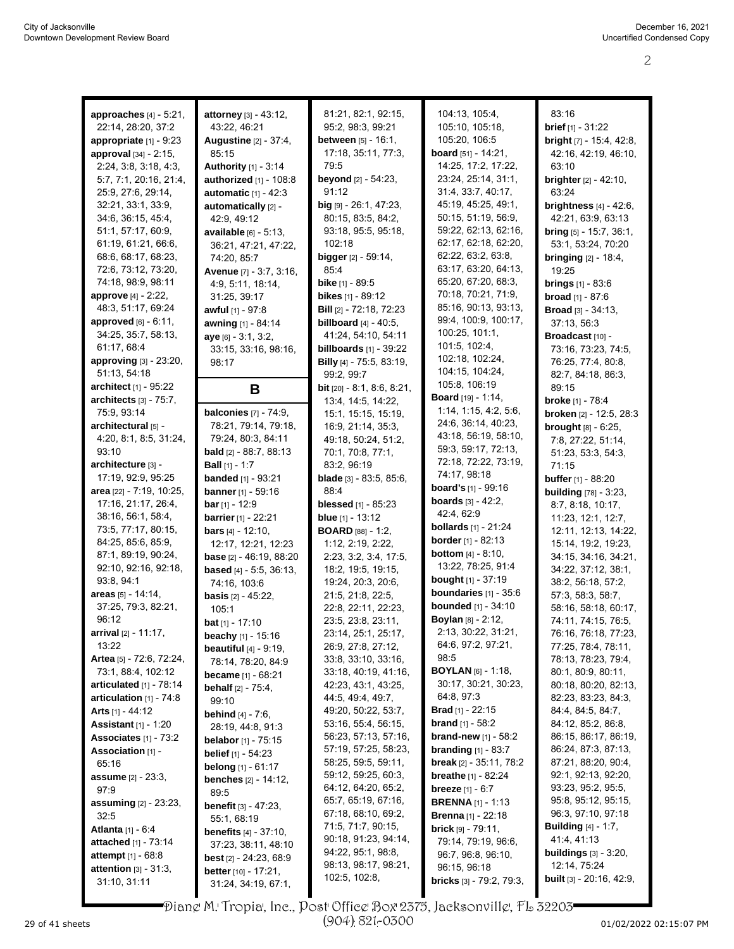| approaches $[4]$ - 5:21,        | attorney [3] - 43:12,             | 81:21, 82:1, 92:15,                    | 104:13, 105:4,                      | 83:16                           |
|---------------------------------|-----------------------------------|----------------------------------------|-------------------------------------|---------------------------------|
| 22:14, 28:20, 37:2              | 43:22, 46:21                      | 95:2, 98:3, 99:21                      | 105:10, 105:18,                     | <b>brief</b> $[1] - 31:22$      |
|                                 |                                   |                                        |                                     |                                 |
| appropriate [1] - 9:23          | Augustine [2] - 37:4,             | <b>between</b> $[5] - 16:1$ ,          | 105:20, 106:5                       | bright [7] - 15:4, 42:8,        |
| approval [34] - 2:15,           | 85:15                             | 17:18, 35:11, 77:3,                    | <b>board</b> $[51] - 14:21$ ,       | 42:16, 42:19, 46:10,            |
| 2:24, 3:8, 3:18, 4:3,           | Authority [1] - 3:14              | 79:5                                   | 14:25, 17:2, 17:22,                 | 63:10                           |
| 5:7, 7:1, 20:16, 21:4,          | authorized [1] - 108:8            | beyond [2] - 54:23,                    | 23:24, 25:14, 31:1,                 | <b>brighter</b> [2] - 42:10,    |
| 25:9, 27:6, 29:14,              | automatic $[1] - 42:3$            | 91:12                                  | 31:4, 33:7, 40:17,                  | 63:24                           |
| 32:21, 33:1, 33:9,              | automatically [2] -               | big [9] - 26:1, 47:23,                 | 45:19, 45:25, 49:1,                 | brightness $[4] - 42:6$ ,       |
| 34.6, 36.15, 45.4,              | 42:9, 49:12                       | 80:15, 83:5, 84:2,                     | 50:15, 51:19, 56:9,                 | 42:21, 63:9, 63:13              |
| 51:1, 57:17, 60:9,              | available [6] - 5:13,             | 93:18, 95:5, 95:18,                    | 59:22, 62:13, 62:16,                | bring $[5]$ - 15:7, 36:1,       |
| 61:19, 61:21, 66:6,             |                                   | 102:18                                 | 62:17, 62:18, 62:20,                |                                 |
|                                 | 36:21, 47:21, 47:22,              |                                        | 62:22, 63:2, 63:8,                  | 53:1, 53:24, 70:20              |
| 68.6, 68.17, 68.23,             | 74:20, 85:7                       | <b>bigger</b> [2] - 59:14,             | 63:17, 63:20, 64:13,                | <b>bringing</b> $[2] - 18.4$ ,  |
| 72:6, 73:12, 73:20,             | Avenue [7] - 3:7, 3:16,           | 85:4                                   |                                     | 19:25                           |
| 74:18, 98:9, 98:11              | 4:9, 5:11, 18:14,                 | <b>bike</b> [1] - 89:5                 | 65:20, 67:20, 68:3,                 | <b>brings</b> $[1] - 83.6$      |
| approve [4] - 2:22,             | 31:25, 39:17                      | bikes [1] - 89:12                      | 70:18, 70:21, 71:9,                 | <b>broad</b> [1] - 87:6         |
| 48:3, 51:17, 69:24              | awful [1] - 97:8                  | <b>Bill</b> [2] - 72:18, 72:23         | 85:16, 90:13, 93:13,                | <b>Broad</b> $[3] - 34:13$ ,    |
| approved [6] - 6:11,            | awning [1] - 84:14                | <b>billboard</b> $[4] - 40.5$ ,        | 99:4, 100:9, 100:17,                | 37:13, 56:3                     |
| 34:25, 35:7, 58:13,             | ave [6] - 3:1, 3:2,               | 41:24, 54:10, 54:11                    | 100:25, 101:1,                      | Broadcast [10] -                |
| 61:17, 68:4                     | 33:15, 33:16, 98:16,              | billboards $[1]$ - 39:22               | 101:5, 102:4,                       | 73:16, 73:23, 74:5,             |
| approving [3] - 23:20,          | 98:17                             | Billy [4] - 75:5, 83:19,               | 102:18, 102:24,                     | 76:25, 77:4, 80:8,              |
| 51:13, 54:18                    |                                   | 99:2, 99:7                             | 104:15, 104:24,                     |                                 |
| architect [1] - 95:22           |                                   |                                        | 105:8, 106:19                       | 82.7, 84.18, 86.3,              |
|                                 | B                                 | bit [20] - 8:1, 8:6, 8:21,             | <b>Board</b> [19] - 1:14,           | 89:15                           |
| architects [3] - 75:7,          |                                   | 13:4, 14:5, 14:22,                     | 1:14, 1:15, 4:2, 5:6,               | <b>broke</b> [1] - 78:4         |
| 75:9, 93:14                     | <b>balconies</b> $[7] - 74:9$ ,   | 15:1, 15:15, 15:19,                    |                                     | broken [2] - 12:5, 28:3         |
| architectural [5] -             | 78:21, 79:14, 79:18,              | 16:9, 21:14, 35:3,                     | 24.6, 36.14, 40.23,                 | <b>brought</b> $[8] - 6:25$ ,   |
| 4:20, 8:1, 8:5, 31:24,          | 79:24, 80:3, 84:11                | 49:18, 50:24, 51:2,                    | 43:18, 56:19, 58:10,                | 7:8, 27:22, 51:14,              |
| 93:10                           | <b>bald</b> [2] - 88:7, 88:13     | 70:1, 70:8, 77:1,                      | 59:3, 59:17, 72:13,                 | 51:23, 53:3, 54:3,              |
| architecture [3] -              | <b>Ball</b> [1] - 1:7             | 83:2, 96:19                            | 72:18, 72:22, 73:19,                | 71:15                           |
| 17:19, 92:9, 95:25              | <b>banded</b> [1] - 93:21         | <b>blade</b> $[3]$ - $83:5$ , $85:6$ , | 74:17, 98:18                        | <b>buffer</b> [1] - 88:20       |
| area [22] - 7:19, 10:25,        | <b>banner</b> [1] - 59:16         | 88:4                                   | <b>board's</b> [1] - 99:16          | <b>building</b> [78] - 3:23,    |
| 17:16, 21:17, 26.4,             | <b>bar</b> [1] - 12:9             | <b>blessed</b> [1] - 85:23             | <b>boards</b> $[3] - 42:2$ ,        | 8:7, 8:18, 10:17,               |
| 38:16, 56:1, 58:4,              |                                   |                                        | 42:4, 62:9                          |                                 |
| 73:5, 77:17, 80:15,             | <b>barrier</b> [1] - 22:21        | <b>blue</b> [1] - 13:12                | <b>bollards</b> $[1]$ - 21:24       | 11:23, 12:1, 12:7,              |
|                                 | <b>bars</b> $[4] - 12:10$ ,       | <b>BOARD</b> $[88] - 1.2$ ,            | <b>border</b> $[1] - 82:13$         | 12:11, 12:13, 14:22,            |
| 84:25, 85:6, 85:9,              | 12:17, 12:21, 12:23               | 1:12, 2:19, 2:22,                      | <b>bottom</b> [4] - 8:10,           | 15:14, 19:2, 19:23,             |
| 87:1, 89:19, 90:24,             | <b>base</b> [2] - 46:19, 88:20    | 2:23, 3:2, 3:4, 17:5,                  |                                     | 34:15, 34:16, 34:21,            |
| 92:10, 92:16, 92:18,            | <b>based</b> $[4] - 5.5$ , 36:13, | 18:2, 19:5, 19:15,                     | 13:22, 78:25, 91:4                  | 34:22, 37:12, 38:1,             |
| 93:8, 94:1                      | 74:16, 103:6                      | 19:24, 20:3, 20:6,                     | bought [1] - 37:19                  | 38:2, 56:18, 57:2,              |
| areas [5] - 14:14,              | <b>basis</b> $[2] - 45:22$ ,      | 21:5, 21:8, 22:5,                      | boundaries $[1]$ - $35:6$           | 57:3, 58:3, 58:7,               |
| 37:25, 79:3, 82:21,             | 105:1                             | 22:8, 22:11, 22:23,                    | <b>bounded</b> [1] - 34:10          | 58:16, 58:18, 60:17,            |
| 96:12                           | <b>bat</b> $[1]$ - 17:10          | 23:5, 23:8, 23:11,                     | Boylan [8] - 2:12,                  | 74:11, 74:15, 76:5,             |
| arrival [2] - 11:17,            | <b>beachy</b> $[1]$ - 15:16       | 23:14, 25:1, 25:17,                    | 2:13, 30:22, 31:21,                 | 76:16, 76:18, 77:23,            |
| 13:22                           |                                   | 26.9, 27.8, 27.12,                     | 64.6, 97.2, 97.21,                  | 77:25, 78:4, 78:11,             |
| Artea [5] - 72:6, 72:24,        | <b>beautiful</b> $[4] - 9:19$ ,   | 33:8, 33:10, 33:16,                    | 98:5                                | 78:13, 78:23, 79.4,             |
| 73:1, 88:4, 102:12              | 78:14, 78:20, 84:9                |                                        | <b>BOYLAN</b> $[6] - 1.18$ ,        | 80:1, 80:9, 80:11,              |
|                                 | <b>became</b> $[1] - 68:21$       | 33:18, 40:19, 41:16,                   | 30:17, 30:21, 30:23,                |                                 |
| articulated $[1]$ - 78:14       | <b>behalf</b> $[2] - 75:4$ ,      | 42.23, 43:1, 43:25,                    |                                     | 80:18, 80:20, 82:13,            |
| articulation $[1]$ - 74:8       | 99:10                             | 44:5, 49:4, 49:7,                      | 64:8, 97:3                          | 82:23, 83:23, 84:3,             |
| <b>Arts</b> $[1] - 44:12$       | <b>behind</b> $[4] - 7:6$ ,       | 49.20, 50:22, 53:7,                    | <b>Brad</b> [1] - 22:15             | 84:4, 84:5, 84:7,               |
| <b>Assistant</b> [1] - 1:20     | 28:19, 44:8, 91:3                 | 53:16, 55:4, 56:15,                    | <b>brand</b> $[1]$ - 58:2           | 84:12, 85:2, 86:8,              |
| Associates $[1]$ - $73:2$       | <b>belabor</b> $[1]$ - 75:15      | 56:23, 57:13, 57:16,                   | <b>brand-new</b> $[1]$ - 58:2       | 86:15, 86:17, 86:19,            |
| Association [1] -               | <b>belief</b> $[1] - 54.23$       | 57:19, 57:25, 58:23,                   | <b>branding</b> $[1] - 83:7$        | 86.24, 87:3, 87:13,             |
| 65:16                           | <b>belong</b> $[1] - 61:17$       | 58:25, 59:5, 59:11,                    | <b>break</b> $[2] - 35.11$ , $78.2$ | 87:21, 88:20, 90:4,             |
| <b>assume</b> [2] - 23:3,       |                                   | 59:12, 59:25, 60:3,                    | <b>breathe</b> $[1] - 82:24$        | 92:1, 92:13, 92:20,             |
| 97:9                            | <b>benches</b> $[2] - 14:12$ ,    | 64:12, 64:20, 65:2,                    | <b>breeze</b> $[1] - 6:7$           | 93:23, 95:2, 95:5,              |
|                                 | 89:5                              | 65:7, 65:19, 67:16,                    |                                     | 95:8, 95:12, 95:15,             |
| <b>assuming</b> $[2] - 23:23$ , | <b>benefit</b> $[3] - 47:23$ ,    | 67:18, 68:10, 69:2,                    | <b>BRENNA</b> [1] - 1:13            | 96:3, 97:10, 97:18              |
| 32:5                            | 55:1, 68:19                       |                                        | <b>Brenna</b> [1] - 22:18           |                                 |
| <b>Atlanta</b> [1] - 6:4        | <b>benefits</b> $[4] - 37:10$ ,   | 71:5, 71:7, 90:15,                     | <b>brick</b> $[9] - 79:11$ ,        | <b>Building</b> $[4] - 1:7$ ,   |
| attached [1] - 73:14            | 37:23, 38:11, 48:10               | 90:18, 91:23, 94:14,                   | 79:14, 79:19, 96:6,                 | 41:4, 41:13                     |
| <b>attempt</b> $[1] - 68.8$     | <b>best</b> $[2] - 24:23, 68:9$   | 94:22, 95:1, 98:8,                     | 96.7, 96.8, 96.10,                  | <b>buildings</b> $[3] - 3:20$ , |
| attention [3] - 31:3,           | <b>better</b> $[10] - 17:21$ ,    | 98:13, 98:17, 98:21,                   | 96:15, 96:18                        | 12:14, 75:24                    |
| 31:10, 31:11                    | 31:24, 34:19, 67:1,               | 102:5, 102:8,                          | <b>bricks</b> $[3]$ - 79:2, 79:3,   | <b>built</b> [3] - 20:16, 42:9, |

Diane M. Tropia, Inc., Post Office Box 2375, Jacksonville, FL 32203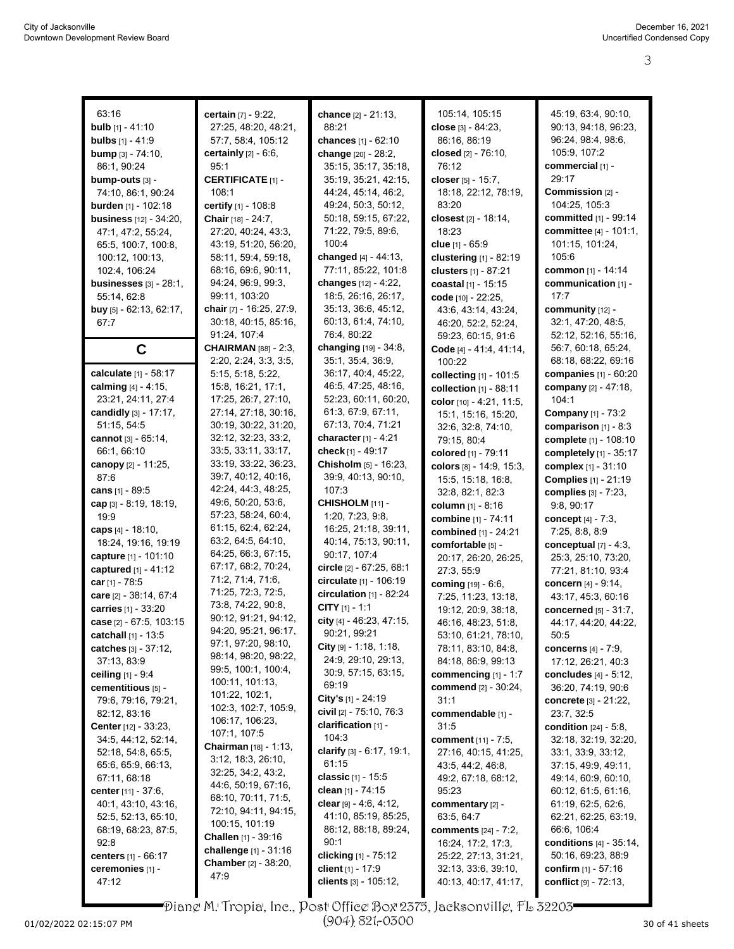| 63:16                            | certain [7] - 9:22,               | chance [2] - 21:13,             | 105:14, 105:15              | 45:19, 63:4, 90:10,               |
|----------------------------------|-----------------------------------|---------------------------------|-----------------------------|-----------------------------------|
| <b>bulb</b> $[1] - 41:10$        | 27:25, 48:20, 48:21,              | 88:21                           | close [3] - 84:23,          | 90:13, 94:18, 96:23,              |
| <b>bulbs</b> [1] - 41:9          | 57:7, 58:4, 105:12                | chances [1] - 62:10             | 86:16, 86:19                | 96:24, 98:4, 98:6,                |
| <b>bump</b> $[3] - 74.10$ ,      | <b>certainly</b> $[2] - 6:6$ ,    | change [20] - 28:2,             | closed [2] - 76:10,         | 105.9, 107:2                      |
| 86:1, 90:24                      | 95:1                              | 35:15, 35:17, 35:18,            | 76:12                       | commercial [1] -                  |
| bump-outs [3] -                  | <b>CERTIFICATE [1] -</b>          | 35:19, 35:21, 42:15,            | closer $[5] - 15:7$ ,       | 29:17                             |
| 74:10, 86:1, 90:24               | 108:1                             | 44.24, 45:14, 46:2,             | 18:18, 22:12, 78:19,        | Commission [2] -                  |
| <b>burden</b> [1] - 102:18       | certify [1] - 108:8               | 49:24, 50:3, 50:12,             | 83:20                       | 104:25, 105:3                     |
| <b>business</b> $[12] - 34:20$ , | Chair [18] - 24:7,                | 50:18, 59:15, 67:22,            | closest [2] - 18:14,        | committed [1] - 99:14             |
|                                  | 27:20, 40:24, 43:3,               | 71:22, 79:5, 89:6,              | 18:23                       | committee [4] - 101:1,            |
| 47:1, 47:2, 55:24,               |                                   | 100:4                           |                             |                                   |
| 65:5, 100:7, 100:8,              | 43:19, 51:20, 56:20,              |                                 | clue $[1] - 65.9$           | 101:15, 101:24,                   |
| 100:12, 100:13,                  | 58:11, 59:4, 59:18,               | changed [4] - 44:13,            | clustering [1] - 82:19      | 105:6                             |
| 102:4, 106:24                    | 68:16, 69:6, 90:11,               | 77:11, 85:22, 101:8             | clusters $[1] - 87:21$      | common [1] - 14:14                |
| businesses $[3]$ - $28:1$ ,      | 94:24, 96:9, 99:3,                | changes [12] - 4:22,            | coastal [1] - 15:15         | communication [1] -               |
| 55:14, 62:8                      | 99:11, 103:20                     | 18:5, 26:16, 26:17,             | code [10] - 22:25,          | 17:7                              |
| buy [5] - 62:13, 62:17,          | <b>chair</b> $[7]$ - 16:25, 27:9, | 35:13, 36:6, 45:12,             | 43.6, 43.14, 43.24,         | community $[12]$ -                |
| 67:7                             | 30:18, 40:15, 85:16,              | 60:13, 61:4, 74:10,             | 46.20, 52:2, 52:24,         | 32:1, 47:20, 48:5,                |
|                                  | 91:24, 107:4                      | 76:4, 80:22                     | 59:23, 60:15, 91:6          | 52:12, 52:16, 55:16,              |
| $\mathbf c$                      | <b>CHAIRMAN</b> [88] - 2:3,       | changing [19] - 34:8,           | Code [4] - 41:4, 41:14,     | 56:7, 60:18, 65:24,               |
|                                  | 2:20, 2:24, 3:3, 3:5,             | 35:1, 35:4, 36:9,               | 100:22                      | 68:18, 68:22, 69:16               |
| calculate [1] - 58:17            | 5:15, 5:18, 5:22,                 | 36:17, 40:4, 45:22,             | collecting [1] - 101:5      | companies [1] - 60:20             |
| calming $[4] - 4.15$ ,           | 15:8, 16:21, 17:1,                | 46:5, 47:25, 48:16,             | collection $[1]$ - 88:11    | company [2] - 47:18,              |
| 23:21, 24:11, 27:4               | 17:25, 26:7, 27:10,               | 52:23, 60:11, 60:20,            | color [10] - 4:21, 11:5,    | 104:1                             |
| candidly [3] - 17:17,            | 27:14, 27:18, 30:16,              | 61.3, 67.9, 67.11,              | 15:1, 15:16, 15:20,         | <b>Company</b> [1] - 73:2         |
| 51:15, 54:5                      | 30:19, 30:22, 31:20,              | 67:13, 70:4, 71:21              | 32.6, 32.8, 74.10,          | comparison $[1]$ - 8:3            |
| cannot $[3] - 65:14$ ,           | 32:12, 32:23, 33:2,               | <b>character</b> $[1] - 4:21$   | 79:15, 80:4                 | complete [1] - 108:10             |
| 66:1, 66:10                      | 33.5, 33.11, 33.17,               | check $[1] - 49:17$             | colored [1] - 79:11         | completely [1] - 35:17            |
| canopy [2] - 11:25,              | 33:19, 33:22, 36:23,              | Chisholm [5] - 16:23,           | colors $[8] - 14.9, 15.3,$  | <b>complex</b> [1] - 31:10        |
| 87:6                             | 39:7, 40:12, 40:16,               | 39.9, 40.13, 90.10,             | 15:5, 15:18, 16:8,          | <b>Complies</b> [1] - 21:19       |
| cans $[1] - 89.5$                | 42:24, 44:3, 48:25,               | 107:3                           | 32:8, 82:1, 82:3            | <b>complies</b> [3] - 7:23,       |
| cap $[3]$ - 8:19, 18:19,         | 49:6, 50:20, 53:6,                | CHISHOLM [11] -                 | <b>column</b> [1] - 8:16    | 9.8, 90.17                        |
| 19:9                             | 57:23, 58:24, 60:4,               | 1:20, 7:23, 9:8,                | combine [1] - 74:11         | concept $[4] - 7:3$ ,             |
| caps $[4] - 18.10$ ,             | 61:15, 62:4, 62:24,               | 16:25, 21:18, 39:11,            | combined [1] - 24:21        | 7:25, 8:8, 8:9                    |
| 18:24, 19:16, 19:19              | 63.2, 64.5, 64.10,                | 40:14, 75:13, 90:11,            | comfortable [5] -           | conceptual [7] - 4:3,             |
| capture [1] - 101:10             | 64:25, 66:3, 67:15,               | 90:17, 107:4                    | 20:17, 26:20, 26:25,        | 25:3, 25:10, 73:20,               |
| captured $[1] - 41:12$           | 67:17, 68:2, 70:24,               | circle [2] - 67:25, 68:1        | 27:3, 55:9                  | 77:21, 81:10, 93:4                |
| car $[1] - 78.5$                 | 71:2, 71:4, 71:6,                 | circulate [1] - 106:19          | coming [19] - 6:6,          | concern [4] - 9:14,               |
| care [2] - 38:14, 67:4           | 71:25, 72:3, 72:5,                | circulation $[1]$ - 82:24       | 7:25, 11:23, 13:18,         | 43:17, 45:3, 60:16                |
| carries [1] - 33:20              | 73:8, 74:22, 90:8,                | CITY $[1] - 1:1$                | 19:12, 20:9, 38:18,         | <b>concerned</b> [5] - 31:7,      |
| case [2] - 67:5, 103:15          | 90:12, 91:21, 94:12,              | city [4] - 46:23, 47:15,        | 46:16, 48:23, 51:8,         | 44:17, 44:20, 44:22,              |
| catchall [1] - 13:5              | 94:20, 95:21, 96:17,              | 90:21, 99:21                    | 53:10, 61:21, 78:10,        | 50:5                              |
| catches [3] - 37:12,             | 97:1, 97:20, 98:10,               | City $[9] - 1.18, 1.18,$        | 78:11, 83:10, 84:8,         | concerns $[4] - 7.9$ ,            |
| 37:13, 83:9                      | 98:14, 98:20, 98:22,              | 24:9, 29:10, 29:13,             | 84:18, 86.9, 99:13          | 17:12, 26:21, 40:3                |
| <b>ceiling</b> $[1] - 9.4$       | 99.5, 100.1, 100.4,               | 30.9, 57:15, 63:15,             | commencing $[1] - 1:7$      | concludes $[4] - 5:12$ ,          |
| cementitious [5] -               | 100:11, 101:13,                   | 69:19                           | <b>commend</b> [2] - 30:24, | 36:20, 74:19, 90:6                |
| 79:6, 79:16, 79:21,              | 101:22, 102:1,                    | <b>City's</b> $[1]$ - 24:19     | 31:1                        | concrete [3] - 21:22,             |
| 82:12, 83:16                     | 102:3, 102:7, 105:9,              | civil [2] - 75:10, 76:3         | commendable [1] -           | 23:7, 32:5                        |
| <b>Center</b> [12] - 33:23,      | 106:17, 106:23,                   | clarification [1] -             | 31:5                        | <b>condition</b> [24] - 5:8,      |
| 34:5, 44:12, 52:14,              | 107:1, 107:5                      | 104:3                           | <b>comment</b> [11] - 7:5,  | 32:18, 32:19, 32:20,              |
| 52:18, 54:8, 65:5,               | <b>Chairman</b> [18] - 1:13,      | clarify $[3] - 6.17, 19.1,$     | 27:16, 40:15, 41:25,        | 33:1, 33:9, 33:12,                |
| 65.6, 65.9, 66.13,               | 3.12, 18.3, 26.10,                | 61:15                           | 43:5, 44:2, 46:8,           | 37:15, 49:9, 49:11,               |
| 67:11, 68:18                     | 32:25, 34:2, 43:2,                | <b>classic</b> [1] - 15:5       | 49:2, 67:18, 68:12,         | 49:14, 60:9, 60:10,               |
| center [11] - 37:6,              | 44.6, 50.19, 67.16,               | clean [1] - 74:15               | 95:23                       | 60:12, 61:5, 61:16,               |
| 40:1, 43:10, 43:16,              | 68:10, 70:11, 71:5,               | <b>clear</b> $[9] - 4.6, 4.12,$ | commentary [2] -            | 61:19, 62:5, 62:6,                |
| 52:5, 52:13, 65:10,              | 72:10, 94:11, 94:15,              | 41:10, 85:19, 85:25,            | 63.5, 64.7                  | 62:21, 62:25, 63:19,              |
| 68:19, 68:23, 87:5,              | 100:15, 101:19                    | 86:12, 88:18, 89:24,            | <b>comments</b> [24] - 7:2, | 66.6, 106.4                       |
| 92:8                             | <b>Challen</b> [1] - $39:16$      | 90:1                            | 16:24, 17:2, 17:3,          | <b>conditions</b> $[4] - 35:14$ , |
| <b>centers</b> [1] - 66:17       | challenge $[1] - 31:16$           | clicking [1] - 75:12            | 25:22, 27:13, 31:21,        | 50:16, 69:23, 88:9                |
| ceremonies [1] -                 | Chamber [2] - 38:20,              | client [1] - 17:9               | 32:13, 33:6, 39:10,         | confirm [1] - 57:16               |
| 47:12                            | 47.9                              | clients [3] - 105:12,           | 40:13, 40:17, 41:17,        | conflict [9] - 72:13,             |
|                                  |                                   |                                 |                             |                                   |

Diane M. Tropia, Inc., Post Office Box 2375, Jacksonville, FL 32203

(904) 821-0300

U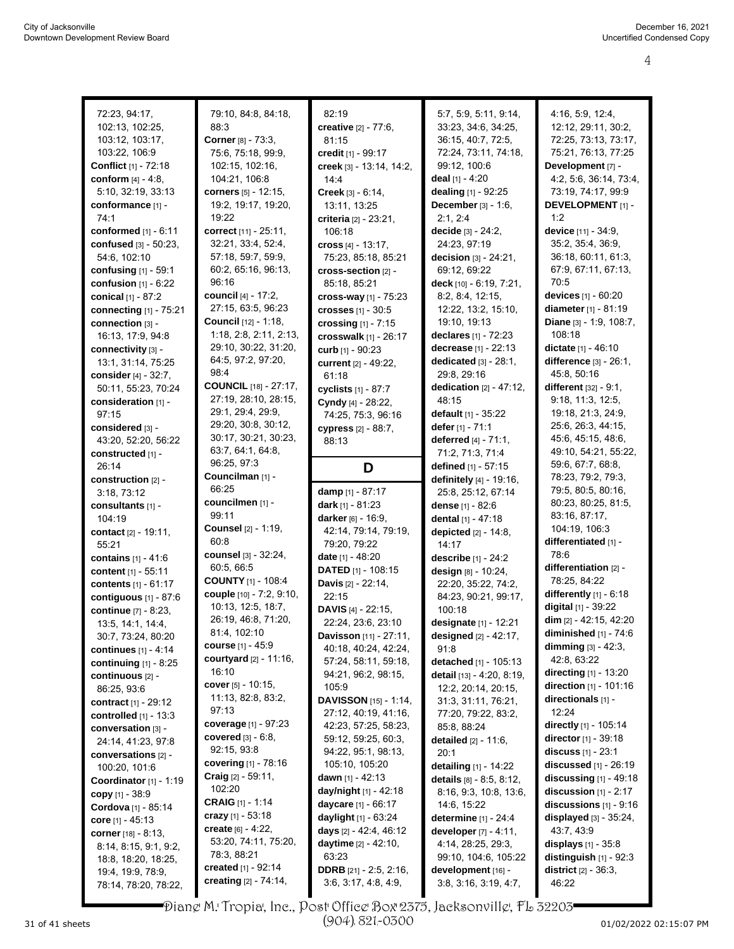| 72:23, 94:17,                             | 79:10, 84:8, 84:18,                          | 82:19                                                 | 5:7, 5:9, 5:11, 9:14,                       | 4:16, 5:9, 12:4,                        |
|-------------------------------------------|----------------------------------------------|-------------------------------------------------------|---------------------------------------------|-----------------------------------------|
| 102:13, 102:25,                           | 88:3                                         | creative [2] - 77:6,                                  | 33.23, 34:6, 34:25,                         | 12:12, 29:11, 30:2,                     |
| 103:12, 103:17,                           | Corner [8] - 73:3,                           | 81:15                                                 | 36:15, 40:7, 72:5,                          | 72:25, 73:13, 73:17,                    |
| 103:22, 106:9                             | 75:6, 75:18, 99:9,                           | credit [1] - 99:17                                    | 72:24, 73:11, 74:18,                        | 75:21, 76:13, 77:25                     |
| Conflict [1] - 72:18                      | 102:15, 102:16,                              | creek [3] - 13:14, 14:2,                              | 99:12, 100:6                                | Development [7] -                       |
| conform [4] - 4:8,                        | 104:21, 106:8                                | 14:4                                                  | deal $[1] - 4:20$                           | 4:2, 5:6, 36:14, 73:4,                  |
| 5:10, 32:19, 33:13                        | corners [5] - 12:15,                         | <b>Creek</b> $[3] - 6:14$ ,                           | dealing [1] - 92:25                         | 73:19, 74:17, 99:9                      |
| conformance [1] -                         | 19:2, 19:17, 19:20,                          | 13:11, 13:25                                          | <b>December</b> $[3] - 1:6$ ,               | <b>DEVELOPMENT</b> [1] -                |
| 74:1                                      | 19:22                                        | <b>criteria</b> [2] - 23:21,                          | 2.1, 2.4                                    | 1:2                                     |
| conformed [1] - 6:11                      | correct [11] - 25:11,                        | 106:18                                                | decide [3] - 24:2,                          | device [11] - 34:9,                     |
| confused [3] - 50:23,                     | 32:21, 33:4, 52:4,                           | cross $[4] - 13.17$ ,                                 | 24:23, 97:19                                | 35:2, 35:4, 36:9,                       |
| 54:6, 102:10                              | 57:18, 59:7, 59:9,                           | 75:23, 85:18, 85:21                                   | decision [3] - 24:21,                       | 36:18, 60:11, 61:3,                     |
| confusing [1] - 59:1                      | 60:2, 65:16, 96:13,                          | cross-section [2] -                                   | 69:12, 69:22                                | 67:9, 67:11, 67:13,                     |
| confusion $[1] - 6.22$                    | 96:16                                        | 85:18, 85:21                                          | deck $[10] - 6:19, 7:21$ ,                  | 70:5                                    |
| conical $[1] - 87:2$                      | council [4] - 17:2,                          | cross-way $[1]$ - $75:23$                             | 8.2, 8.4, 12.15,                            | devices [1] - 60:20                     |
| connecting [1] - 75:21                    | 27:15, 63:5, 96:23                           | crosses [1] - 30:5                                    | 12:22, 13:2, 15:10,                         | diameter [1] - 81:19                    |
| connection [3] -                          | <b>Council</b> [12] - 1:18,                  | crossing $[1] - 7:15$                                 | 19:10, 19:13                                | Diane [3] - 1:9, 108:7,                 |
| 16:13, 17:9, 94:8                         | 1:18, 2:8, 2:11, 2:13,                       | crosswalk $[1]$ - $26:17$                             | declares $[1] - 72:23$                      | 108:18                                  |
| connectivity [3] -                        | 29:10, 30:22, 31:20,                         | curb [1] - 90:23                                      | decrease [1] - 22:13                        | dictate [1] - 46:10                     |
| 13:1, 31:14, 75:25                        | 64:5, 97:2, 97:20,                           | current [2] - 49:22.                                  | dedicated $[3] - 28:1$ ,                    | difference [3] - 26:1,                  |
| consider $[4] - 32:7$ ,                   | 98:4                                         | 61:18                                                 | 29:8, 29:16                                 | 45:8, 50:16                             |
| 50:11, 55:23, 70:24                       | <b>COUNCIL</b> [18] - 27:17,                 | cyclists [1] - 87:7                                   | dedication $[2] - 47:12$ ,                  | different $[32] - 9:1$ ,                |
| consideration [1] -                       | 27:19, 28:10, 28:15,                         | Cyndy [4] - 28:22,                                    | 48:15                                       | 9:18, 11:3, 12:5,                       |
| 97:15                                     | 29:1, 29:4, 29:9,                            | 74:25, 75:3, 96:16                                    | <b>default</b> $[1] - 35:22$                | 19:18, 21:3, 24:9,                      |
| considered [3] -                          | 29:20, 30:8, 30:12,                          | cypress [2] - 88:7,                                   | defer [1] - 71:1                            | 25.6, 26.3, 44.15,                      |
| 43:20, 52:20, 56:22                       | 30:17, 30:21, 30:23,                         | 88:13                                                 | deferred $[4] - 71:1$ ,                     | 45:6, 45:15, 48:6,                      |
| constructed [1] -                         | 63.7, 64.1, 64.8,                            |                                                       | 71:2, 71:3, 71:4                            | 49:10, 54:21, 55:22,                    |
| 26:14                                     | 96:25, 97:3                                  | D                                                     | defined [1] - 57:15                         | 59:6, 67:7, 68:8,                       |
| construction [2] -                        | Councilman [1] -                             |                                                       | definitely [4] - 19:16,                     | 78:23, 79:2, 79:3,                      |
|                                           | 66:25                                        |                                                       |                                             | 79.5, 80.5, 80.16,                      |
| 3:18, 73:12                               |                                              | damp [1] - 87:17                                      | 25:8, 25:12, 67:14                          |                                         |
| consultants [1] -                         | councilmen [1] -                             | dark $[1] - 81:23$                                    | dense [1] - 82:6                            | 80:23, 80:25, 81:5,                     |
| 104:19                                    | 99:11                                        | darker [6] - 16:9,                                    | dental [1] - 47:18                          | 83:16, 87:17,                           |
| contact [2] - 19:11,                      | <b>Counsel</b> [2] - 1:19,                   | 42:14, 79:14, 79:19,                                  | depicted [2] - 14:8,                        | 104:19, 106:3                           |
| 55:21                                     | 60:8                                         | 79:20, 79:22                                          | 14:17                                       | differentiated [1] -                    |
| <b>contains</b> $[1] - 41.6$              | counsel [3] - 32:24,                         | date [1] - 48:20                                      | describe [1] - 24:2                         | 78:6                                    |
| content $[1] - 55:11$                     | 60:5, 66:5                                   | <b>DATED</b> $[1]$ - 108:15                           | design [8] - 10:24,                         | differentiation [2] -                   |
| contents [1] - 61:17                      | <b>COUNTY [1] - 108:4</b>                    | Davis [2] - 22:14,                                    | 22:20, 35:22, 74:2,                         | 78:25, 84:22                            |
| contiguous $[1]$ - 87:6                   | couple [10] - 7:2, 9:10,                     | 22:15                                                 | 84:23, 90:21, 99:17,                        | differently $[1]$ - $6:18$              |
| continue [7] - 8:23,                      | 10:13, 12:5, 18:7,                           | <b>DAVIS</b> $[4]$ - 22:15,                           | 100:18                                      | digital [1] - 39:22                     |
| 13.5, 14:1, 14:4,                         | 26:19, 46:8, 71:20,                          | 22:24, 23:6, 23:10                                    | designate [1] - 12:21                       | dim [2] - 42:15, 42:20                  |
| 30:7, 73:24, 80:20                        | 81:4, 102:10                                 | Davisson [11] - 27:11,                                | designed $[2] - 42:17$ ,                    | diminished $[1]$ - 74:6                 |
| continues $[1] - 4.14$                    | <b>course</b> $[1] - 45.9$                   | 40:18, 40:24, 42:24,                                  | 91:8                                        | dimming $[3] - 42:3$ ,                  |
| continuing $[1]$ - 8:25                   | <b>courtyard</b> $[2] - 11:16$ ,             | 57:24, 58:11, 59:18,                                  | detached [1] - 105:13                       | 42:8, 63:22                             |
| continuous [2] -                          | 16:10                                        | 94:21, 96:2, 98:15,                                   | detail [13] - 4.20, 8.19,                   | directing [1] - 13:20                   |
| 86:25, 93:6                               | cover $[5] - 10.15$ ,                        | 105:9                                                 | 12:2, 20:14, 20:15,                         | <b>direction</b> $[1]$ - 101:16         |
| <b>contract</b> [1] - 29:12               | 11:13, 82:8, 83:2,                           | DAVISSON [15] - 1:14,                                 | 31:3, 31:11, 76:21,                         | directionals $[1]$ -                    |
| controlled [1] - 13:3                     | 97:13                                        | 27:12, 40:19, 41:16,                                  | 77:20, 79:22, 83:2,                         | 12:24                                   |
| conversation [3] -                        | coverage [1] - 97:23                         | 42:23, 57:25, 58:23,                                  | 85:8, 88:24                                 | directly [1] - 105:14                   |
| 24:14, 41:23, 97:8                        | <b>covered</b> $[3] - 6:8$ ,                 | 59:12, 59:25, 60:3,                                   | <b>detailed</b> $[2] - 11.6$ ,              | <b>director</b> $[1] - 39:18$           |
| conversations [2] -                       | 92:15, 93.8                                  | 94.22, 95:1, 98:13,                                   | 20:1                                        | discuss $[1] - 23:1$                    |
| 100:20, 101:6                             | <b>covering</b> [1] - 78:16                  | 105:10, 105:20                                        | detailing [1] - 14:22                       | discussed [1] - 26:19                   |
| Coordinator [1] - 1:19                    | <b>Craig</b> $[2] - 59.11$ ,                 | dawn $[1] - 42.13$                                    | details $[8] - 8.5, 8.12,$                  | discussing $[1]$ - 49:18                |
| copy $[1] - 38.9$                         | 102:20                                       | day/night $[1] - 42:18$                               | 8:16, 9:3, 10:8, 13:6,                      | discussion $[1]$ - 2:17                 |
| <b>Cordova</b> [1] - 85:14                | <b>CRAIG</b> [1] - 1:14                      | daycare [1] - 66:17                                   | 14:6, 15:22                                 | discussions $[1]$ - $9:16$              |
| core $[1] - 45:13$                        | crazy $[1] - 53.18$                          | daylight [1] - 63:24                                  | determine [1] - 24:4                        | displayed [3] - 35:24,                  |
| <b>corner</b> [18] - 8:13,                | create $[6] - 4:22$ ,                        | days [2] - 42:4, 46:12                                | developer $[7] - 4.11$ ,                    | 43.7, 43.9                              |
| 8:14, 8:15, 9:1, 9:2,                     | 53:20, 74:11, 75:20,                         | daytime $[2] - 42:10$ ,                               | 4:14, 28:25, 29:3,                          | displays $[1] - 35.8$                   |
| 18:8, 18:20, 18:25,                       | 78:3, 88:21                                  | 63:23                                                 | 99:10, 104:6, 105:22                        | distinguish [1] - 92:3                  |
| 19:4, 19:9, 78:9,<br>78:14, 78:20, 78:22, | created [1] - 92:14<br>creating [2] - 74:14, | <b>DDRB</b> [21] - 2:5, 2:16,<br>3.6, 3.17, 4.8, 4.9, | development [16] -<br>3.8, 3.16, 3.19, 4.7, | <b>district</b> $[2] - 36:3$ ,<br>46:22 |

Diane M. Tropia, Inc., Post Office Box 2375, Jacksonville, FL 32203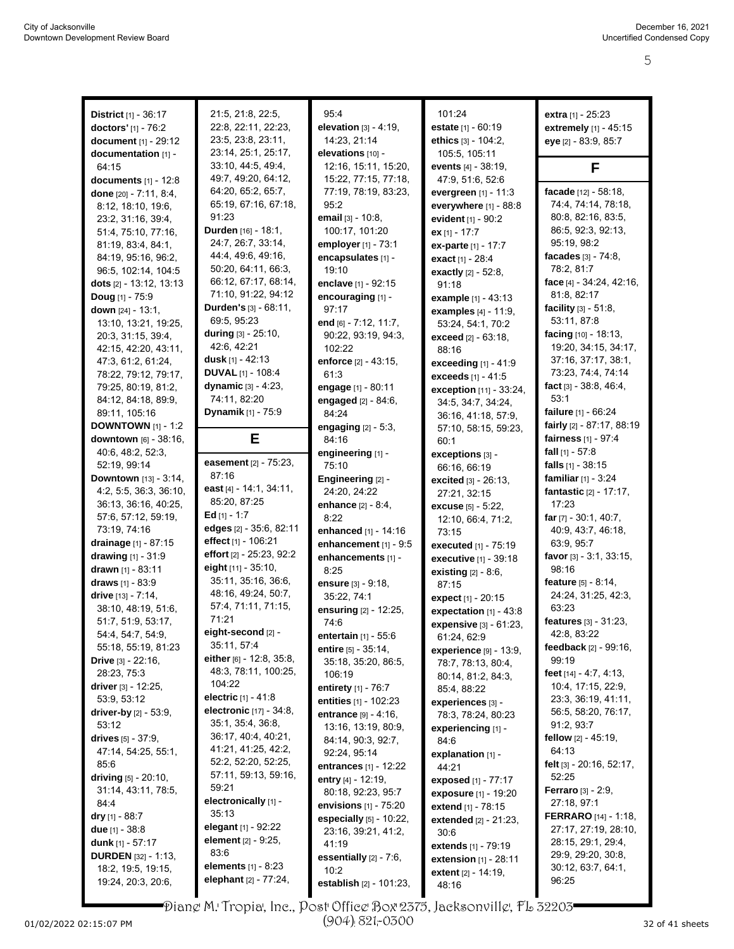| <b>District</b> $[1] - 36:17$           | 21:5, 21:8, 22:5,                              | 95:4                              | 101:24                                   | extra [1] - 25:23              |
|-----------------------------------------|------------------------------------------------|-----------------------------------|------------------------------------------|--------------------------------|
| doctors' [1] - 76:2                     | 22:8, 22:11, 22:23,                            | elevation $[3] - 4.19$ .          | estate [1] - 60:19                       | extremely [1] - 45:15          |
| document [1] - 29:12                    | 23:5, 23:8, 23:11,                             | 14:23, 21:14                      | ethics [3] - 104:2,                      | eye [2] - 83:9, 85:7           |
| documentation [1] -                     | 23:14, 25:1, 25:17,                            | elevations [10] -                 | 105.5, 105.11                            |                                |
| 64:15                                   | 33:10, 44:5, 49:4,                             | 12:16, 15:11, 15:20,              | events [4] - 38:19,                      | F                              |
| documents [1] - 12:8                    | 49:7, 49:20, 64:12,                            | 15:22, 77:15, 77:18,              | 47:9, 51:6, 52:6                         |                                |
| done $[20] - 7:11, 8:4,$                | 64:20, 65:2, 65:7,                             | 77:19, 78:19, 83:23,              | evergreen [1] - 11:3                     | facade [12] - 58:18,           |
| 8:12, 18:10, 19:6,                      | 65:19, 67:16, 67:18,                           | 95.2                              | everywhere [1] - 88:8                    | 74.4, 74.14, 78.18,            |
| 23:2, 31:16, 39:4,                      | 91:23                                          | email [3] - 10:8,                 | evident [1] - 90:2                       | 80:8, 82:16, 83:5,             |
| 51:4, 75:10, 77:16,                     | Durden [16] - 18:1,                            | 100:17, 101:20                    | ex [1] - 17:7                            | 86:5, 92:3, 92:13,             |
| 81:19, 83:4, 84:1,                      | 24:7, 26:7, 33:14,                             | employer [1] - 73:1               | ex-parte [1] - 17:7                      | 95:19, 98:2                    |
| 84:19, 95:16, 96:2,                     | 44.4, 49.6, 49.16,                             | encapsulates [1] -                | exact [1] - 28:4                         | facades $[3] - 74.8$ ,         |
| 96.5, 102:14, 104:5                     | 50:20, 64:11, 66:3,                            | 19:10                             | exactly [2] - 52:8,                      | 78:2, 81:7                     |
| dots [2] - 13:12, 13:13                 | 66:12, 67:17, 68:14,                           | enclave [1] - 92:15               | 91:18                                    | face [4] - 34:24, 42:16,       |
| <b>Doug</b> $[1]$ - 75:9                | 71:10, 91:22, 94:12                            | encouraging [1] -                 | example [1] - 43:13                      | 81:8, 82:17                    |
| down $[24] - 13:1$ ,                    | Durden's [3] - 68:11,                          | 97:17                             | <b>examples</b> $[4] - 11:9$ ,           | facility $[3] - 51.8$ ,        |
| 13:10, 13:21, 19:25,                    | 69:5, 95:23                                    | end $[6]$ - 7:12, 11:7,           | 53:24, 54:1, 70:2                        | 53:11, 87:8                    |
| 20:3, 31:15, 39:4,                      | during $[3] - 25:10$ ,                         | 90:22, 93:19, 94:3,               | exceed [2] - 63:18.                      | facing [10] - 18:13,           |
| 42:15, 42:20, 43:11,                    | 42:6, 42:21                                    | 102:22                            | 88:16                                    | 19:20, 34:15, 34:17,           |
| 47:3, 61:2, 61:24,                      | <b>dusk</b> $[1] - 42:13$                      | enforce [2] - 43:15,              | exceeding [1] - 41:9                     | 37:16, 37:17, 38:1,            |
| 78:22, 79:12, 79:17,                    | <b>DUVAL</b> $[1]$ - 108:4                     | 61:3                              | exceeds [1] - 41:5                       | 73:23, 74:4, 74:14             |
| 79.25, 80:19, 81:2,                     | dynamic [3] - 4:23,                            | engage [1] - 80:11                | exception [11] - 33:24,                  | fact $[3] - 38.8, 46.4,$       |
| 84:12, 84:18, 89.9,                     | 74:11, 82:20                                   | engaged [2] - 84:6,               | 34:5, 34:7, 34:24,                       | 53:1                           |
| 89:11, 105:16                           | Dynamik [1] - 75:9                             | 84:24                             | 36:16, 41:18, 57:9,                      | failure [1] - 66:24            |
| <b>DOWNTOWN</b> $[1] - 1:2$             |                                                | engaging $[2] - 5.3$ ,            | 57:10, 58:15, 59:23,                     | fairly $[2] - 87:17, 88:19$    |
| <b>downtown</b> $[6] - 38:16$ ,         | Е                                              | 84:16                             | 60:1                                     | <b>fairness</b> $[1] - 97:4$   |
| 40:6, 48:2, 52:3,                       |                                                | engineering [1] -                 | exceptions [3] -                         | fall $[1] - 57.8$              |
| 52:19, 99:14                            | easement [2] - 75:23,                          | 75:10                             | 66:16, 66:19                             | falls [1] - 38:15              |
| Downtown [13] - 3:14,                   | 87:16                                          | Engineering [2] -                 | excited [3] - 26:13,                     | familiar $[1] - 3:24$          |
| 4:2, 5:5, 36:3, 36:10,                  | east [4] - 14:1, 34:11,<br>85:20, 87:25        | 24:20, 24:22                      | 27:21, 32:15                             | fantastic [2] - 17:17,         |
| 36:13, 36:16, 40:25,                    | Ed $[1] - 1:7$                                 | enhance $[2] - 8.4$ ,             | excuse [5] - 5:22,                       | 17:23                          |
| 57:6, 57:12, 59:19,                     |                                                | 8:22                              | 12:10, 66:4, 71:2,                       | <b>far</b> $[7]$ - 30:1, 40:7, |
| 73:19, 74:16                            | edges [2] - 35:6, 82:11<br>effect [1] - 106:21 | enhanced [1] - 14:16              | 73:15                                    | 40.9, 43.7, 46.18,             |
| drainage [1] - 87:15                    | effort [2] - 25:23, 92:2                       | enhancement [1] - 9:5             | executed [1] - 75:19                     | 63:9, 95:7                     |
| drawing $[1] - 31:9$                    | eight $[11] - 35:10$ ,                         | enhancements [1] -                | executive [1] - 39:18                    | favor $[3] - 3:1, 33:15,$      |
| drawn $[1] - 83:11$                     | 35:11, 35:16, 36:6,                            | 8:25                              | existing [2] - 8:6,                      | 98:16                          |
| draws [1] - 83:9                        | 48:16, 49:24, 50:7,                            | ensure [3] - 9:18,                | 87:15                                    | feature [5] - 8:14,            |
| drive $[13] - 7:14$ ,                   | 57:4, 71:11, 71:15,                            | 35:22, 74:1                       | <b>expect</b> [1] - 20:15                | 24:24, 31:25, 42:3,<br>63:23   |
| 38:10, 48:19, 51:6,                     | 71:21                                          | ensuring [2] - 12:25,             | expectation $[1] - 43.8$                 | features [3] - 31:23,          |
| 51:7, 51:9, 53:17,<br>54:4, 54:7, 54:9, | eight-second [2] -                             | 74:6                              | expensive [3] - 61:23,                   | 42:8, 83:22                    |
| 55:18, 55:19, 81:23                     | 35:11, 57:4                                    | <b>entertain</b> $[1] - 55.6$     | 61:24, 62:9                              | feedback [2] - 99:16,          |
| <b>Drive</b> $[3] - 22:16$ ,            | either [6] - 12:8, 35:8,                       | entire [5] - 35:14,               | experience [9] - 13:9,                   | 99:19                          |
| 28:23, 75:3                             | 48:3, 78:11, 100:25,                           | 35:18, 35:20, 86:5,<br>106:19     | 78:7, 78:13, 80:4,                       | feet $[14] - 4.7, 4.13,$       |
| driver $[3] - 12.25$ ,                  | 104:22                                         | entirety $[1] - 76:7$             | 80:14, 81:2, 84:3,                       | 10:4, 17:15, 22:9,             |
| 53:9, 53:12                             | <b>electric</b> $[1] - 41.8$                   | entities [1] - 102:23             | 85:4, 88:22<br>experiences [3] -         | 23:3, 36:19, 41:11,            |
| driver-by [2] - 53:9,                   | <b>electronic</b> [17] - 34:8,                 | <b>entrance</b> $[9] - 4:16$ ,    |                                          | 56:5, 58:20, 76:17,            |
| 53:12                                   | 35:1, 35:4, 36:8,                              | 13:16, 13:19, 80:9,               | 78:3, 78:24, 80:23<br>experiencing [1] - | 91:2, 93:7                     |
| drives $[5] - 37.9$ ,                   | 36:17, 40:4, 40:21,                            | 84:14, 90:3, 92:7,                | 84.6                                     | fellow $[2] - 45.19$ ,         |
| 47:14, 54:25, 55:1,                     | 41:21, 41:25, 42:2,                            | 92:24, 95:14                      | explanation [1] -                        | 64:13                          |
| 85.6                                    | 52:2, 52:20, 52:25,                            | entrances [1] - 12:22             | 44:21                                    | felt [3] - 20:16, 52:17,       |
| <b>driving</b> $[5]$ - 20:10,           | 57:11, 59:13, 59:16,                           | entry [4] - 12:19,                | <b>exposed</b> [1] - 77:17               | 52:25                          |
| 31:14, 43:11, 78:5,                     | 59:21                                          | 80:18, 92:23, 95:7                | exposure [1] - 19:20                     | <b>Ferraro</b> $[3] - 2.9$ ,   |
| 84.4                                    | electronically [1] -                           | envisions $[1]$ - 75:20           | extend [1] - 78:15                       | 27:18, 97:1                    |
| <b>dry</b> [1] - 88:7                   | 35:13                                          | especially $[5]$ - 10:22,         | <b>extended</b> [2] - 21:23,             | <b>FERRARO</b> [14] - 1:18,    |
| due $[1] - 38.8$                        | elegant $[1]$ - $92:22$                        | 23:16, 39:21, 41:2,               | 30.6                                     | 27:17, 27:19, 28:10,           |
| <b>dunk</b> [1] - 57:17                 | <b>element</b> [2] - 9:25,                     | 41:19                             | <b>extends</b> [1] - 79:19               | 28:15, 29:1, 29:4,             |
| <b>DURDEN</b> [32] - 1:13,              | 83.6                                           | essentially $[2] - 7:6$ ,         | extension $[1]$ - 28:11                  | 29:9, 29:20, 30:8,             |
| 18.2, 19.5, 19.15,                      | elements [1] - 8:23                            | 10:2                              | <b>extent</b> $[2] - 14.19$              | 30:12, 63:7, 64:1,             |
| 19:24, 20:3, 20:6,                      | elephant [2] - 77:24,                          | <b>establish</b> $[2] - 101:23$ , | 48:16                                    | 96:25                          |
|                                         |                                                |                                   |                                          |                                |

Diane M. Tropia, Inc., Post Office Box 2375, Jacksonville, FL 32203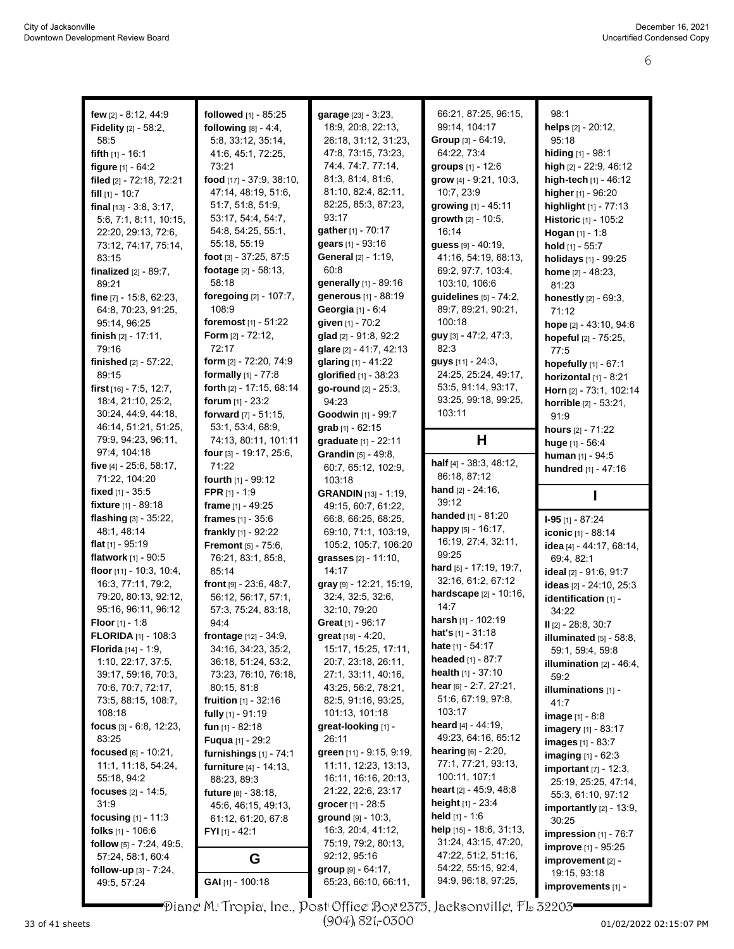| few [2] - 8:12, 44:9            | followed [1] - 85:25            | garage [23] - 3:23,          | 66:21, 87:25, 96:15,            | 98:1                                              |
|---------------------------------|---------------------------------|------------------------------|---------------------------------|---------------------------------------------------|
| Fidelity [2] - 58:2,            | following $[8] - 4.4$ ,         | 18:9, 20:8, 22:13,           | 99:14, 104:17                   | helps [2] - 20:12,                                |
| 58:5                            | 5:8, 33:12, 35:14,              | 26:18, 31:12, 31:23,         | Group [3] - 64:19,              | 95:18                                             |
| fifth $[1]$ - 16:1              | 41.6, 45.1, 72.25,              | 47.8, 73.15, 73.23,          | 64:22, 73:4                     | hiding [1] - 98:1                                 |
| figure $[1] - 64:2$             | 73:21                           | 74:4, 74:7, 77:14,           | groups $[1] - 12:6$             | high [2] - 22:9, 46:12                            |
| filed [2] - 72:18, 72:21        | food [17] - 37:9, 38:10,        | 81:3, 81:4, 81:6,            | grow [4] - 9:21, 10:3,          | high-tech $[1]$ - 46:12                           |
| fill $[1]$ - 10:7               | 47:14, 48:19, 51:6,             | 81:10, 82:4, 82:11,          | 10:7, 23:9                      | higher [1] - 96:20                                |
| final $[13] - 3.8, 3.17,$       | 51:7, 51:8, 51:9,               | 82:25, 85:3, 87:23,          | growing [1] - 45:11             | highlight [1] - 77:13                             |
| 5:6, 7:1, 8:11, 10:15,          | 53:17, 54:4, 54:7,              | 93:17                        | growth [2] - 10:5,              | Historic [1] - 105:2                              |
| 22:20, 29:13, 72:6,             | 54:8, 54:25, 55:1,              | gather [1] - 70:17           | 16:14                           | Hogan [1] - 1:8                                   |
| 73:12, 74:17, 75:14,            | 55:18, 55:19                    | gears [1] - 93:16            | guess [9] - 40:19,              |                                                   |
| 83:15                           | foot $[3] - 37:25, 87:5$        | <b>General</b> [2] - 1:19,   | 41:16, 54:19, 68:13,            | hold $[1]$ - 55:7                                 |
| <b>finalized</b> $[2] - 89.7$ , | footage [2] - 58:13,            | 60:8                         | 69:2, 97:7, 103:4,              | holidays [1] - 99:25                              |
| 89:21                           | 58:18                           | generally [1] - 89:16        | 103:10, 106:6                   | home $[2] - 48:23$ ,                              |
| fine [7] - 15:8, 62:23,         | foregoing [2] - 107:7,          | generous [1] - 88:19         | guidelines [5] - 74:2,          | 81:23                                             |
| 64:8, 70:23, 91:25,             | 108:9                           | Georgia [1] - 6:4            | 89:7, 89:21, 90:21,             | honestly [2] - 69:3,                              |
|                                 | foremost [1] - 51:22            | given [1] - 70:2             | 100:18                          | 71:12                                             |
| 95:14, 96:25                    | Form $[2] - 72:12$ ,            |                              | guy [3] - 47:2, 47:3,           | hope [2] - 43:10, 94:6                            |
| finish $[2] - 17:11$ ,          | 72:17                           | glad [2] - 91:8, 92:2        | 82:3                            | hopeful [2] - 75:25,                              |
| 79:16                           |                                 | glare [2] - 41:7, 42:13      | <b>guys</b> [11] - 24:3.        | 77:5                                              |
| finished $[2] - 57:22$ ,        | form [2] - 72:20, 74:9          | glaring [1] - 41:22          |                                 | hopefully [1] - 67:1                              |
| 89:15                           | formally $[1] - 77:8$           | <b>glorified</b> [1] - 38:23 | 24:25, 25:24, 49:17,            | horizontal [1] - 8:21                             |
| first [16] - 7:5, 12:7,         | forth [2] - 17:15, 68:14        | go-round [2] - 25:3,         | 53:5, 91:14, 93:17,             | Horn [2] - 73:1, 102:14                           |
| 18:4, 21:10, 25:2,              | forum [1] - 23:2                | 94:23                        | 93:25, 99:18, 99:25,            | horrible [2] - 53:21,                             |
| 30:24, 44:9, 44:18,             | forward [7] - 51:15,            | Goodwin [1] - 99:7           | 103:11                          | 91:9                                              |
| 46:14, 51:21, 51:25,            | 53:1, 53:4, 68:9,               | grab $[1] - 62:15$           |                                 | <b>hours</b> $[2] - 71:22$                        |
| 79.9, 94.23, 96.11,             | 74:13, 80:11, 101:11            | graduate [1] - 22:11         | Н                               | huge $[1] - 56.4$                                 |
| 97:4, 104:18                    | four $[3] - 19:17, 25:6,$       | Grandin [5] - 49:8,          |                                 | human [1] - 94:5                                  |
| five [4] - 25:6, 58:17,         | 71:22                           | 60:7, 65:12, 102:9,          | half [4] - 38:3, 48:12,         | hundred [1] - 47:16                               |
| 71:22, 104:20                   | fourth [1] - 99:12              | 103:18                       | 86:18, 87:12                    |                                                   |
| fixed $[1]$ - 35:5              | <b>FPR</b> $[1] - 1:9$          | <b>GRANDIN</b> [13] - 1:19,  | <b>hand</b> $[2] - 24:16$ ,     |                                                   |
| fixture [1] - 89:18             | frame $[1] - 49:25$             | 49:15, 60:7, 61:22,          | 39:12                           |                                                   |
| flashing [3] - 35:22,           | frames $[1] - 35:6$             | 66.8, 66.25, 68.25,          | handed [1] - 81:20              | $I-95$ [1] - 87:24                                |
| 48:1, 48:14                     | frankly [1] - 92:22             | 69:10, 71:1, 103:19,         | happy [5] - 16:17,              | iconic [1] - 88:14                                |
| <b>flat</b> $[1]$ - 95:19       | <b>Fremont</b> [5] - 75:6,      | 105:2, 105:7, 106:20         | 16:19, 27:4, 32:11,             | idea [4] - 44:17, 68:14,                          |
| flatwork [1] - 90:5             | 76:21, 83:1, 85:8,              | grasses [2] - 11:10,         | 99:25                           | 69.4, 82:1                                        |
| floor [11] - 10.3, 10.4,        | 85:14                           | 14:17                        | hard [5] - 17:19, 19:7,         | ideal [2] - 91:6, 91:7                            |
| 16:3, 77:11, 79:2,              | front $[9] - 23.6, 48.7$ ,      | gray [9] - 12:21, 15:19,     | 32:16, 61:2, 67:12              | ideas [2] - 24:10, 25:3                           |
| 79:20, 80:13, 92:12,            | 56:12, 56:17, 57:1,             | 32:4, 32:5, 32:6,            | hardscape [2] - 10:16,          | identification [1] -                              |
| 95:16, 96:11, 96:12             | 57:3, 75:24, 83:18,             | 32:10, 79:20                 | 14:7                            | 34:22                                             |
| <b>Floor</b> $[1] - 1:8$        | 94:4                            | Great [1] - 96:17            | harsh [1] - 102:19              | II [2] - 28:8, 30:7                               |
| <b>FLORIDA</b> [1] - 108:3      | <b>frontage</b> $[12] - 34.9$ , | great [18] - 4:20,           | <b>hat's</b> $[1]$ - 31:18      | illuminated [5] - 58:8,                           |
| Florida [14] - 1:9,             | 34:16, 34:23, 35:2,             | 15:17, 15:25, 17:11,         | <b>hate</b> $[1] - 54:17$       | 59:1, 59:4, 59:8                                  |
| 1:10, 22:17, 37:5,              | 36:18, 51:24, 53:2,             | 20:7, 23:18, 26:11,          | headed [1] - 87:7               | <b>illumination</b> $[2] - 46:4$ ,                |
| 39:17, 59:16, 70:3,             | 73:23, 76:10, 76:18,            | 27:1, 33:11, 40:16,          | health $[1] - 37:10$            | 59:2                                              |
| 70:6, 70:7, 72:17,              | 80:15, 81:8                     | 43.25, 56:2, 78:21,          | hear [6] - 2:7, 27:21,          | illuminations [1] -                               |
| 73:5, 88:15, 108:7,             | <b>fruition</b> $[1] - 32:16$   | 82:5, 91:16, 93:25,          | 51:6, 67:19, 97:8,              | 41:7                                              |
| 108:18                          | <b>fully</b> $[1]$ - 91:19      | 101:13, 101:18               | 103:17                          | <b>image</b> $[1] - 8.8$                          |
| focus $[3] - 6.8$ , 12.23,      |                                 |                              | heard $[4] - 44:19$ ,           |                                                   |
|                                 | fun $[1] - 82:18$               | great-looking [1] -          |                                 |                                                   |
| 83:25                           | <b>Fuqua</b> [1] - 29:2         | 26:11                        | 49.23, 64.16, 65.12             | imagery [1] - 83:17<br><b>images</b> $[1] - 83:7$ |
| focused $[6] - 10:21$ ,         | furnishings $[1]$ - $74:1$      | green [11] - 9.15, 9.19,     | <b>hearing</b> $[6] - 2.20$ ,   |                                                   |
| 11:1, 11:18, 54:24,             | furniture [4] - 14:13,          | 11:11, 12:23, 13:13,         | 77:1, 77:21, 93:13,             | <b>imaging</b> $[1] - 62:3$                       |
| 55:18, 94:2                     | 88:23, 89:3                     | 16:11, 16:16, 20:13,         | 100:11, 107:1                   | important [7] - 12:3,                             |
| focuses $[2] - 14.5$ ,          | <b>future</b> [8] - 38:18,      | 21:22, 22:6, 23:17           | <b>heart</b> $[2] - 45.9, 48.8$ | 25:19, 25:25, 47:14,                              |
| 31.9                            | 45.6, 46.15, 49.13,             | grocer [1] - 28:5            | <b>height</b> $[1]$ - 23:4      | 55:3, 61:10, 97:12                                |
| focusing $[1] - 11:3$           | 61:12, 61:20, 67:8              | $ground$ [9] - 10:3,         | <b>held</b> [1] - 1:6           | <b>importantly</b> $[2] - 13:9$ ,<br>30:25        |
| folks $[1]$ - 106:6             | $FYI_{[1]} - 42:1$              | 16:3, 20:4, 41:12,           | help [15] - 18.6, 31:13,        |                                                   |
| follow $[5]$ - 7:24, 49:5,      |                                 | 75:19, 79:2, 80:13,          | 31:24, 43:15, 47:20,            | impression $[1]$ - 76:7                           |
| 57:24, 58:1, 60:4               |                                 | 92:12, 95:16                 | 47:22, 51:2, 51:16,             | <b>improve</b> [1] - 95:25                        |
| follow-up $[3]$ - 7:24,         | G                               | group $[9] - 64.17$ ,        | 54:22, 55:15, 92:4,             | $improvement$ [2] -<br>19:15, 93:18               |

Diane M. Tropia, Inc., Post Office Box 2375, Jacksonville, FL 32203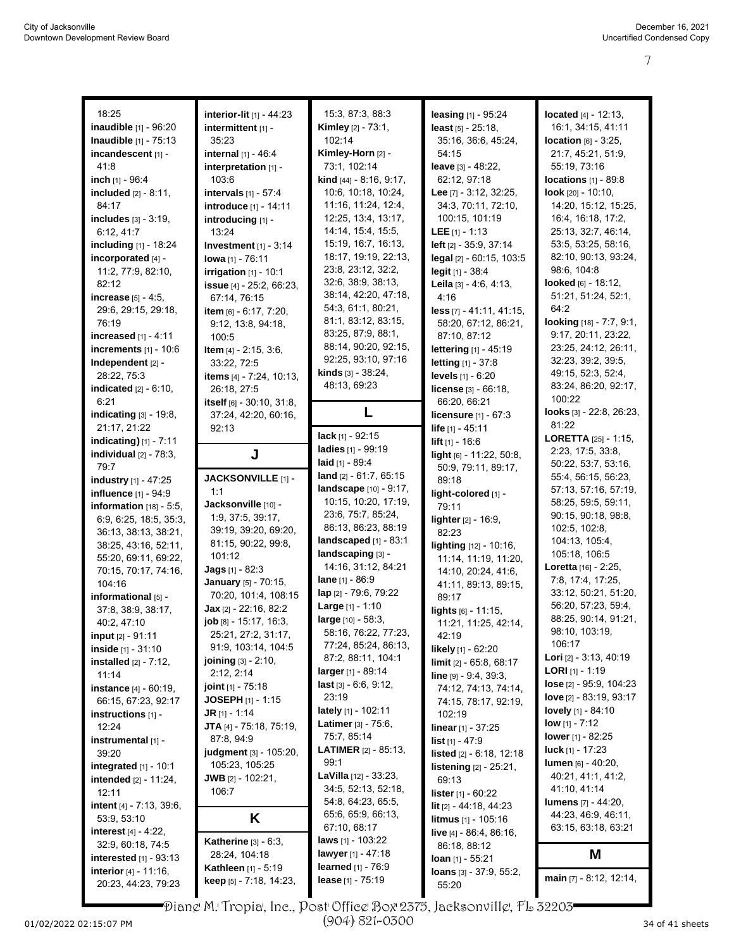| 18:25                             | interior-lit [1] - 44:23         | 15:3, 87:3, 88:3               | leasing [1] - 95:24              | <b>located</b> $[4] - 12:13$ , |
|-----------------------------------|----------------------------------|--------------------------------|----------------------------------|--------------------------------|
| inaudible [1] - 96:20             | intermittent [1] -               | Kimley [2] - 73:1,             | least $[5] - 25:18$ ,            | 16:1, 34:15, 41:11             |
| Inaudible [1] - 75:13             | 35:23                            | 102:14                         | 35:16, 36:6, 45:24,              | <b>location</b> $[6] - 3:25$ , |
| incandescent [1] -                | internal [1] - 46:4              | Kimley-Horn [2] -              | 54:15                            | 21:7, 45:21, 51:9,             |
| 41:8                              | interpretation [1] -             | 73:1, 102:14                   | leave [3] - 48:22,               | 55:19, 73:16                   |
| inch [1] - 96:4                   | 103:6                            | kind [44] - 8:16, 9:17,        | 62:12, 97:18                     | locations $[1] - 89.8$         |
| included [2] - 8:11,              | <b>intervals</b> $[1] - 57:4$    | 10:6, 10:18, 10:24,            | Lee [7] - 3:12, 32:25,           | <b>look</b> $[20] - 10:10$ ,   |
| 84:17                             | introduce [1] - 14:11            | 11:16, 11:24, 12:4,            | 34:3, 70:11, 72:10,              | 14:20, 15:12, 15:25,           |
| includes [3] - 3:19,              | introducing [1] -                | 12:25, 13:4, 13:17,            | 100:15, 101:19                   | 16:4, 16:18, 17:2,             |
| 6:12, 41:7                        | 13:24                            | 14:14, 15:4, 15:5,             | LEE $[1] - 1:13$                 | 25:13, 32:7, 46:14,            |
| <b>including</b> [1] - 18:24      | Investment $[1]$ - 3:14          | 15:19, 16:7, 16:13,            | left [2] - 35:9, 37:14           | 53:5, 53:25, 58:16,            |
| incorporated [4] -                | lowa [1] - 76:11                 | 18:17, 19:19, 22:13,           | legal [2] - 60:15, 103:5         | 82:10, 90:13, 93:24,           |
| 11:2, 77:9, 82:10,                | irrigation $[1]$ - 10:1          | 23.8, 23.12, 32.2,             | legit [1] - 38:4                 | 98:6, 104:8                    |
| 82:12                             | issue [4] - 25:2, 66:23,         | 32:6, 38:9, 38:13,             | Leila $[3] - 4.6, 4.13,$         | looked $[6] - 18:12$ ,         |
| <b>increase</b> $[5] - 4.5$ ,     | 67:14, 76:15                     | 38:14, 42:20, 47:18,           | 4:16                             | 51:21, 51:24, 52:1,            |
| 29:6, 29:15, 29:18,               | item [6] - 6:17, 7:20,           | 54:3, 61:1, 80:21,             | less [7] - 41:11, 41:15,         | 64.2                           |
| 76:19                             | 9:12, 13:8, 94:18,               | 81:1, 83:12, 83:15,            | 58:20, 67:12, 86:21,             | looking [18] - 7:7, 9:1,       |
| increased [1] - 4:11              | 100:5                            | 83:25, 87:9, 88:1,             | 87:10, 87:12                     | 9:17, 20:11, 23:22,            |
| increments [1] - 10:6             | Item [4] - 2:15, 3:6,            | 88:14, 90:20, 92:15,           | lettering [1] - 45:19            | 23:25, 24:12, 26:11,           |
| Independent [2] -                 | 33:22, 72:5                      | 92:25, 93:10, 97:16            | <b>letting</b> [1] - 37:8        | 32:23, 39:2, 39:5,             |
| 28:22, 75:3                       | items [4] - 7:24, 10:13,         | kinds [3] - 38:24,             | levels [1] - 6:20                | 49:15, 52:3, 52:4,             |
| <b>indicated</b> $[2] - 6:10$ ,   | 26:18, 27:5                      | 48:13, 69:23                   | license [3] - 66:18,             | 83:24, 86:20, 92:17,           |
| 6:21                              | itself [6] - 30.10, 31:8,        |                                | 66.20, 66.21                     | 100:22                         |
| indicating [3] - 19:8,            | 37:24, 42:20, 60:16,             | L                              | licensure [1] - 67:3             | looks [3] - 22:8, 26:23,       |
| 21:17, 21:22                      | 92:13                            |                                | life $[1] - 45:11$               | 81:22                          |
| <b>indicating)</b> $[1] - 7:11$   |                                  | <b>lack</b> $[1]$ - 92:15      | lift $[1] - 16.6$                | <b>LORETTA</b> $[25] - 1:15$ , |
| individual $[2]$ - $78:3$ ,       | J                                | ladies [1] - 99:19             | light [6] - 11:22, 50:8,         | 2:23, 17:5, 33:8,              |
| 79:7                              |                                  | laid $[1] - 89.4$              | 50:9, 79:11, 89:17,              | 50:22, 53:7, 53:16,            |
| industry [1] - 47:25              | JACKSONVILLE [1] -               | land [2] - 61:7, 65:15         | 89:18                            | 55:4, 56:15, 56:23,            |
| influence [1] - 94:9              | 1:1                              | landscape [10] - 9:17,         | light-colored [1] -              | 57:13, 57:16, 57:19,           |
| information $[18] - 5:5$ ,        | Jacksonville [10] -              | 10:15, 10:20, 17:19,           | 79:11                            | 58:25, 59:5, 59:11,            |
| 6:9, 6:25, 18:5, 35:3,            | 1:9, 37:5, 39:17,                | 23.6, 75.7, 85.24,             | lighter [2] - 16:9,              | 90:15, 90:18, 98:8,            |
| 36:13, 38:13, 38:21,              | 39:19, 39:20, 69:20,             | 86:13, 86:23, 88:19            | 82:23                            | 102:5, 102:8,                  |
| 38:25, 43:16, 52:11,              | 81:15, 90:22, 99:8,              | landscaped $[1]$ - 83:1        | lighting [12] - 10:16,           | 104:13, 105:4,                 |
| 55:20, 69:11, 69:22,              | 101:12                           | landscaping [3] -              | 11:14, 11:19, 11:20,             | 105:18, 106:5                  |
| 70:15, 70:17, 74:16,              | <b>Jags</b> $[1] - 82.3$         | 14:16, 31:12, 84:21            | 14:10, 20:24, 41:6,              | Loretta [16] - 2:25,           |
| 104:16                            | January [5] - 70:15,             | lane [1] - 86:9                | 41:11, 89:13, 89:15,             | 7:8, 17:4, 17:25,              |
| informational [5] -               | 70:20, 101:4, 108:15             | lap [2] - 79:6, 79:22          | 89:17                            | 33:12, 50:21, 51:20,           |
| 37:8, 38:9, 38:17,                | Jax [2] - 22:16, 82:2            | <b>Large</b> $[1] - 1:10$      | lights [6] - 11:15,              | 56:20, 57:23, 59:4,            |
| 40:2, 47:10                       | job [8] - 15:17, 16:3,           | large [10] - 58:3,             | 11:21, 11:25, 42:14,             | 88:25, 90:14, 91:21,           |
| <b>input</b> $[2] - 91:11$        | 25:21, 27:2, 31:17,              | 58:16, 76:22, 77:23,           | 42:19                            | 98:10, 103:19,                 |
| inside [1] - 31:10                | 91:9, 103:14, 104:5              | 77:24, 85:24, 86:13,           | likely [1] - 62:20               | 106:17                         |
| <b>installed</b> $[2] - 7:12$ ,   | <b>joining</b> $[3] - 2.10$ ,    | 87:2, 88:11, 104:1             | limit [2] - 65:8, 68:17          | Lori [2] - 3:13, 40:19         |
| 11:14                             | 2:12, 2:14                       | <b>larger</b> [1] - 89:14      | $line [9] - 9.4, 39.3,$          | <b>LORI</b> [1] - 1:19         |
| instance [4] - 60:19,             | <b>joint</b> $[1]$ - 75:18       | <b>last</b> [3] - 6:6, 9:12,   | 74:12, 74:13, 74:14,             | lose [2] - 95:9, 104:23        |
| 66:15, 67:23, 92:17               | <b>JOSEPH</b> [1] - 1:15         | 23:19                          | 74:15, 78:17, 92:19,             | love [2] - 83:19, 93:17        |
| instructions $[1]$ -              | <b>JR</b> [1] - 1:14             | lately [1] - 102:11            | 102:19                           | <b>lovely</b> [1] - 84:10      |
| 12:24                             | <b>JTA</b> $[4]$ - 75:18, 75:19, | <b>Latimer</b> $[3] - 75:6$ ,  | linear $[1] - 37:25$             | <b>low</b> $[1]$ - 7:12        |
| instrumental [1] -                | 87:8, 94:9                       | 75:7, 85:14                    | <b>list</b> $[1] - 47.9$         | lower $[1] - 82.25$            |
| 39:20                             | judgment [3] - 105:20,           | <b>LATIMER</b> $[2] - 85:13$ , | listed [2] - 6:18, 12:18         | <b>luck</b> [1] - 17:23        |
| integrated $[1] - 10:1$           | 105:23, 105:25                   | 99:1                           | listening [2] - 25:21,           | <b>lumen</b> [6] - 40:20,      |
| <b>intended</b> $[2] - 11:24$ ,   | <b>JWB</b> $[2] - 102:21$ ,      | LaVilla [12] - 33:23,          | 69:13                            | 40:21, 41:1, 41:2,             |
| 12:11                             | 106:7                            | 34:5, 52:13, 52:18,            | <b>lister</b> $[1]$ - $60:22$    | 41:10, 41:14                   |
| <b>intent</b> $[4]$ - 7:13, 39:6, |                                  | 54:8, 64:23, 65:5,             | lit [2] - 44:18, 44:23           | <b>lumens</b> [7] - 44:20,     |
| 53:9, 53:10                       | Κ                                | 65.6, 65.9, 66.13,             | <b>litmus</b> [1] - 105:16       | 44:23, 46:9, 46:11,            |
| <b>interest</b> $[4] - 4.22$ ,    |                                  | 67:10, 68:17                   | live [4] - 86:4, 86:16,          | 63:15, 63:18, 63:21            |
| 32:9, 60:18, 74:5                 | <b>Katherine</b> $[3] - 6:3$ ,   | <b>laws</b> [1] - 103:22       | 86:18, 88:12                     |                                |
| interested $[1]$ - 93:13          | 28:24, 104:18                    | <b>lawyer</b> [1] - 47:18      | <b>loan</b> $[1]$ - 55:21        | M                              |
| interior [4] - 11:16,             | <b>Kathleen</b> [1] - 5:19       | <b>learned</b> $[1]$ - 76:9    | <b>loans</b> $[3] - 37.9, 55.2,$ | main [7] - 8:12, 12:14,        |
| 20:23, 44:23, 79:23               | <b>keep</b> $[5]$ - 7:18, 14:23, | lease $[1] - 75:19$            | 55:20                            |                                |

Diane M. Tropia, Inc., Post Office Box 2375, Jacksonville, FL 32203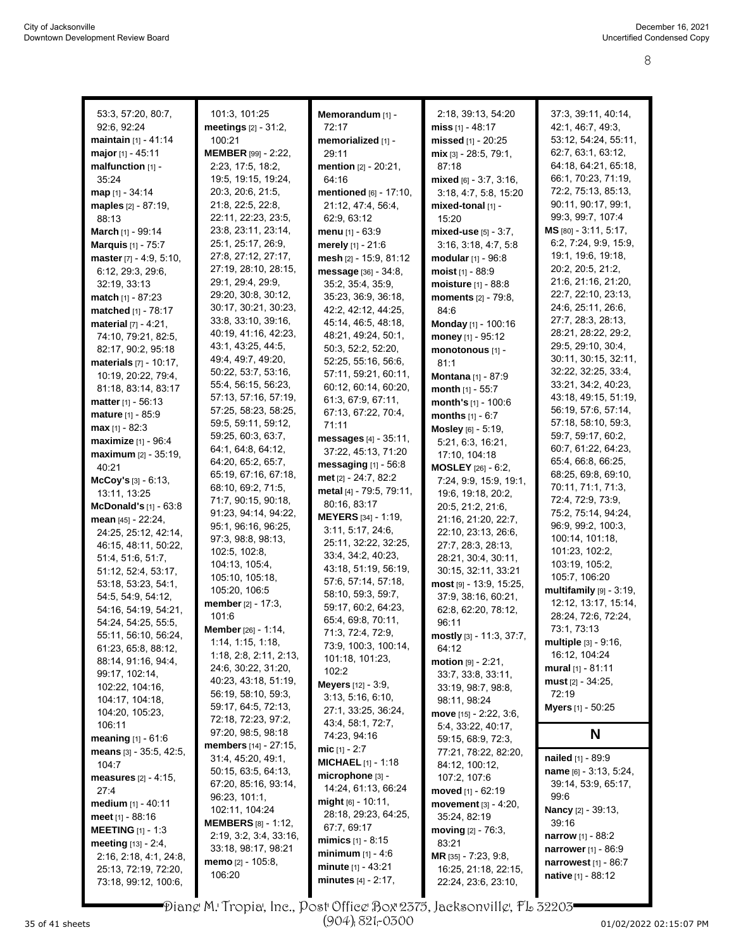| 53:3, 57:20, 80:7,               | 101:3, 101:25              | Memorandum [1] -           | 2:18, 39:13, 54:20         | 37:3, 39:11, 40:14,         |
|----------------------------------|----------------------------|----------------------------|----------------------------|-----------------------------|
| 92:6, 92:24                      | meetings $[2] - 31:2$ ,    | 72:17                      | miss [1] - 48:17           | 42:1, 46:7, 49:3,           |
| maintain [1] - 41:14             | 100:21                     | memorialized [1] -         | missed [1] - 20:25         | 53:12, 54:24, 55:11,        |
| major $[1] - 45:11$              | MEMBER [99] - 2:22,        | 29:11                      | $mix$ [3] - 28:5, 79:1,    | 62:7, 63:1, 63:12,          |
| malfunction [1] -                | 2:23, 17:5, 18:2,          | mention [2] - 20:21,       | 87:18                      | 64:18, 64:21, 65:18,        |
| 35:24                            | 19:5, 19:15, 19:24,        | 64:16                      | mixed [6] - 3:7, 3:16,     | 66:1, 70:23, 71:19,         |
| $map_{[1]} - 34:14$              | 20:3, 20:6, 21:5,          | mentioned [6] - 17:10,     | 3:18, 4:7, 5:8, 15:20      | 72:2, 75:13, 85:13,         |
|                                  | 21:8, 22:5, 22:8,          | 21:12, 47:4, 56:4,         |                            | 90:11, 90:17, 99:1,         |
| maples [2] - 87:19,              | 22:11, 22:23, 23:5,        |                            | mixed-tonal [1] -          | 99:3, 99:7, 107:4           |
| 88:13                            |                            | 62:9, 63:12                | 15:20                      | MS [80] - 3:11, 5:17,       |
| March [1] - 99:14                | 23:8, 23:11, 23:14,        | <b>menu</b> $[1] - 63.9$   | mixed-use $[5] - 3:7$ ,    | 6:2, 7:24, 9:9, 15.9,       |
| <b>Marquis</b> [1] - 75:7        | 25:1, 25:17, 26:9,         | merely [1] - 21:6          | 3:16, 3:18, 4:7, 5:8       |                             |
| master [7] - 4:9, 5:10,          | 27:8, 27:12, 27:17,        | mesh [2] - 15:9, 81:12     | modular [1] - 96:8         | 19:1, 19:6, 19:18,          |
| 6:12, 29:3, 29:6,                | 27:19, 28:10, 28:15,       | message [36] - 34:8,       | moist $[1] - 88.9$         | 20:2, 20:5, 21:2,           |
| 32:19, 33:13                     | 29:1, 29:4, 29:9,          | 35:2, 35:4, 35:9,          | moisture [1] - 88:8        | 21:6, 21:16, 21:20,         |
| <b>match</b> $[1] - 87:23$       | 29:20, 30:8, 30:12,        | 35:23, 36:9, 36:18,        | <b>moments</b> [2] - 79:8, | 22:7, 22:10, 23:13,         |
| matched [1] - 78:17              | 30:17, 30:21, 30:23,       | 42:2, 42:12, 44:25,        | 84:6                       | 24:6, 25:11, 26:6,          |
| <b>material</b> $[7] - 4:21$ ,   | 33.8, 33.10, 39.16,        | 45:14, 46:5, 48:18,        | Monday [1] - 100:16        | 27:7, 28:3, 28:13,          |
| 74:10, 79:21, 82:5,              | 40:19, 41:16, 42:23,       | 48.21, 49:24, 50.1,        | money $[1] - 95:12$        | 28:21, 28:22, 29:2,         |
| 82:17, 90:2, 95:18               | 43.1, 43.25, 44.5,         | 50:3, 52:2, 52:20,         | monotonous [1] -           | 29:5, 29:10, 30:4,          |
| <b>materials</b> $[7] - 10:17$ , | 49:4, 49:7, 49:20,         | 52:25, 55:16, 56:6,        | 81:1                       | 30:11, 30:15, 32:11,        |
| 10:19, 20:22, 79.4,              | 50:22, 53:7, 53:16,        | 57:11, 59:21, 60:11,       | Montana [1] - 87:9         | 32.22, 32:25, 33.4,         |
| 81:18, 83:14, 83:17              | 55:4, 56:15, 56:23,        | 60:12, 60:14, 60:20,       | month $[1]$ - 55:7         | 33:21, 34:2, 40:23,         |
| <b>matter</b> $[1] - 56:13$      | 57:13, 57:16, 57:19,       | 61.3, 67.9, 67.11,         | month's [1] - 100:6        | 43:18, 49:15, 51:19,        |
| mature [1] - 85:9                | 57:25, 58:23, 58:25,       | 67:13, 67:22, 70:4,        | <b>months</b> $[1] - 6:7$  | 56:19, 57:6, 57:14,         |
| <b>max</b> $[1] - 82:3$          | 59:5, 59:11, 59:12,        | 71:11                      | Mosley [6] - 5:19,         | 57:18, 58:10, 59:3,         |
| maximize [1] - 96:4              | 59:25, 60:3, 63:7,         | messages [4] - 35:11,      |                            | 59:7, 59:17, 60:2,          |
|                                  | 64:1, 64:8, 64:12,         | 37:22, 45:13, 71:20        | 5:21, 6:3, 16:21,          | 60:7, 61:22, 64:23,         |
| maximum [2] - 35:19,             | 64:20, 65:2, 65:7,         | messaging $[1]$ - 56:8     | 17:10, 104:18              | 65:4, 66:8, 66:25,          |
| 40:21                            | 65:19, 67:16, 67:18,       | met [2] - 24:7, 82:2       | <b>MOSLEY</b> [26] - 6:2,  | 68:25, 69:8, 69:10,         |
| $McCoy's [3] - 6:13,$            | 68:10, 69:2, 71:5,         | metal [4] - 79:5, 79:11,   | 7:24, 9.9, 15:9, 19:1,     | 70:11, 71:1, 71:3,          |
| 13:11, 13:25                     | 71:7, 90:15, 90:18,        | 80:16, 83:17               | 19.6, 19.18, 20.2,         | 72:4, 72:9, 73:9,           |
| $McDonald's [1] - 63:8$          | 91:23, 94:14, 94:22,       | <b>MEYERS</b> [34] - 1:19, | 20:5, 21:2, 21:6,          | 75:2, 75:14, 94:24,         |
| mean [45] - 22:24,               | 95:1, 96:16, 96:25,        | 3:11, 5:17, 24:6,          | 21:16, 21:20, 22:7,        | 96:9, 99:2, 100:3,          |
| 24:25, 25:12, 42:14,             | 97:3, 98:8, 98:13,         |                            | 22:10, 23:13, 26:6,        | 100:14, 101:18,             |
| 46:15, 48:11, 50:22,             | 102:5, 102:8,              | 25:11, 32:22, 32:25,       | 27:7, 28:3, 28:13,         | 101:23, 102:2,              |
| 51:4, 51:6, 51:7,                | 104:13, 105:4,             | 33:4, 34:2, 40:23,         | 28:21, 30:4, 30:11,        | 103:19, 105:2,              |
| 51:12, 52:4, 53:17,              | 105:10, 105:18,            | 43:18, 51:19, 56:19,       | 30:15, 32:11, 33:21        | 105:7, 106:20               |
| 53:18, 53:23, 54:1,              | 105:20, 106:5              | 57:6, 57:14, 57:18,        | most [9] - 13:9, 15:25,    | multifamily [9] - 3:19,     |
| 54 5, 54 9, 54 12,               | member [2] - 17:3,         | 58:10, 59:3, 59:7,         | 37:9, 38:16, 60:21,        | 12:12, 13:17, 15:14,        |
| 54:16, 54:19, 54:21,             | 101:6                      | 59:17, 60:2, 64:23,        | 62:8, 62:20, 78:12,        | 28:24, 72:6, 72:24,         |
| 54:24, 54:25, 55:5,              |                            | 65:4, 69:8, 70:11,         | 96:11                      | 73:1, 73:13                 |
| 55:11, 56:10, 56:24,             | <b>Member</b> [26] - 1:14, | 71:3, 72:4, 72:9,          | mostly [3] - 11:3, 37:7,   |                             |
| 61:23, 65:8, 88:12,              | 1:14, 1:15, 1:18,          | 73:9, 100:3, 100:14,       | 64:12                      | multiple [3] - 9:16,        |
| 88:14, 91:16, 94:4,              | 1:18, 2:8, 2:11, 2:13,     | 101:18, 101:23,            | $motion [9] - 2:21,$       | 16:12, 104:24               |
| 99:17, 102:14,                   | 24:6, 30:22, 31:20,        | 102:2                      | 33.7, 33.8, 33.11,         | mural $[1] - 81:11$         |
| 102:22, 104:16,                  | 40:23, 43:18, 51:19,       | <b>Meyers</b> [12] - 3:9,  | 33:19, 98:7, 98:8,         | <b>must</b> $[2] - 34:25$ , |
| 104:17, 104:18,                  | 56:19, 58:10, 59:3,        | 3:13, 5:16, 6:10,          | 98:11, 98:24               | 72:19                       |
| 104:20, 105:23,                  | 59:17, 64:5, 72:13,        | 27:1, 33:25, 36:24,        | move [15] - 2:22, 3:6,     | <b>Myers</b> [1] - 50:25    |
| 106:11                           | 72:18, 72:23, 97:2,        | 43:4, 58:1, 72:7,          | 5:4, 33:22, 40:17,         |                             |
| <b>meaning</b> $[1] - 61.6$      | 97:20, 98:5, 98:18         | 74:23, 94:16               | 59:15, 68:9, 72:3,         | N                           |
| means [3] - 35:5, 42:5,          | members [14] - 27:15,      | mic $[1] - 2:7$            | 77:21, 78:22, 82:20,       |                             |
| 104:7                            | 31:4, 45:20, 49:1,         | <b>MICHAEL</b> [1] - 1:18  | 84:12, 100:12,             | nailed [1] - 89.9           |
| measures $[2] - 4:15$ ,          | 50:15, 63:5, 64:13,        | microphone [3] -           | 107:2, 107:6               | name [6] - 3:13, 5:24,      |
| 27:4                             | 67:20, 85:16, 93:14,       | 14:24, 61:13, 66:24        | moved [1] - 62:19          | 39:14, 53:9, 65:17,         |
| medium [1] - 40:11               | 96:23, 101:1,              | <b>might</b> [6] - 10:11,  | movement [3] - 4:20,       | 99:6                        |
| <b>meet</b> [1] - 88:16          | 102.11, 104.24             | 28:18, 29:23, 64:25,       | 35:24, 82:19               | <b>Nancy</b> [2] - 39:13,   |
| <b>MEETING</b> [1] - 1:3         | <b>MEMBERS</b> [8] - 1:12, | 67:7, 69:17                | moving $[2] - 76:3$ ,      | 39:16                       |
|                                  | 2:19, 3:2, 3:4, 33:16,     | $minus [1] - 8:15$         | 83:21                      | <b>narrow</b> [1] - 88:2    |
| <b>meeting</b> $[13] - 2.4$ ,    | 33:18, 98:17, 98:21        | <b>minimum</b> $[1] - 4.6$ |                            | narrower [1] - 86:9         |
| 2:16, 2:18, 4:1, 24:8,           | <b>memo</b> [2] - 105:8,   | minute $[1] - 43:21$       | MR [35] - 7:23, 9.8,       | narrowest [1] - 86:7        |
| 25:13, 72:19, 72:20,             | 106:20                     | minutes [4] - 2:17,        | 16:25, 21:18, 22:15,       | <b>native</b> $[1] - 88:12$ |
| 73:18, 99:12, 100:6,             |                            |                            | 22:24, 23:6, 23:10,        |                             |

Diane M. Tropia, Inc., Post Office Box 2375, Jacksonville, FL 32203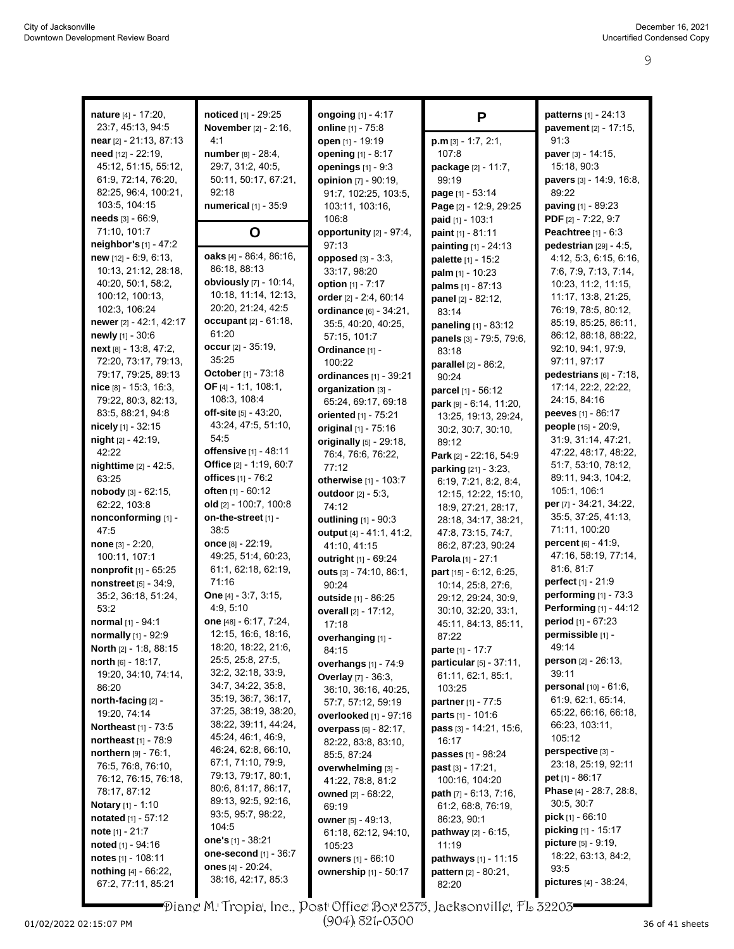| nature [4] - 17:20,            | noticed [1] - 29:25           | <b>ongoing</b> [1] - 4:17                     |                                             | patterns [1] - 24:13                      |
|--------------------------------|-------------------------------|-----------------------------------------------|---------------------------------------------|-------------------------------------------|
| 23:7, 45:13, 94:5              | <b>November</b> [2] - 2:16,   | online [1] - 75:8                             | P                                           |                                           |
| near [2] - 21:13, 87:13        | 4:1                           | open [1] - 19:19                              |                                             | pavement [2] - 17:15,<br>91:3             |
| need [12] - 22:19,             | number [8] - 28:4,            |                                               | $p.m$ [3] - 1:7, 2:1,<br>107:8              | paver [3] - 14:15,                        |
| 45:12, 51:15, 55:12,           | 29:7, 31:2, 40:5,             | opening [1] - 8:17<br>openings $[1] - 9:3$    |                                             | 15:18, 90:3                               |
| 61:9, 72:14, 76:20,            | 50:11, 50:17, 67:21,          |                                               | package [2] - 11:7,                         |                                           |
| 82:25, 96:4, 100:21,           | 92:18                         | opinion [7] - 90:19,                          | 99:19                                       | pavers [3] - 14:9, 16:8,<br>89:22         |
| 103:5, 104:15                  | numerical [1] - 35:9          | 91:7, 102:25, 103:5,                          | page [1] - 53:14                            |                                           |
| needs $[3] - 66.9$ ,           |                               | 103:11, 103:16,<br>106:8                      | Page [2] - 12:9, 29:25<br>paid [1] - 103:1  | paving [1] - 89:23<br>PDF [2] - 7:22, 9:7 |
| 71:10, 101:7                   |                               |                                               |                                             | Peachtree [1] - 6:3                       |
| neighbor's [1] - 47:2          | O                             | opportunity [2] - 97:4,<br>97:13              | paint [1] - 81:11                           | pedestrian [29] - 4:5,                    |
| new [12] - 6:9, 6:13,          | oaks $[4] - 86.4$ , 86.16,    | opposed $[3] - 3:3$ ,                         | painting [1] - 24:13                        | 4:12, 5:3, 6:15, 6:16,                    |
| 10:13, 21:12, 28:18,           | 86:18, 88:13                  | 33:17, 98:20                                  | palette [1] - 15:2                          | 7:6, 7:9, 7:13, 7:14,                     |
| 40:20, 50:1, 58:2,             | obviously [7] - 10:14,        | option [1] - 7:17                             | palm [1] - 10:23                            | 10:23, 11:2, 11:15,                       |
| 100:12, 100:13,                | 10:18, 11:14, 12:13,          | order [2] - 2:4, 60:14                        | palms [1] - 87:13                           | 11:17, 13:8, 21:25,                       |
| 102:3, 106:24                  | 20:20, 21:24, 42:5            | ordinance [6] - 34:21,                        | panel [2] - 82:12,<br>83:14                 | 76:19, 78:5, 80:12,                       |
| newer [2] - 42:1, 42:17        | occupant [2] - 61:18,         | 35:5, 40:20, 40:25,                           |                                             | 85:19, 85:25, 86:11,                      |
| newly [1] - 30:6               | 61:20                         | 57:15, 101:7                                  | paneling [1] - 83:12                        | 86:12, 88:18, 88:22,                      |
| next [8] - 13:8, 47:2,         | occur $[2] - 35:19$ ,         | Ordinance [1] -                               | panels [3] - 79:5, 79:6,                    | 92:10, 94:1, 97:9,                        |
| 72:20, 73:17, 79:13,           | 35:25                         | 100:22                                        | 83:18                                       | 97:11, 97:17                              |
| 79:17, 79:25, 89:13            | October [1] - 73:18           | ordinances [1] - 39:21                        | parallel [2] - 86:2,<br>90:24               | pedestrians $[6] - 7:18$ ,                |
| $nice$ [8] - 15:3, 16:3,       | OF [4] - 1:1, 108:1,          | organization [3] -                            |                                             | 17:14, 22:2, 22:22,                       |
| 79:22, 80:3, 82:13,            | 108:3, 108:4                  | 65:24, 69:17, 69:18                           | parcel [1] - 56:12                          | 24:15, 84:16                              |
| 83:5, 88:21, 94:8              | off-site [5] - 43:20,         | oriented [1] - 75:21                          | park [9] - 6:14, 11:20,                     | peeves [1] - 86:17                        |
| nicely [1] - 32:15             | 43:24, 47:5, 51:10,           | original [1] - 75:16                          | 13:25, 19:13, 29:24,                        | people [15] - 20:9,                       |
| night [2] - 42:19,             | 54:5                          |                                               | 30:2, 30:7, 30:10,                          | 31.9, 31.14, 47.21,                       |
| 42:22                          | offensive [1] - 48:11         | originally [5] - 29:18,<br>76:4, 76:6, 76:22, | 89:12                                       | 47:22, 48:17, 48:22,                      |
| nighttime [2] - 42:5,          | Office [2] - 1:19, 60:7       | 77:12                                         | Park [2] - 22:16, 54:9                      | 51:7, 53:10, 78:12,                       |
| 63:25                          | offices [1] - 76:2            | otherwise [1] - 103:7                         | parking [21] - 3:23,                        | 89:11, 94:3, 104:2,                       |
| nobody [3] - 62:15,            | often [1] - 60:12             |                                               | 6:19, 7:21, 8:2, 8:4,                       | 105:1, 106:1                              |
| 62:22, 103:8                   | old $[2] - 100.7, 100.8$      | outdoor [2] - 5:3,<br>74:12                   | 12:15, 12:22, 15:10,                        | per [7] - 34:21, 34:22,                   |
| nonconforming [1] -            | on-the-street [1] -           | outlining [1] - 90:3                          | 18.9, 27.21, 28:17,<br>28:18, 34:17, 38:21, | 35:5, 37:25, 41:13,                       |
| 47:5                           | 38:5                          | output [4] - 41:1, 41:2,                      | 47:8, 73:15, 74:7,                          | 71:11, 100:20                             |
| <b>none</b> $[3] - 2:20$ ,     | once $[8] - 22:19$ ,          | 41:10, 41:15                                  | 86:2, 87:23, 90:24                          | percent [6] - 41:9,                       |
| 100:11, 107:1                  | 49:25, 51:4, 60:23,           | outright [1] - 69:24                          | Parola [1] - 27:1                           | 47:16, 58:19, 77:14,                      |
| nonprofit [1] - 65:25          | 61:1, 62:18, 62:19,           | outs [3] - 74:10, 86:1,                       | part [15] - 6:12, 6:25,                     | 81:6, 81:7                                |
| nonstreet [5] - 34:9,          | 71:16                         | 90:24                                         | 10:14, 25:8, 27:6,                          | <b>perfect</b> [1] - 21:9                 |
| 35:2, 36:18, 51:24,            | <b>One</b> $[4] - 3.7, 3.15,$ | outside [1] - 86:25                           | 29:12, 29:24, 30:9,                         | performing $[1]$ - 73:3                   |
| 53:2                           | 4.9, 5.10                     | overall [2] - 17:12,                          | 30:10, 32:20, 33:1,                         | <b>Performing [1] - 44:12</b>             |
| normal [1] - 94:1              | one [48] - 6:17, 7:24,        | 17:18                                         | 45:11, 84:13, 85:11,                        | period [1] - 67:23                        |
| normally [1] - 92:9            | 12:15, 16:6, 18:16,           | overhanging [1] -                             | 87:22                                       | permissible [1] -                         |
| North [2] - 1:8, 88:15         | 18:20, 18:22, 21:6,           | 84:15                                         | parte [1] - 17:7                            | 49:14                                     |
| north $[6] - 18:17$ ,          | 25:5, 25:8, 27:5,             | overhangs [1] - 74:9                          | particular [5] - 37:11,                     | <b>person</b> $[2] - 26:13$ ,             |
| 19:20, 34:10, 74:14,           | 32:2, 32:18, 33:9,            | Overlay [7] - 36:3,                           | 61:11, 62:1, 85:1,                          | 39:11                                     |
| 86:20                          | 34:7, 34:22, 35:8,            | 36:10, 36:16, 40:25,                          | 103:25                                      | personal [10] - 61:6,                     |
| north-facing [2] -             | 35:19, 36:7, 36:17,           | 57:7, 57:12, 59:19                            | <b>partner</b> $[1] - 77.5$                 | 61:9, 62:1, 65:14,                        |
| 19:20, 74:14                   | 37:25, 38:19, 38:20,          | <b>overlooked</b> [1] - 97:16                 | <b>parts</b> $[1] - 101.6$                  | 65:22, 66:16, 66:18,                      |
| <b>Northeast</b> [1] - 73:5    | 38:22, 39:11, 44:24,          | <b>overpass</b> [6] - 82:17,                  | <b>pass</b> $[3] - 14:21, 15:6,$            | 66:23, 103:11,                            |
| northeast [1] - 78:9           | 45:24, 46:1, 46:9,            | 82:22, 83:8, 83:10,                           | 16:17                                       | 105:12                                    |
| northern $[9] - 76.1$ ,        | 46:24, 62:8, 66:10,           | 85:5, 87:24                                   | passes [1] - 98:24                          | perspective [3] -                         |
| 76:5, 76:8, 76:10,             | 67:1, 71:10, 79:9,            | overwhelming [3] -                            | past [3] - 17:21,                           | 23:18, 25:19, 92:11                       |
| 76:12, 76:15, 76:18,           | 79:13, 79:17, 80:1,           | 41:22, 78:8, 81:2                             | 100:16, 104:20                              | <b>pet</b> [1] - 86:17                    |
| 78:17, 87:12                   | 80:6, 81:17, 86:17,           | <b>owned</b> [2] - 68:22,                     | <b>path</b> $[7] - 6:13, 7:16,$             | <b>Phase</b> [4] - 28:7, 28:8,            |
| <b>Notary</b> $[1] - 1:10$     | 89:13, 92:5, 92:16,           | 69:19                                         | 61.2, 68.8, 76.19,                          | 30:5, 30:7                                |
| <b>notated</b> $[1] - 57:12$   | 93.5, 95.7, 98.22,            | <b>owner</b> [5] - 49:13,                     | 86:23, 90:1                                 | <b>pick</b> [1] - 66:10                   |
| <b>note</b> $[1] - 21:7$       | 104:5                         | 61:18, 62:12, 94:10,                          | <b>pathway</b> [2] - 6:15,                  | <b>picking</b> [1] - 15:17                |
| <b>noted</b> [1] - 94:16       | one's $[1] - 38:21$           | 105:23                                        | 11:19                                       | <b>picture</b> [5] - 9:19,                |
| notes $[1]$ - 108:11           | one-second [1] - 36:7         | owners [1] - 66:10                            | pathways [1] - 11:15                        | 18:22, 63:13, 84:2,                       |
| <b>nothing</b> $[4] - 66:22$ , | ones $[4] - 20:24$ ,          | ownership [1] - 50:17                         | pattern [2] - 80:21,                        | 93:5                                      |
| 67.2, 77.11, 85.21             | 38:16, 42:17, 85:3            |                                               | 82:20                                       | pictures [4] - 38:24,                     |

01/02/2022 02:15:07 PM Page 9 to 9 of 14 36 of 41 sheets Diane M. Tropia, Inc., Post Office Box 2375, Jacksonville, FL 32203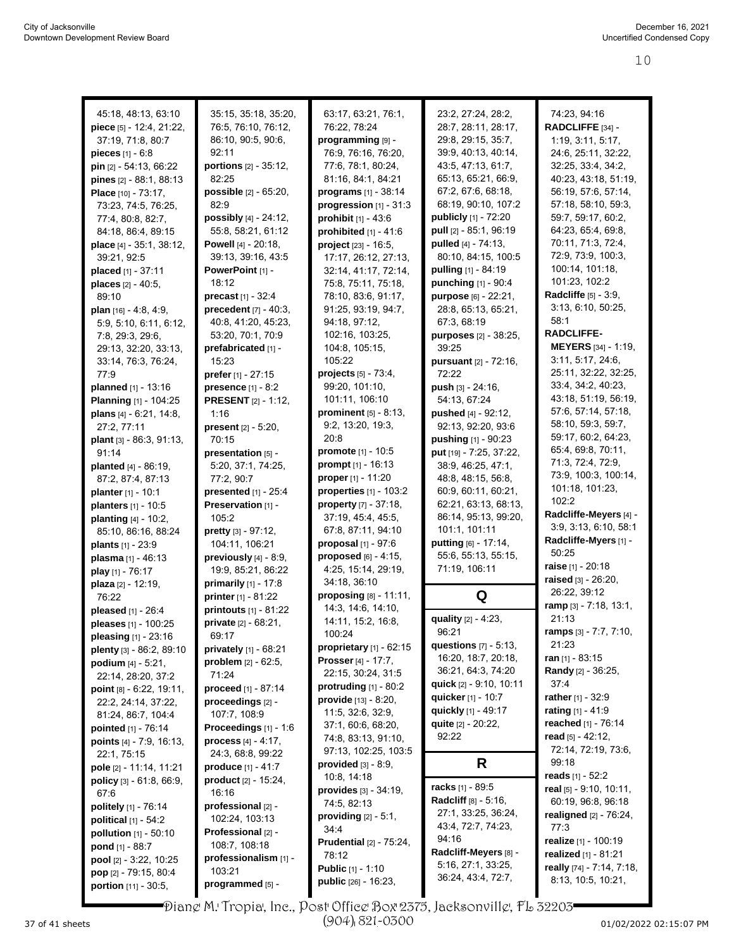| 45:18, 48:13, 63:10             |                               |                                   |                                                      | 74:23, 94:16                               |
|---------------------------------|-------------------------------|-----------------------------------|------------------------------------------------------|--------------------------------------------|
|                                 | 35:15, 35:18, 35:20,          | 63:17, 63:21, 76:1,               | 23:2, 27:24, 28:2,                                   |                                            |
| piece [5] - 12.4, 21:22,        | 76:5, 76:10, 76:12,           | 76:22, 78:24                      | 28:7, 28:11, 28:17,                                  | RADCLIFFE [34] -                           |
| 37:19, 71:8, 80:7               | 86:10, 90:5, 90:6,            | programming [9] -                 | 29:8, 29:15, 35:7,                                   | 1:19, 3:11, 5:17,                          |
| <b>pieces</b> $[1] - 6:8$       | 92:11                         | 76:9, 76:16, 76:20,               | 39:9, 40:13, 40:14,                                  | 24:6, 25:11, 32:22,                        |
| <b>pin</b> $[2] - 54:13, 66:22$ | portions [2] - 35:12,         | 77:6, 78:1, 80:24,                | 43.5, 47.13, 61.7,                                   | 32:25, 33:4, 34:2,                         |
| pines [2] - 88:1, 88:13         | 82.25                         | 81:16, 84:1, 84:21                | 65:13, 65:21, 66:9,                                  | 40:23, 43:18, 51:19,                       |
| Place [10] - 73:17,             | possible [2] - 65:20,         | programs [1] - 38:14              | 67.2, 67.6, 68.18,                                   | 56:19, 57:6, 57:14,                        |
| 73.23, 74:5, 76:25,             | 82:9                          | progression [1] - 31:3            | 68:19, 90:10, 107:2                                  | 57:18, 58:10, 59:3,                        |
| 77:4, 80:8, 82:7,               | possibly [4] - 24:12,         | prohibit $[1] - 43.6$             | <b>publicly</b> [1] - 72:20                          | 59:7, 59:17, 60:2,                         |
| 84:18, 86:4, 89:15              | 55:8, 58:21, 61:12            | prohibited $[1] - 41:6$           | pull [2] - 85:1, 96:19                               | 64:23, 65:4, 69:8,                         |
| place [4] - 35:1, 38:12,        | Powell [4] - 20:18,           | project [23] - 16:5,              | pulled [4] - 74:13,                                  | 70:11, 71:3, 72:4,                         |
| 39:21, 92:5                     | 39:13, 39:16, 43:5            | 17:17, 26:12, 27:13,              | 80:10, 84:15, 100:5                                  | 72:9, 73:9, 100:3,                         |
| placed [1] - 37:11              | PowerPoint [1] -              | 32:14, 41:17, 72:14,              | pulling [1] - 84:19                                  | 100:14, 101:18,<br>101:23, 102:2           |
| places [2] - 40:5,              | 18:12                         | 75:8, 75:11, 75:18,               | punching [1] - 90:4                                  |                                            |
| 89:10                           | precast [1] - 32:4            | 78:10, 83:6, 91:17,               | purpose [6] - 22:21,                                 | Radcliffe [5] - 3:9,                       |
| plan $[16] - 4.8, 4.9,$         | precedent [7] - 40:3,         | 91:25, 93:19, 94:7,               | 28:8, 65:13, 65:21,                                  | 3:13, 6:10, 50:25,                         |
| 5:9, 5:10, 6:11, 6:12,          | 40.8, 41.20, 45.23,           | 94:18, 97:12,                     | 67:3, 68:19                                          | 58:1                                       |
| 7:8, 29:3, 29:6,                | 53:20, 70:1, 70:9             | 102:16, 103:25,                   | purposes [2] - 38:25,                                | <b>RADCLIFFE-</b>                          |
| 29:13, 32:20, 33:13,            | prefabricated [1] -           | 104:8, 105:15,                    | 39:25                                                | <b>MEYERS</b> [34] - 1:19,                 |
| 33:14, 76:3, 76:24,             | 15:23                         | 105:22                            | pursuant [2] - 72:16,                                | 3:11, 5:17, 24:6,                          |
| 77.9                            | <b>prefer</b> [1] - $27:15$   | projects [5] - 73:4,              | 72:22                                                | 25:11, 32:22, 32:25,                       |
| planned [1] - 13:16             | presence [1] - 8:2            | 99:20, 101:10,                    | push $[3] - 24:16$ ,                                 | 33:4, 34:2, 40:23,                         |
| <b>Planning [1] - 104:25</b>    | <b>PRESENT</b> [2] - 1:12,    | 101:11, 106:10                    | 54:13, 67:24                                         | 43:18, 51:19, 56:19,                       |
| plans [4] - 6:21, 14:8,         | 1:16                          | prominent [5] - 8:13,             | pushed [4] - 92:12,                                  | 57:6, 57:14, 57:18,                        |
| 27:2, 77:11                     | <b>present</b> $[2] - 5:20$ , | 9:2, 13:20, 19:3,                 | 92:13, 92:20, 93:6                                   | 58:10, 59:3, 59:7,                         |
| plant [3] - 86:3, 91:13,        | 70:15                         | 20:8                              | pushing [1] - 90:23                                  | 59:17, 60:2, 64:23,                        |
| 91:14                           | presentation [5] -            | promote [1] - 10:5                | put [19] - 7:25, 37:22,                              | 65:4, 69:8, 70:11,                         |
| planted [4] - 86:19,            | 5:20, 37:1, 74:25,            | prompt [1] - 16:13                | 38:9, 46:25, 47:1,                                   | 71:3, 72:4, 72:9,<br>73:9, 100:3, 100:14,  |
| 87:2, 87:4, 87:13               | 77:2, 90:7                    | <b>proper</b> [1] - 11:20         | 48.8, 48.15, 56.8,                                   | 101:18, 101:23,                            |
| planter [1] - 10:1              | presented [1] - 25:4          | properties [1] - 103:2            | 60.9, 60.11, 60.21,                                  | 102:2                                      |
| planters [1] - 10:5             | Preservation [1] -            | property [7] - 37:18,             | 62:21, 63:13, 68:13,                                 | Radcliffe-Meyers [4] -                     |
| planting [4] - 10:2,            | 105:2                         | 37:19, 45:4, 45:5,                | 86:14, 95:13, 99:20,                                 | 3.9, 3.13, 6.10, 58.1                      |
| 85:10, 86:16, 88:24             | pretty [3] - 97:12,           | 67.8, 87:11, 94:10                | 101:1, 101:11                                        | Radcliffe-Myers [1] -                      |
| <b>plants</b> $[1] - 23.9$      | 104:11, 106:21                | proposal [1] - 97:6               | putting [6] - 17:14,                                 | 50:25                                      |
| <b>plasma</b> [1] - 46:13       | previously [4] - 8:9,         | proposed [6] - 4:15,              | 55:6, 55:13, 55:15,                                  | raise [1] - 20:18                          |
| play [1] - 76:17                | 19:9, 85:21, 86:22            | 4:25, 15:14, 29:19,               | 71:19, 106:11                                        | raised [3] - 26:20,                        |
| plaza [2] - 12:19,              | <b>primarily</b> $[1] - 17:8$ | 34:18, 36:10                      |                                                      | 26:22, 39:12                               |
| 76:22                           | printer [1] - 81:22           | proposing [8] - 11:11,            | Q                                                    | ramp [3] - 7:18, 13:1,                     |
| pleased [1] - 26:4              | printouts [1] - 81:22         | 14:3, 14:6, 14:10,                |                                                      | 21:13                                      |
| pleases [1] - 100:25            | <b>private</b> [2] - 68:21,   | 14:11, 15:2, 16:8,                | quality [2] - 4:23,                                  |                                            |
| <b>pleasing</b> $[1]$ - 23:16   | 69:17                         | 100:24                            | 96:21<br>questions $[7] - 5.13$ ,                    | <b>ramps</b> [3] - 7:7, 7:10,<br>21:23     |
| plenty [3] - 86:2, 89:10        | privately [1] - 68:21         | proprietary $[1]$ - 62:15         | 16:20, 18:7, 20:18,                                  | ran [1] - 83:15                            |
| podium $[4] - 5:21$ ,           | problem [2] - 62:5,           | <b>Prosser</b> [4] $- 17:7,$      |                                                      |                                            |
| 22:14, 28:20, 37:2              | 71:24                         | 22:15, 30:24, 31:5                | 36:21, 64:3, 74:20<br><b>quick</b> [2] - 9:10, 10:11 | Randy [2] - 36:25,<br>37.4                 |
| point $[8] - 6.22$ , 19.11,     | <b>proceed</b> $[1] - 87:14$  | protruding $[1]$ - 80:2           |                                                      |                                            |
| 22:2, 24:14, 37:22,             | proceedings [2] -             | <b>provide</b> $[13] - 8:20$ ,    | quicker [1] - 10:7<br>quickly [1] - 49:17            | rather $[1] - 32.9$<br>rating $[1] - 41.9$ |
| 81:24, 86:7, 104:4              | 107:7, 108:9                  | 11:5, 32:6, 32:9,                 |                                                      |                                            |
| pointed [1] - 76:14             | Proceedings [1] - 1:6         | 37:1, 60.6, 68.20,                | quite [2] - 20:22,                                   | reached [1] - 76:14                        |
| points $[4] - 7.9, 16.13$ ,     | process $[4] - 4:17$ ,        | 74:8, 83:13, 91:10,               | 92:22                                                | read $[5] - 42:12$ ,                       |
| 22:1, 75:15                     | 24:3, 68:8, 99:22             | 97:13, 102:25, 103:5              |                                                      | 72:14, 72:19, 73.6,                        |
| pole [2] - 11:14, 11:21         | produce $[1] - 41:7$          | provided $[3] - 8.9$ ,            | R                                                    | 99:18                                      |
| <b>policy</b> [3] - 61:8, 66:9, | product [2] - 15:24,          | 10:8, 14:18                       | <b>racks</b> [1] - 89:5                              | reads $[1] - 52:2$                         |
| 67:6                            | 16:16                         | <b>provides</b> $[3] - 34.19$ ,   | <b>Radcliff</b> $[8] - 5.16$ ,                       | real $[5]$ - 9:10, 10:11,                  |
| <b>politely</b> $[1]$ - 76:14   | professional [2] -            | 74:5, 82:13                       | 27:1, 33:25, 36:24,                                  | 60:19, 96:8, 96:18                         |
| <b>political</b> $[1] - 54:2$   | 102.24, 103.13                | providing $[2] - 5:1$ ,           | 43.4, 72.7, 74.23,                                   | realigned $[2] - 76:24$ ,                  |
| <b>pollution</b> $[1] - 50:10$  | Professional [2] -            | 34:4                              | 94:16                                                | 77:3                                       |
| <b>pond</b> [1] - 88:7          | 108:7, 108:18                 | <b>Prudential</b> $[2] - 75:24$ , | Radcliff-Meyers [8] -                                | realize [1] - 100:19                       |
| pool [2] - 3:22, 10:25          | professionalism [1] -         | 78:12                             | 5.16, 27:1, 33:25,                                   | <b>realized</b> [1] - 81:21                |
| pop [2] - 79:15, 80:4           | 103:21                        | <b>Public</b> $[1] - 1:10$        |                                                      | really [74] - 7:14, 7:18,                  |
|                                 |                               |                                   |                                                      |                                            |
| portion [11] - 30:5,            | programmed [5] -              | <b>public</b> [26] - 16:23,       | 36.24, 43.4, 72.7,                                   | 8:13, 10:5, 10:21,                         |

 $\,$  Dian $\,$  M. Tropia, Inc., Post Office Box 2375, Jacksonvill $\,$ e, FL 32203 $\,$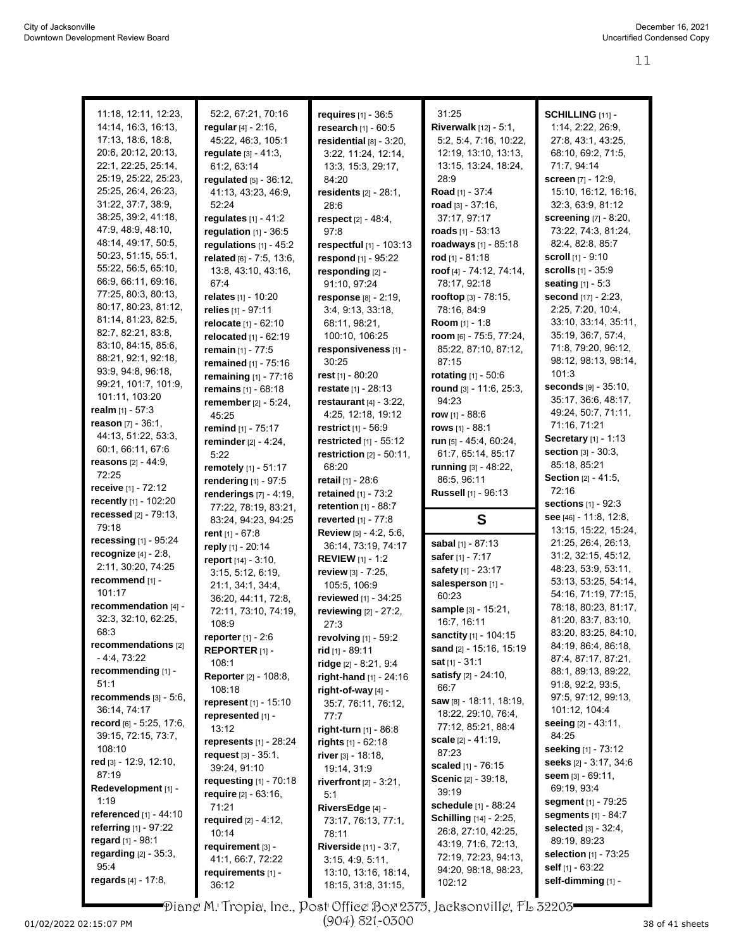|                                             |                                          |                                               | 31:25                               | SCHILLING [11] -              |
|---------------------------------------------|------------------------------------------|-----------------------------------------------|-------------------------------------|-------------------------------|
| 11:18, 12:11, 12:23,<br>14:14, 16:3, 16:13, | 52:2, 67:21, 70:16                       | requires $[1] - 36.5$                         |                                     |                               |
| 17:13, 18:6, 18:8,                          | regular [4] - 2:16,                      | research [1] - 60:5                           | <b>Riverwalk</b> $[12] - 5:1$ ,     | 1:14, 2:22, 26:9,             |
| 20.6, 20.12, 20:13,                         | 45:22, 46:3, 105:1                       | residential $[8] - 3:20$ ,                    | 5:2, 5:4, 7:16, 10:22,              | 27:8, 43:1, 43:25,            |
| 22:1, 22:25, 25:14,                         | regulate $[3] - 41:3$ ,                  | 3:22, 11:24, 12:14,                           | 12:19, 13:10, 13:13,                | 68:10, 69:2, 71:5,            |
| 25:19, 25:22, 25:23,                        | 61:2, 63:14                              | 13:3, 15:3, 29:17,                            | 13:15, 13:24, 18:24,                | 71.7, 94:14                   |
| 25:25, 26:4, 26:23,                         | regulated [5] - 36:12,                   | 84:20                                         | 28:9                                | screen [7] - 12:9,            |
| 31:22, 37:7, 38:9,                          | 41:13, 43:23, 46:9,                      | residents [2] - 28:1,                         | Road [1] - 37:4                     | 15:10, 16:12, 16:16,          |
| 38:25, 39:2, 41:18,                         | 52:24                                    | 28:6                                          | road א - 37:16,<br>37:17, 97:17     | 32:3, 63:9, 81:12             |
| 47.9, 48.9, 48.10,                          | requiates $[1] - 41:2$                   | respect [2] - 48:4,                           |                                     | screening [7] - 8:20,         |
| 48:14, 49:17, 50:5,                         | regulation $[1]$ - 36:5                  | 97:8                                          | roads $[1] - 53:13$                 | 73:22, 74:3, 81:24,           |
| 50:23, 51:15, 55:1,                         | regulations $[1]$ - 45:2                 | respectful [1] - 103:13                       | roadways [1] - 85:18                | 82:4, 82:8, 85:7              |
| 55:22, 56:5, 65:10,                         | related [6] - 7:5, 13:6,                 | respond [1] - 95:22                           | rod $[1] - 81:18$                   | <b>scroll</b> $[1]$ - $9:10$  |
| 66.9, 66.11, 69.16,                         | 13.8, 43.10, 43.16,                      | responding [2] -                              | roof [4] - 74:12, 74:14,            | scrolls [1] - 35:9            |
| 77:25, 80:3, 80:13,                         | 67:4                                     | 91:10, 97:24                                  | 78:17, 92:18                        | seating [1] - 5:3             |
| 80:17, 80:23, 81:12,                        | <b>relates</b> [1] - 10:20               | response [8] - 2:19,                          | rooftop [3] - 78:15,                | second [17] - 2:23,           |
| 81:14, 81:23, 82:5,                         | relies [1] - 97:11                       | 3.4, 9.13, 33.18,                             | 78:16, 84:9                         | 2:25, 7:20, 10:4,             |
| 82.7, 82.21, 83.8,                          | relocate [1] - 62:10                     | 68:11, 98:21,                                 | Room [1] - 1:8                      | 33:10, 33:14, 35:11,          |
| 83:10, 84:15, 85:6,                         | relocated [1] - 62:19                    | 100:10, 106:25                                | room [6] - 75:5, 77:24,             | 35:19, 36:7, 57:4,            |
| 88:21, 92:1, 92:18,                         | remain [1] - 77:5                        | responsiveness [1] -                          | 85:22, 87:10, 87:12,                | 71:8, 79:20, 96:12,           |
| 93.9, 94.8, 96.18,                          | remained [1] - 75:16                     | 30:25                                         | 87:15                               | 98:12, 98:13, 98:14,<br>101:3 |
| 99:21, 101:7, 101:9,                        | remaining [1] - 77:16                    | rest $[1]$ - 80:20                            | rotating [1] - 50:6                 | seconds [9] - 35:10,          |
| 101:11, 103:20                              | remains [1] - 68:18                      | restate [1] - 28:13                           | round [3] - 11:6, 25:3,             | 35:17, 36:6, 48:17,           |
| realm $[1] - 57:3$                          | remember [2] - 5:24,                     | restaurant $[4]$ - 3:22,                      | 94:23                               | 49:24, 50:7, 71:11,           |
| <b>reason</b> $[7] - 36:1$ ,                | 45:25                                    | 4:25, 12:18, 19:12                            | <b>row</b> [1] - 88:6               | 71:16, 71:21                  |
| 44:13, 51:22, 53:3,                         | remind [1] - 75:17                       | <b>restrict</b> [1] - 56.9                    | rows $[1] - 88:1$                   | <b>Secretary</b> [1] - 1:13   |
| 60:1, 66:11, 67:6                           | reminder $[2] - 4:24$ ,                  | restricted [1] - 55:12                        | run [5] - 45:4, 60:24,              | section [3] - 30:3,           |
| <b>reasons</b> $[2] - 44.9$ ,               | 5:22                                     | restriction $[2] - 50:11$ ,                   | 61:7, 65:14, 85:17                  | 85:18, 85:21                  |
| 72:25                                       | remotely [1] - 51:17                     | 68:20                                         | running [3] - 48:22,<br>86:5, 96:11 | <b>Section</b> $[2] - 41.5$ , |
| receive [1] - 72:12                         | rendering [1] - 97:5                     | retail $[1] - 28.6$                           |                                     | 72:16                         |
| recently [1] - 102:20                       | renderings $[7] - 4:19$ ,                | <b>retained</b> $[1] - 73:2$                  | Russell [1] - 96:13                 | sections [1] - 92:3           |
| <b>recessed</b> $[2] - 79:13$ ,             | 77:22, 78:19, 83:21,                     | retention $[1]$ - 88:7<br>reverted [1] - 77:8 | S                                   | see [46] - 11:8, 12:8,        |
| 79:18                                       | 83:24, 94:23, 94:25                      |                                               |                                     | 13:15, 15:22, 15:24,          |
| recessing [1] - 95:24                       | rent $[1] - 67:8$                        | Review [5] - 4:2, 5:6,<br>36:14, 73:19, 74:17 | sabal [1] - 87:13                   | 21:25, 26:4, 26:13,           |
| recognize [4] - 2:8,                        | reply [1] - 20:14<br>report [14] - 3:10, | <b>REVIEW</b> $[1] - 1.2$                     | safer [1] - 7:17                    | 31:2, 32:15, 45:12,           |
| 2:11, 30:20, 74:25                          |                                          |                                               | safety [1] - 23:17                  | 48:23, 53:9, 53:11,           |
| recommend [1] -                             | 3:15, 5:12, 6:19,<br>21:1, 34:1, 34:4,   | review $[3]$ - 7:25,<br>105:5, 106:9          | salesperson [1] -                   | 53:13, 53:25, 54:14,          |
| 101:17                                      | 36:20, 44:11, 72:8,                      | reviewed [1] - 34:25                          | 60:23                               | 54:16, 71:19, 77:15,          |
| recommendation [4] -                        | 72:11, 73:10, 74:19,                     | reviewing [2] - 27:2,                         | sample [3] - 15:21,                 | 78:18, 80:23, 81:17,          |
| 32:3, 32:10, 62:25,                         | 108:9                                    | 27:3                                          | 16:7, 16:11                         | 81:20, 83:7, 83:10,           |
| 68.3                                        | <b>reporter</b> $[1] - 2:6$              | revolving $[1]$ - 59:2                        | sanctity [1] - 104:15               | 83:20, 83:25, 84:10,          |
| recommendations [2]                         | REPORTER <sub>[1]</sub> -                | rid [1] - 89:11                               | sand [2] - 15:16, 15:19             | 84:19, 86:4, 86:18,           |
| $-4.4, 73.22$                               | 108:1                                    | ridge [2] - 8:21, 9:4                         | sat $[1] - 31:1$                    | 87:4, 87:17, 87:21,           |
| recommending [1] -                          | <b>Reporter</b> [2] - 108:8,             | right-hand [1] - 24:16                        | satisfy [2] - 24:10,                | 88:1, 89:13, 89:22,           |
| 51:1                                        | 108:18                                   | right-of-way [4] -                            | 66:7                                | 91:8, 92:2, 93:5,             |
| recommends $[3] - 5:6$ ,                    | represent [1] - 15:10                    | 35:7, 76:11, 76:12,                           | saw [8] - 18:11, 18:19,             | 97:5, 97:12, 99:13,           |
| 36:14, 74:17                                | represented [1] -                        | 77:7                                          | 18:22, 29:10, 76:4,                 | 101:12, 104:4                 |
| record [6] - 5:25, 17:6,                    | 13:12                                    | right-turn [1] - 86:8                         | 77:12, 85:21, 88:4                  | seeing $[2] - 43.11$ ,        |
| 39:15, 72:15, 73:7,                         | represents [1] - 28:24                   | rights $[1] - 62:18$                          | scale $[2] - 41:19$ ,               | 84:25                         |
| 108:10                                      | request $[3] - 35:1$ ,                   | river $[3] - 18:18$ ,                         | 87:23                               | <b>seeking</b> [1] - 73:12    |
| red [3] - 12:9, 12:10,                      | 39:24, 91:10                             | 19:14, 31:9                                   | scaled [1] - 76:15                  | seeks [2] - 3:17, 34:6        |
| 87:19                                       | requesting [1] - 70:18                   | riverfront $[2] - 3:21$ ,                     | Scenic [2] - 39:18,                 | seem [3] - 69:11,             |
| Redevelopment [1] -                         | require [2] - 63:16,                     | 5:1                                           | 39:19                               | 69:19, 93:4                   |
| 1:19                                        | 71:21                                    | RiversEdge [4] -                              | schedule [1] - 88:24                | segment [1] - 79:25           |
| referenced [1] - 44:10                      | required $[2] - 4:12$ ,                  | 73:17, 76:13, 77:1,                           | <b>Schilling</b> [14] - 2:25,       | <b>segments</b> [1] - 84:7    |
| <b>referring</b> [1] - 97:22                | 10:14                                    | 78:11                                         | 26.8, 27.10, 42:25,                 | <b>selected</b> $[3] - 32:4,$ |
| regard [1] - 98:1                           | requirement [3] -                        | <b>Riverside</b> $[11] - 3:7$ ,               | 43:19, 71:6, 72:13,                 | 89:19, 89:23                  |
| regarding [2] - 35:3,                       | 41:1, 66:7, 72:22                        | 3:15, 4:9, 5:11,                              | 72:19, 72:23, 94:13,                | selection [1] - 73:25         |
| 95.4                                        | requirements [1] -                       | 13:10, 13:16, 18:14,                          | 94:20, 98:18, 98:23,                | self $[1] - 63:22$            |
| regards $[4] - 17.8$ ,                      | 36:12                                    | 18:15, 31:8, 31:15,                           | 102:12                              | self-dimming [1] -            |

Diane M. Tropia, Inc., Post Office Box 2375, Jacksonville, FL 32203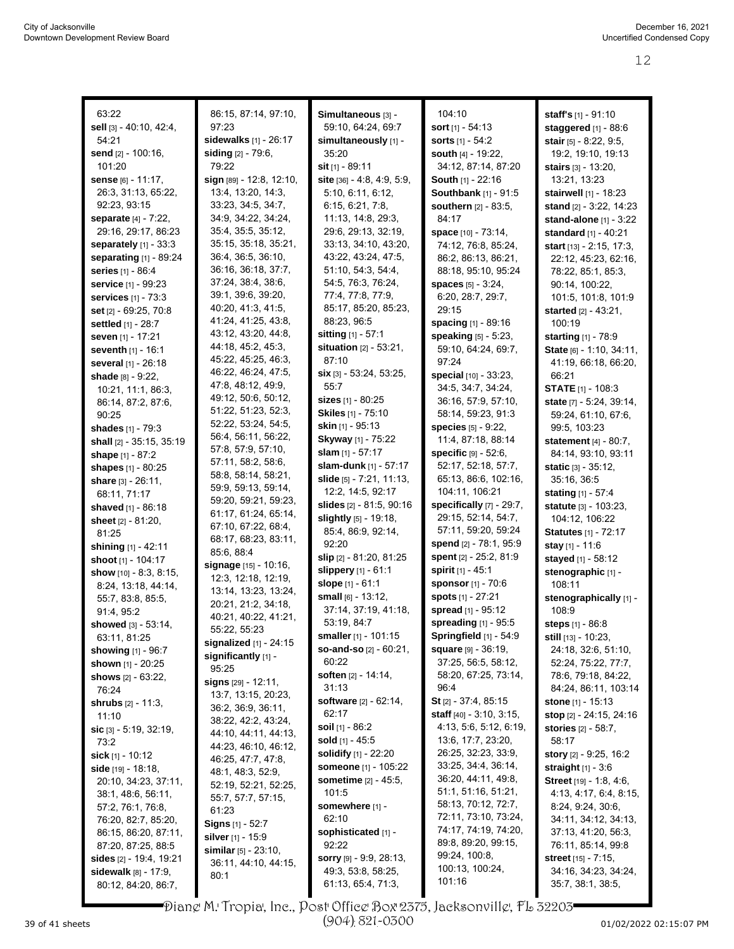| 63:22                          | 86:15, 87:14, 97:10,           | Simultaneous [3] -               | 104:10                            | staff's [1] - 91:10            |
|--------------------------------|--------------------------------|----------------------------------|-----------------------------------|--------------------------------|
| sell [3] - 40:10, 42:4,        | 97:23                          | 59:10, 64:24, 69:7               | sort $[1] - 54:13$                | staggered [1] - 88:6           |
| 54:21                          | sidewalks [1] - 26:17          | simultaneously [1] -             | <b>sorts</b> $[1] - 54.2$         | <b>stair</b> [5] - 8:22, 9:5,  |
| send [2] - 100:16,             | <b>siding</b> $[2] - 79.6$ ,   | 35:20                            | <b>south</b> $[4]$ - 19:22,       | 19:2, 19:10, 19:13             |
| 101:20                         | 79:22                          | sit $[1] - 89:11$                | 34:12, 87:14, 87:20               | <b>stairs</b> [3] - 13:20,     |
|                                | sign [89] - 12:8, 12:10,       |                                  |                                   |                                |
| sense [6] - 11:17,             |                                | site $[36] - 4.8, 4.9, 5.9,$     | <b>South [1] - 22:16</b>          | 13:21, 13:23                   |
| 26:3, 31:13, 65:22,            | 13:4, 13:20, 14:3,             | 5:10, 6:11, 6:12,                | <b>Southbank</b> [1] - 91:5       | <b>stairwell</b> $[1]$ - 18:23 |
| 92:23, 93:15                   | 33:23, 34:5, 34:7,             | 6:15, 6:21, 7:8,                 | southern [2] - 83:5,              | stand [2] - 3:22, 14:23        |
| separate [4] - 7:22,           | 34:9, 34:22, 34:24,            | 11:13, 14:8, 29:3,               | 84:17                             | <b>stand-alone</b> [1] - 3:22  |
| 29:16, 29:17, 86:23            | 35:4, 35:5, 35:12,             | 29:6, 29:13, 32:19,              | space [10] - 73:14,               | <b>standard</b> [1] - 40:21    |
| separately $[1]$ - 33:3        | 35:15, 35:18, 35:21,           | 33:13, 34:10, 43:20,             | 74:12, 76:8, 85:24,               | start $[13] - 2:15$ , 17:3,    |
| separating [1] - 89:24         | 36:4, 36:5, 36:10,             | 43:22, 43:24, 47:5,              | 86:2, 86:13, 86:21,               | 22:12, 45:23, 62:16,           |
| <b>series</b> [1] - 86:4       | 36:16, 36:18, 37:7,            | 51:10, 54:3, 54:4,               | 88:18, 95:10, 95:24               | 78:22, 85:1, 85:3,             |
| <b>service</b> [1] - 99:23     | 37:24, 38:4, 38:6,             | 54:5, 76:3, 76:24,               | <b>spaces</b> $[5] - 3.24$ ,      | 90:14, 100:22,                 |
| <b>services</b> $[1] - 73.3$   | 39:1, 39:6, 39:20,             | 77:4, 77:8, 77:9,                | 6:20, 28:7, 29:7,                 | 101:5, 101:8, 101:9            |
| <b>set</b> [2] - 69:25, 70:8   | 40:20, 41:3, 41:5,             | 85:17, 85:20, 85:23,             | 29:15                             | <b>started</b> [2] - 43:21,    |
| settled [1] - 28:7             | 41:24, 41:25, 43:8,            | 88:23, 96:5                      | <b>spacing</b> [1] - 89:16        | 100:19                         |
| seven [1] - 17:21              | 43:12, 43:20, 44:8,            | sitting [1] - 57:1               | speaking [5] - 5:23,              | starting [1] - 78:9            |
| <b>seventh</b> $[1] - 16:1$    | 44:18, 45:2, 45:3,             | situation [2] - 53:21,           | 59:10, 64:24, 69:7,               | State [6] - 1:10, 34:11,       |
| several [1] - 26:18            | 45:22, 45:25, 46:3,            | 87:10                            | 97:24                             | 41:19, 66:18, 66:20,           |
| shade [8] - 9:22,              | 46:22, 46:24, 47:5,            | <b>six</b> $[3] - 53:24, 53:25,$ | special [10] - 33:23,             | 66:21                          |
| 10:21, 11:1, 86:3,             | 47.8, 48.12, 49.9,             | 55:7                             | 34:5, 34:7, 34:24,                | <b>STATE</b> [1] - 108:3       |
| 86:14, 87:2, 87:6,             | 49:12, 50:6, 50:12,            | sizes $[1] - 80:25$              | 36:16, 57:9, 57:10,               | state [7] - 5:24, 39:14,       |
| 90:25                          | 51:22, 51:23, 52:3,            | Skiles [1] - 75:10               | 58:14, 59:23, 91:3                | 59:24, 61:10, 67:6,            |
| <b>shades</b> [1] - 79:3       | 52:22, 53:24, 54:5,            | <b>skin</b> [1] - 95:13          | species [5] - 9:22,               | 99:5, 103:23                   |
| shall [2] - 35:15, 35:19       | 56:4, 56:11, 56:22,            | <b>Skyway</b> [1] - 75:22        | 11:4, 87:18, 88:14                | <b>statement</b> $[4]$ - 80:7, |
|                                | 57:8, 57:9, 57:10,             | slam [1] - 57:17                 | specific [9] - 52:6,              | 84:14, 93:10, 93:11            |
| shape $[1] - 87:2$             | 57:11, 58:2, 58:6,             | slam-dunk [1] - 57:17            | 52:17, 52:18, 57:7,               |                                |
| <b>shapes</b> [1] - 80:25      | 58:8, 58:14, 58:21,            | slide $[5] - 7:21, 11:13,$       | 65:13, 86:6, 102:16,              | <b>static</b> $[3] - 35:12$ ,  |
| share $[3] - 26.11$ ,          | 59:9, 59:13, 59:14,            |                                  |                                   | 35:16, 36:5                    |
| 68:11, 71:17                   | 59:20, 59:21, 59:23,           | 12:2, 14:5, 92:17                | 104:11, 106:21                    | <b>stating</b> $[1] - 57.4$    |
| <b>shaved</b> [1] - 86:18      | 61:17, 61:24, 65:14,           | slides [2] - 81:5, 90:16         | specifically [7] - 29:7,          | <b>statute</b> [3] - 103:23,   |
| sheet $[2] - 81:20$ ,          | 67:10, 67:22, 68:4,            | slightly [5] - 19:18,            | 29:15, 52:14, 54:7,               | 104:12, 106:22                 |
| 81:25                          | 68:17, 68:23, 83:11,           | 85.4, 86.9, 92.14,               | 57:11, 59:20, 59:24               | <b>Statutes</b> [1] - 72:17    |
| shining [1] - 42:11            | 85:6, 88:4                     | 92:20                            | spend [2] - 78:1, 95:9            | stay [1] - 11:6                |
| shoot [1] - 104:17             | signage [15] - 10:16,          | slip [2] - 81:20, 81:25          | spent [2] - 25:2, 81:9            | stayed [1] - 58:12             |
| show $[10] - 8.3, 8.15$ ,      | 12:3, 12:18, 12:19,            | slippery $[1] - 61:1$            | spirit [1] - 45:1                 | stenographic [1] -             |
| 8:24, 13:18, 44:14,            | 13:14, 13:23, 13:24,           | slope [1] - 61:1                 | sponsor [1] - 70:6                | 108:11                         |
| 55:7, 83:8, 85:5,              | 20:21, 21:2, 34:18,            | small [6] - 13:12,               | spots [1] - 27:21                 | stenographically [1] -         |
| 91:4, 95:2                     | 40:21, 40:22, 41:21,           | 37:14, 37:19, 41:18,             | spread [1] - 95:12                | 108.9                          |
| showed [3] - 53:14,            | 55:22, 55:23                   | 53:19, 84:7                      | spreading [1] - 95:5              | steps [1] - 86:8               |
| 63:11, 81:25                   | signalized $[1]$ - 24:15       | smaller [1] - 101:15             | Springfield [1] - 54:9            | still [13] - 10:23,            |
| showing [1] - 96:7             | significantly [1] -            | so-and-so [2] - 60:21,           | <b>square</b> [9] - 36:19,        | 24:18, 32:6, 51:10,            |
| <b>shown</b> [1] - 20:25       | 95:25                          | 60:22                            | 37:25, 56:5, 58:12,               | 52:24, 75:22, 77:7,            |
| shows $[2] - 63:22$ ,          |                                | <b>soften</b> [2] - 14:14,       | 58:20, 67:25, 73:14,              | 78:6, 79:18, 84:22,            |
| 76:24                          | signs [29] - 12:11,            | 31:13                            | 96:4                              | 84:24, 86:11, 103:14           |
| <b>shrubs</b> $[2] - 11:3$ ,   | 13:7, 13:15, 20:23,            | <b>software</b> $[2] - 62:14$ ,  | <b>St</b> [2] - 37:4, 85:15       | stone $[1]$ - 15:13            |
| 11:10                          | 36.2, 36.9, 36.11,             | 62:17                            | <b>staff</b> $[40] - 3.10, 3.15,$ |                                |
| sic $[3] - 5.19, 32.19,$       | 38.22, 42.2, 43.24,            | soil $[1] - 86:2$                | 4:13, 5:6, 5:12, 6:19,            | stories [2] - 58:7,            |
| 73:2                           | 44:10, 44:11, 44:13,           | sold $[1]$ - 45:5                | 13:6, 17:7, 23:20,                | 58:17                          |
| <b>sick</b> [1] - 10:12        | 44:23, 46:10, 46:12,           | solidify [1] - 22:20             | 26:25, 32:23, 33:9,               | story [2] - 9:25, 16:2         |
| <b>side</b> [19] - 18:18,      | 46:25, 47:7, 47:8,             | someone [1] - 105:22             | 33:25, 34:4, 36:14,               | straight [1] - 3:6             |
| 20:10, 34:23, 37:11,           | 48:1, 48:3, 52:9,              | <b>sometime</b> $[2] - 45.5$ ,   | 36:20, 44:11, 49:8,               | Street [19] - 1:8, 4:6,        |
| 38:1, 48:6, 56:11,             | 52:19, 52:21, 52:25,           | 101:5                            | 51:1, 51:16, 51:21,               | 4:13, 4:17, 6:4, 8:15,         |
| 57:2, 76:1, 76:8,              | 55:7, 57:7, 57:15,             | somewhere [1] -                  | 58:13, 70:12, 72:7,               | 8:24, 9:24, 30:6,              |
|                                | 61:23                          | 62:10                            | 72:11, 73:10, 73:24,              | 34:11, 34:12, 34:13,           |
| 76:20, 82:7, 85:20,            | <b>Signs</b> $[1]$ - 52:7      | sophisticated [1] -              | 74:17, 74:19, 74:20,              | 37:13, 41:20, 56:3,            |
| 86:15, 86:20, 87:11,           | silver [1] - 15:9              |                                  | 89:8, 89:20, 99:15,               |                                |
| 87:20, 87:25, 88:5             | <b>similar</b> $[5] - 23:10$ , | 92:22                            | 99:24, 100:8,                     | 76:11, 85:14, 99:8             |
| sides $[2] - 19.4, 19.21$      | 36:11, 44:10, 44:15,           | sorry [9] - 9:9, 28:13,          | 100:13, 100:24,                   | <b>street</b> [15] - 7:15,     |
| <b>sidewalk</b> $[8] - 17.9$ , | 80:1                           | 49:3, 53:8, 58:25,               | 101:16                            | 34:16, 34:23, 34:24,           |
| 80:12, 84:20, 86:7,            |                                | 61:13, 65:4, 71:3,               |                                   | 35:7, 38:1, 38:5,              |

Diane M. Tropia, Inc., Post Office Box 2375, Jacksonville, FL 32203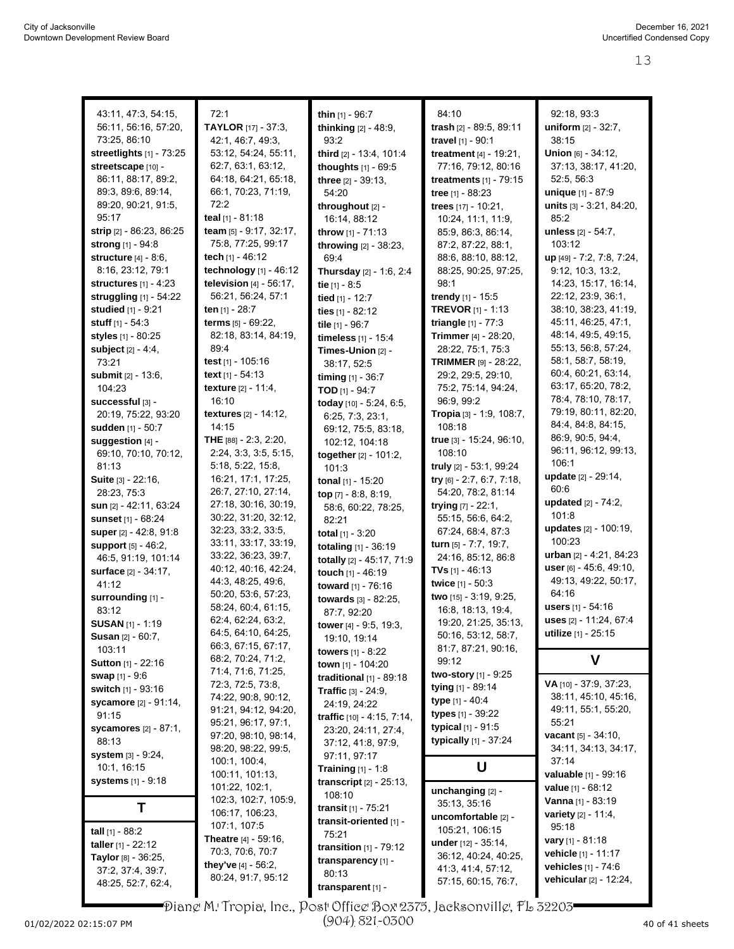| 43:11, 47:3, 54:15,             | 72:1                          | thin [1] - 96:7                   | 84:10                        | 92:18, 93:3                      |
|---------------------------------|-------------------------------|-----------------------------------|------------------------------|----------------------------------|
| 56:11, 56:16, 57:20,            | <b>TAYLOR</b> [17] - 37:3,    |                                   | trash [2] - 89:5, 89:11      |                                  |
|                                 |                               | thinking [2] - 48:9,              |                              | uniform [2] - 32:7,              |
| 73:25, 86:10                    | 42:1, 46:7, 49:3,             | 93:2                              | travel [1] - 90:1            | 38:15                            |
| streetlights [1] - 73:25        | 53:12, 54:24, 55:11,          | third [2] - 13:4, 101:4           | treatment $[4] - 19:21$ ,    | Union [6] - 34:12,               |
| streetscape [10] -              | 62:7, 63:1, 63:12,            | thoughts $[1] - 69.5$             | 77:16, 79:12, 80:16          | 37:13, 38:17, 41:20,             |
| 86:11, 88:17, 89:2,             | 64:18, 64:21, 65:18,          | three [2] - 39:13.                | treatments [1] - 79:15       | 52:5, 56:3                       |
| 89:3, 89:6, 89:14,              | 66:1, 70:23, 71:19,           | 54:20                             | tree [1] - 88:23             | unique [1] - 87:9                |
| 89:20, 90:21, 91:5,             | 72:2                          | throughout [2] -                  | trees $[17] - 10.21$ ,       | units [3] - 3:21, 84:20,         |
| 95:17                           | teal [1] - 81:18              | 16:14, 88:12                      | 10:24, 11:1, 11:9,           | 85:2                             |
| strip [2] - 86:23, 86:25        | team $[5] - 9.17$ , 32:17,    | throw [1] - 71:13                 | 85.9, 86.3, 86.14,           | unless [2] - 54:7,               |
| <b>strong</b> [1] - 94:8        | 75:8, 77:25, 99:17            | throwing [2] - 38:23,             | 87:2, 87:22, 88:1,           | 103:12                           |
| structure $[4] - 8.6$ ,         | tech [1] - 46:12              | 69.4                              | 88.6, 88.10, 88.12,          | up [49] - 7:2, 7:8, 7:24,        |
| 8:16, 23:12, 79:1               | technology $[1] - 46:12$      | Thursday [2] - 1:6, 2:4           | 88:25, 90:25, 97:25,         | 9:12, 10:3, 13:2,                |
| structures $[1] - 4:23$         | television $[4] - 56:17$ ,    | tie $[1] - 8.5$                   | 98:1                         | 14:23, 15:17, 16:14,             |
| struggling [1] - 54:22          | 56:21, 56:24, 57:1            | tied [1] - 12:7                   | <b>trendy</b> $[1]$ - 15:5   | 22:12, 23:9, 36:1,               |
| studied [1] - 9:21              | ten [1] - 28:7                | ties [1] - 82:12                  | <b>TREVOR</b> [1] - 1:13     | 38:10, 38:23, 41:19,             |
| <b>stuff</b> $[1] - 54:3$       | terms $[5] - 69:22$ ,         |                                   | <b>triangle</b> $[1] - 77:3$ | 45:11, 46:25, 47:1,              |
|                                 | 82:18, 83:14, 84:19,          | tile [1] - 96:7                   |                              | 48:14, 49:5, 49:15,              |
| styles [1] - 80:25              | 89:4                          | timeless [1] - 15:4               | Trimmer [4] - 28:20,         | 55:13, 56:8, 57:24,              |
| subject $[2] - 4.4$ ,           |                               | Times-Union [2] -                 | 28:22, 75:1, 75:3            | 58:1, 58:7, 58:19,               |
| 73:21                           | test [1] - 105:16             | 38:17, 52:5                       | TRIMMER [9] - 28:22,         |                                  |
| <b>submit</b> $[2] - 13.6$      | text $[1] - 54:13$            | timing [1] - 36:7                 | 29:2, 29:5, 29:10,           | 60:4, 60:21, 63:14,              |
| 104:23                          | texture [2] - 11:4,           | <b>TOD</b> $[1]$ - 94:7           | 75:2, 75:14, 94:24,          | 63:17, 65:20, 78:2,              |
| successful [3] -                | 16:10                         | today [10] - 5:24, 6:5,           | 96.9, 99.2                   | 78:4, 78:10, 78:17,              |
| 20:19, 75:22, 93:20             | textures [2] - 14:12,         | 6:25, 7:3, 23:1,                  | Tropia [3] - 1:9, 108:7,     | 79:19, 80:11, 82:20,             |
| sudden [1] - 50:7               | 14:15                         | 69:12, 75:5, 83:18,               | 108:18                       | 84:4, 84:8, 84:15,               |
| suggestion [4] -                | THE [88] - 2:3, 2:20,         | 102:12, 104:18                    | true [3] - 15:24, 96:10,     | 86.9, 90.5, 94.4,                |
| 69:10, 70:10, 70:12,            | 2:24, 3:3, 3:5, 5:15,         | together [2] - 101:2,             | 108:10                       | 96:11, 96:12, 99:13,             |
| 81:13                           | 5:18, 5:22, 15:8,             | 101:3                             | truly [2] - 53:1, 99:24      | 106:1                            |
| <b>Suite</b> $[3] - 22:16$ ,    | 16:21, 17:1, 17:25,           | tonal [1] - 15:20                 | try $[6]$ - 2:7, 6:7, 7:18,  | <b>update</b> [2] - 29:14,       |
| 28:23, 75:3                     | 26:7, 27:10, 27:14,           | top $[7] - 8.8, 8.19,$            | 54:20, 78:2, 81:14           | 60:6                             |
| sun [2] - 42:11, 63:24          | 27:18, 30:16, 30:19,          |                                   | trying $[7] - 22:1$ ,        | updated [2] - 74:2,              |
| <b>sunset</b> $[1] - 68:24$     | 30:22, 31:20, 32:12,          | 58:6, 60:22, 78:25,<br>82:21      | 55:15, 56:6, 64:2,           | 101:8                            |
| super [2] - 42:8, 91:8          | 32:23, 33:2, 33:5,            |                                   | 67:24, 68:4, 87:3            | updates [2] - 100:19,            |
|                                 | 33:11, 33:17, 33:19,          | total $[1] - 3:20$                | turn [5] - 7:7, 19:7,        | 100:23                           |
| support [5] - 46:2,             | 33:22, 36:23, 39:7,           | totaling [1] - 36:19              | 24:16, 85:12, 86:8           | <b>urban</b> $[2] - 4.21, 84.23$ |
| 46:5, 91:19, 101:14             | 40:12, 40:16, 42:24,          | totally [2] - 45:17, 71:9         |                              | user [6] - 45:6, 49:10,          |
| <b>surface</b> [2] - 34:17,     | 44.3, 48.25, 49.6,            | touch [1] - 46:19                 | <b>TVs</b> $[1]$ - 46:13     | 49:13, 49:22, 50:17,             |
| 41:12                           | 50:20, 53:6, 57:23,           | toward [1] - 76:16                | twice [1] - 50:3             | 64:16                            |
| surrounding [1] -               |                               | towards [3] - 82:25,              | two [15] - 3:19, 9:25,       | <b>users</b> [1] - 54:16         |
| 83:12                           | 58:24, 60:4, 61:15,           | 87:7, 92:20                       | 16:8, 18:13, 19:4,           |                                  |
| <b>SUSAN</b> [1] - 1:19         | 62:4, 62:24, 63:2,            | tower [4] - 9:5, 19:3,            | 19:20, 21:25, 35:13,         | uses [2] - 11:24, 67:4           |
| <b>Susan [2] - 60:7,</b>        | 64:5, 64:10, 64:25,           | 19:10, 19:14                      | 50:16, 53:12, 58:7,          | utilize [1] - 25:15              |
| 103:11                          | 66.3, 67.15, 67:17,           | towers [1] - 8:22                 | 81:7, 87:21, 90:16,          |                                  |
| <b>Sutton</b> [1] - 22:16       | 68:2, 70:24, 71:2,            | town [1] - 104:20                 | 99:12                        | V                                |
| <b>swap</b> $[1] - 9.6$         | 71.4, 71.6, 71.25,            | traditional $[1]$ - 89:18         | two-story [1] - 9:25         |                                  |
| switch [1] - 93:16              | 72:3, 72:5, 73:8,             | <b>Traffic</b> $[3] - 24:9$ ,     | tying [1] - 89:14            | VA [10] - 37:9, 37:23,           |
| sycamore [2] - 91:14,           | 74:22, 90:8, 90:12,           | 24:19, 24:22                      | type [1] - 40:4              | 38:11, 45:10, 45:16,             |
| 91:15                           | 91:21, 94:12, 94:20,          | traffic [10] - 4.15, 7:14,        | <b>types</b> $[1]$ - 39:22   | 49:11, 55:1, 55:20,              |
| <b>sycamores</b> $[2] - 87:1$ , | 95:21, 96:17, 97:1,           | 23.20, 24.11, 27.4,               | typical $[1] - 91.5$         | 55:21                            |
| 88:13                           | 97:20, 98:10, 98:14,          | 37:12, 41:8, 97:9,                | typically [1] - 37:24        | vacant [5] - 34:10,              |
| system [3] - 9:24,              | 98:20, 98:22, 99:5,           | 97:11, 97:17                      |                              | 34:11, 34:13, 34:17,             |
| 10:1, 16:15                     | 100:1, 100:4,                 | <b>Training</b> $[1] - 1.8$       | U                            | 37:14                            |
|                                 | 100.11, 101:13,               |                                   |                              | valuable [1] - 99:16             |
| <b>systems</b> [1] - 9:18       | 101:22, 102:1,                | <b>transcript</b> $[2] - 25:13$ , | unchanging [2] -             | <b>value</b> $[1] - 68:12$       |
|                                 | 102:3, 102:7, 105:9,          | 108:10                            | 35:13, 35:16                 | Vanna [1] - 83:19                |
| Τ                               | 106:17, 106:23,               | <b>transit</b> $[1] - 75:21$      | uncomfortable [2] -          | <b>variety</b> $[2] - 11.4$ ,    |
|                                 | 107:1, 107:5                  | transit-oriented [1] -            | 105:21, 106:15               | 95:18                            |
| tall $[1] - 88:2$               | <b>Theatre</b> $[4]$ - 59:16, | 75:21                             | under $[12] - 35:14$ ,       | <b>vary</b> [1] - 81:18          |
| taller $[1] - 22:12$            | 70:3, 70:6, 70:7              | transition $[1]$ - 79:12          |                              | <b>vehicle</b> [1] - 11:17       |
| Taylor [8] - 36:25,             | they've [4] - 56:2,           | transparency [1] -                | 36:12, 40:24, 40:25,         | vehicles [1] - 74:6              |
| 37:2, 37:4, 39:7,               | 80:24, 91:7, 95:12            | 80:13                             | 41.3, 41.4, 57.12,           | vehicular [2] - 12:24,           |
| 48:25, 52:7, 62:4,              |                               | transparent [1] -                 | 57:15, 60:15, 76:7,          |                                  |

Diane M. Tropia, Inc., Post Office Box 2375, Jacksonville, FL 32203